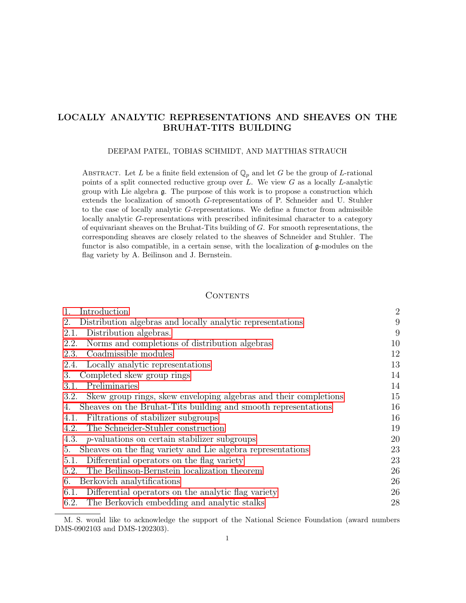# <span id="page-0-0"></span>LOCALLY ANALYTIC REPRESENTATIONS AND SHEAVES ON THE BRUHAT-TITS BUILDING

#### DEEPAM PATEL, TOBIAS SCHMIDT, AND MATTHIAS STRAUCH

ABSTRACT. Let L be a finite field extension of  $\mathbb{Q}_p$  and let G be the group of L-rational points of a split connected reductive group over  $L$ . We view  $G$  as a locally  $L$ -analytic group with Lie algebra g. The purpose of this work is to propose a construction which extends the localization of smooth G-representations of P. Schneider and U. Stuhler to the case of locally analytic G-representations. We define a functor from admissible locally analytic G-representations with prescribed infinitesimal character to a category of equivariant sheaves on the Bruhat-Tits building of G. For smooth representations, the corresponding sheaves are closely related to the sheaves of Schneider and Stuhler. The functor is also compatible, in a certain sense, with the localization of g-modules on the flag variety by A. Beilinson and J. Bernstein.

#### **CONTENTS**

| $1_{-}$<br>Introduction                                                  | $\overline{2}$ |
|--------------------------------------------------------------------------|----------------|
| Distribution algebras and locally analytic representations<br>2.         | 9              |
| Distribution algebras.<br>2.1.                                           | 9              |
| Norms and completions of distribution algebras<br>2.2.                   | 10             |
| Coadmissible modules<br>2.3.                                             | 12             |
| Locally analytic representations<br>2.4.                                 | 13             |
| Completed skew group rings<br>3.                                         | 14             |
| Preliminaries<br>3.1.                                                    | 14             |
| Skew group rings, skew enveloping algebras and their completions<br>3.2. | 15             |
| Sheaves on the Bruhat-Tits building and smooth representations<br>4.     | 16             |
| Filtrations of stabilizer subgroups<br>4.1.                              | 16             |
| The Schneider-Stuhler construction<br>4.2.                               | 19             |
| 4.3.<br>$p$ -valuations on certain stabilizer subgroups                  | 20             |
| Sheaves on the flag variety and Lie algebra representations<br>5.        | 23             |
| Differential operators on the flag variety<br>5.1.                       | 23             |
| The Beilinson-Bernstein localization theorem<br>5.2.                     | 26             |
| Berkovich analytifications<br>6.                                         | 26             |
| Differential operators on the analytic flag variety<br>6.1.              | 26             |
| The Berkovich embedding and analytic stalks<br>6.2.                      | 28             |

M. S. would like to acknowledge the support of the National Science Foundation (award numbers DMS-0902103 and DMS-1202303).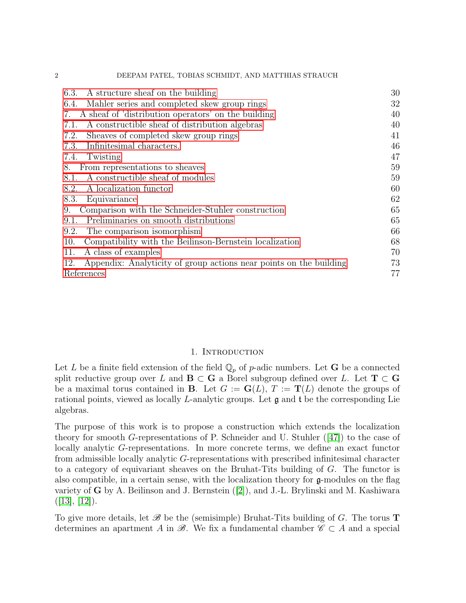| A structure sheaf on the building<br>6.3.                                 | 30 |
|---------------------------------------------------------------------------|----|
| Mahler series and completed skew group rings<br>6.4.                      | 32 |
| A sheaf of 'distribution operators' on the building<br>7.                 | 40 |
| A constructible sheaf of distribution algebras<br>7.1.                    | 40 |
| Sheaves of completed skew group rings<br>7.2.                             | 41 |
| Infinitesimal characters.<br>7.3.                                         | 46 |
| Twisting<br>7.4.                                                          | 47 |
| From representations to sheaves<br>8.                                     | 59 |
| A constructible sheaf of modules<br>8.1.                                  | 59 |
| A localization functor<br>8.2.                                            | 60 |
| 8.3.<br>Equivariance                                                      | 62 |
| Comparison with the Schneider-Stuhler construction<br>9.                  | 65 |
| Preliminaries on smooth distributions<br>9.1.                             | 65 |
| The comparison isomorphism<br>9.2.                                        | 66 |
| Compatibility with the Beilinson-Bernstein localization<br>10.            | 68 |
| A class of examples<br>11.                                                | 70 |
| 12.<br>Appendix: Analyticity of group actions near points on the building | 73 |
| References                                                                | 77 |

# 1. INTRODUCTION

<span id="page-1-0"></span>Let L be a finite field extension of the field  $\mathbb{Q}_p$  of p-adic numbers. Let G be a connected split reductive group over L and  $\mathbf{B} \subset \mathbf{G}$  a Borel subgroup defined over L. Let  $\mathbf{T} \subset \mathbf{G}$ be a maximal torus contained in **B**. Let  $G := G(L)$ ,  $T := T(L)$  denote the groups of rational points, viewed as locally L-analytic groups. Let g and t be the corresponding Lie algebras.

The purpose of this work is to propose a construction which extends the localization theory for smooth G-representations of P. Schneider and U. Stuhler  $([47])$  $([47])$  $([47])$  to the case of locally analytic G-representations. In more concrete terms, we define an exact functor from admissible locally analytic G-representations with prescribed infinitesimal character to a category of equivariant sheaves on the Bruhat-Tits building of G. The functor is also compatible, in a certain sense, with the localization theory for g-modules on the flag varietyof  $\bf{G}$  by A. Beilinson and J. Bernstein ([\[2\]](#page-76-1)), and J.-L. Brylinski and M. Kashiwara  $([13], [12]).$  $([13], [12]).$  $([13], [12]).$  $([13], [12]).$  $([13], [12]).$ 

To give more details, let  $\mathscr{B}$  be the (semisimple) Bruhat-Tits building of G. The torus **T** determines an apartment A in  $\mathscr{B}$ . We fix a fundamental chamber  $\mathscr{C} \subset A$  and a special

2 DEEPAM PATEL, TOBIAS SCHMIDT, AND MATTHIAS STRAUCH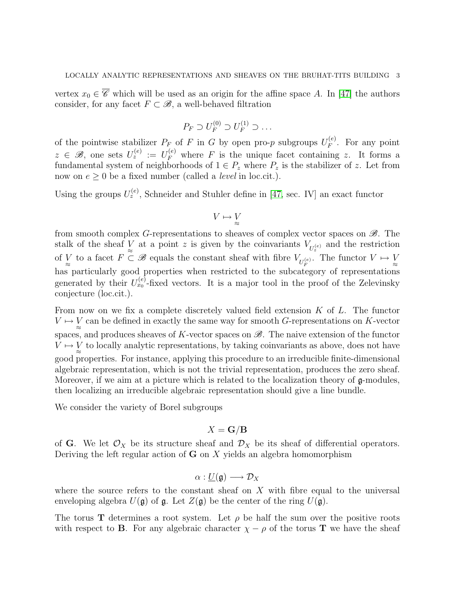vertex  $x_0 \in \overline{\mathscr{C}}$  which will be used as an origin for the affine space A. In [\[47\]](#page-78-0) the authors consider, for any facet  $F \subset \mathcal{B}$ , a well-behaved filtration

$$
P_F \supset U_F^{(0)} \supset U_F^{(1)} \supset \dots
$$

of the pointwise stabilizer  $P_F$  of F in G by open pro-p subgroups  $U_F^{(e)}$  $F_F^{(e)}$ . For any point  $z \in \mathscr{B}$ , one sets  $U_z^{(e)} := U_F^{(e)}$  where F is the unique facet containing z. It forms a fundamental system of neighborhoods of  $1 \in P_z$  where  $P_z$  is the stabilizer of z. Let from now on  $e \geq 0$  be a fixed number (called a *level* in loc.cit.).

Using the groups  $U_z^{(e)}$ , Schneider and Stuhler define in [\[47,](#page-78-0) sec. IV] an exact functor

$$
V\mapsto \mathop{\vee}\limits_{\approx}
$$

from smooth complex G-representations to sheaves of complex vector spaces on  $\mathscr{B}$ . The stalk of the sheaf  $\bigvee_{\approx}$  at a point z is given by the coinvariants  $V_{U_z^{(e)}}$  and the restriction of V to a facet  $F \subset \mathscr{B}$  equals the constant sheaf with fibre  $V_{U_F^{(e)}}$ . The functor  $V \mapsto V_{\approx}$ has particularly good properties when restricted to the subcategory of representations generated by their  $U_{x_0}^{(e)}$ -fixed vectors. It is a major tool in the proof of the Zelevinsky conjecture (loc.cit.).

From now on we fix a complete discretely valued field extension  $K$  of  $L$ . The functor  $V \mapsto V \underset{\approx}{\sim}$  can be defined in exactly the same way for smooth G-representations on K-vector spaces, and produces sheaves of K-vector spaces on  $\mathscr{B}$ . The naive extension of the functor  $V \mapsto V \underset{\approx}{\sim}$  to locally analytic representations, by taking coinvariants as above, does not have good properties. For instance, applying this procedure to an irreducible finite-dimensional algebraic representation, which is not the trivial representation, produces the zero sheaf. Moreover, if we aim at a picture which is related to the localization theory of  $g$ -modules, then localizing an irreducible algebraic representation should give a line bundle.

We consider the variety of Borel subgroups

# $X = G/B$

of G. We let  $\mathcal{O}_X$  be its structure sheaf and  $\mathcal{D}_X$  be its sheaf of differential operators. Deriving the left regular action of  $G$  on  $X$  yields an algebra homomorphism

$$
\alpha:\underline{U}(\mathfrak{g})\longrightarrow \mathcal{D}_X
$$

where the source refers to the constant sheaf on  $X$  with fibre equal to the universal enveloping algebra  $U(\mathfrak{g})$  of  $\mathfrak{g}$ . Let  $Z(\mathfrak{g})$  be the center of the ring  $U(\mathfrak{g})$ .

The torus T determines a root system. Let  $\rho$  be half the sum over the positive roots with respect to **B**. For any algebraic character  $\chi - \rho$  of the torus **T** we have the sheaf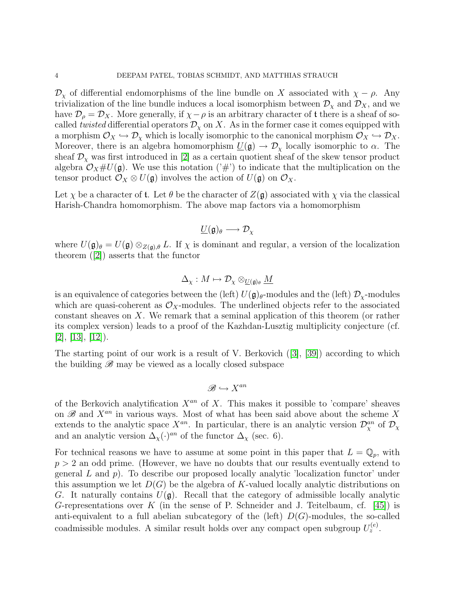$\mathcal{D}_{\chi}$  of differential endomorphisms of the line bundle on X associated with  $\chi - \rho$ . Any trivialization of the line bundle induces a local isomorphism between  $\mathcal{D}_{\chi}$  and  $\mathcal{D}_{X}$ , and we have  $\mathcal{D}_{\rho} = \mathcal{D}_X$ . More generally, if  $\chi - \rho$  is an arbitrary character of t there is a sheaf of socalled twisted differential operators  $\mathcal{D}_{\chi}$  on X. As in the former case it comes equipped with a morphism  $\mathcal{O}_X \hookrightarrow \mathcal{D}_X$  which is locally isomorphic to the canonical morphism  $\mathcal{O}_X \hookrightarrow \mathcal{D}_X$ . Moreover, there is an algebra homomorphism  $\underline{U}(\mathfrak{g}) \to \mathcal{D}_{\chi}$  locally isomorphic to  $\alpha$ . The sheaf  $\mathcal{D}_{\chi}$  was first introduced in [\[2\]](#page-76-1) as a certain quotient sheaf of the skew tensor product algebra  $\mathcal{O}_X \# U(\mathfrak{g})$ . We use this notation  $(\mathcal{H})$  to indicate that the multiplication on the tensor product  $\mathcal{O}_X \otimes U(\mathfrak{g})$  involves the action of  $U(\mathfrak{g})$  on  $\mathcal{O}_X$ .

Let  $\chi$  be a character of **t**. Let  $\theta$  be the character of  $Z(\mathfrak{g})$  associated with  $\chi$  via the classical Harish-Chandra homomorphism. The above map factors via a homomorphism

$$
\underline{U}(\mathfrak{g})_\theta\longrightarrow \mathcal{D}_\chi
$$

where  $U(\mathfrak{g})_{\theta} = U(\mathfrak{g}) \otimes_{Z(\mathfrak{g}),\theta} L$ . If  $\chi$  is dominant and regular, a version of the localization theorem([\[2\]](#page-76-1)) asserts that the functor

$$
\Delta_{\chi}:M\mapsto \mathcal{D}_{\chi}\otimes_{\underline{U}(\mathfrak{g})_{\theta}}\underline{M}
$$

is an equivalence of categories between the (left)  $U(\mathfrak{g})_{\theta}$ -modules and the (left)  $\mathcal{D}_{\chi}$ -modules which are quasi-coherent as  $\mathcal{O}_X$ -modules. The underlined objects refer to the associated constant sheaves on X. We remark that a seminal application of this theorem (or rather its complex version) leads to a proof of the Kazhdan-Lusztig multiplicity conjecture (cf.  $[2], [13], [12]$  $[2], [13], [12]$  $[2], [13], [12]$  $[2], [13], [12]$  $[2], [13], [12]$ .

The starting point of our work is a result of V. Berkovich([\[3\]](#page-76-4), [\[39\]](#page-78-1)) according to which the building  $\mathscr{B}$  may be viewed as a locally closed subspace

$$
\mathscr{B} \hookrightarrow X^{an}
$$

of the Berkovich analytification  $X^{an}$  of X. This makes it possible to 'compare' sheaves on  $\mathscr B$  and  $X^{an}$  in various ways. Most of what has been said above about the scheme X extends to the analytic space  $X^{an}$ . In particular, there is an analytic version  $\mathcal{D}_{\chi}^{an}$  of  $\mathcal{D}_{\chi}$ and an analytic version  $\Delta_{\chi}(\cdot)^{an}$  of the functor  $\Delta_{\chi}$  (sec. 6).

For technical reasons we have to assume at some point in this paper that  $L = \mathbb{Q}_p$ , with  $p > 2$  an odd prime. (However, we have no doubts that our results eventually extend to general  $L$  and  $p$ ). To describe our proposed locally analytic 'localization functor' under this assumption we let  $D(G)$  be the algebra of K-valued locally analytic distributions on G. It naturally contains  $U(\mathfrak{g})$ . Recall that the category of admissible locally analytic G-representations over K (in the sense of P. Schneider and J. Teitelbaum, cf. [\[45\]](#page-78-2)) is anti-equivalent to a full abelian subcategory of the (left)  $D(G)$ -modules, the so-called coadmissible modules. A similar result holds over any compact open subgroup  $U_z^{(e)}$ .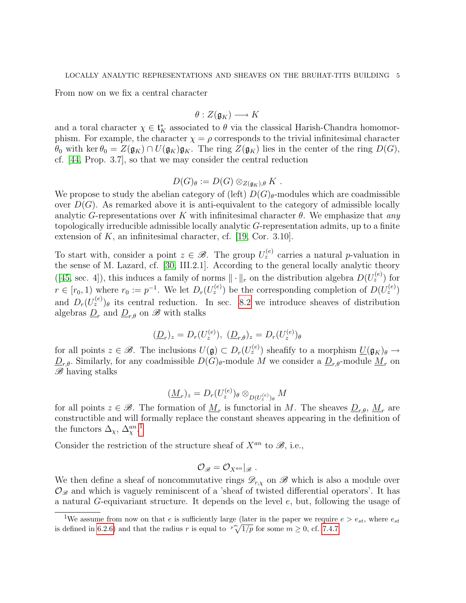From now on we fix a central character

$$
\theta:Z(\mathfrak{g}_K)\longrightarrow K
$$

and a toral character  $\chi \in \mathfrak{t}_K^*$  associated to  $\theta$  via the classical Harish-Chandra homomorphism. For example, the character  $\chi = \rho$  corresponds to the trivial infinitesimal character  $\theta_0$  with ker  $\theta_0 = Z(\mathfrak{g}_K) \cap U(\mathfrak{g}_K) \mathfrak{g}_K$ . The ring  $Z(\mathfrak{g}_K)$  lies in the center of the ring  $D(G)$ , cf. [\[44,](#page-78-3) Prop. 3.7], so that we may consider the central reduction

$$
D(G)_{\theta} := D(G) \otimes_{Z(\mathfrak{g}_K),\theta} K .
$$

We propose to study the abelian category of (left)  $D(G)_{\theta}$ -modules which are coadmissible over  $D(G)$ . As remarked above it is anti-equivalent to the category of admissible locally analytic G-representations over K with infinitesimal character  $\theta$ . We emphasize that any topologically irreducible admissible locally analytic G-representation admits, up to a finite extension of  $K$ , an infinitesimal character, cf. [\[19,](#page-77-0) Cor. 3.10].

To start with, consider a point  $z \in \mathcal{B}$ . The group  $U_z^{(e)}$  carries a natural p-valuation in the sense of M. Lazard, cf. [\[30,](#page-77-1) III.2.1]. According to the general locally analytic theory ([\[45,](#page-78-2) sec. 4]), this induces a family of norms  $\|\cdot\|_r$  on the distribution algebra  $D(U_z^{(e)})$  for  $r \in [r_0, 1)$  where  $r_0 := p^{-1}$ . We let  $D_r(U_z^{(e)})$  be the corresponding completion of  $D(U_z^{(e)})$ and  $D_r(U_z^{(e)})_\theta$  its central reduction. In sec. [8.2](#page-59-0) we introduce sheaves of distribution algebras  $\underline{D}_r$  and  $\underline{D}_{r,\theta}$  on  $\mathscr{B}$  with stalks

$$
(\underline{D}_r)_z = D_r(U_z^{(e)}), \ (\underline{D}_{r,\theta})_z = D_r(U_z^{(e)})_\theta
$$

for all points  $z \in \mathscr{B}$ . The inclusions  $U(\mathfrak{g}) \subset D_r(U_z^{(e)})$  sheafify to a morphism  $\underline{U}(\mathfrak{g}_K)_{\theta} \to$  $\underline{D}_{r,\theta}$ . Similarly, for any coadmissible  $D(\widetilde{G})_{\theta}$ -module  $\widetilde{M}$  we consider a  $\underline{D}_{r,\theta}$ -module  $\underline{M}_r$  on  $\mathscr{B}$  having stalks

$$
(\underline{M}_r)_z = D_r(U_z^{(e)})_\theta \otimes_{D(U_z^{(e)})_\theta} M
$$

for all points  $z \in \mathscr{B}$ . The formation of  $\underline{M}_r$  is functorial in M. The sheaves  $\underline{D}_{r,\theta}, \underline{M}_r$  are constructible and will formally replace the constant sheaves appearing in the definition of the functors  $\Delta_{\chi}$ ,  $\Delta_{\chi}^{an}$ <sup>[1](#page-4-0)</sup>

Consider the restriction of the structure sheaf of  $X^{an}$  to  $\mathscr{B}$ , i.e.,

$$
\mathcal{O}_{\mathscr{B}} = \mathcal{O}_{X^{an}}|_{\mathscr{B}}\;.
$$

We then define a sheaf of noncommutative rings  $\mathscr{D}_{r,x}$  on  $\mathscr{B}$  which is also a module over  $\mathcal{O}_{\mathscr{B}}$  and which is vaguely reminiscent of a 'sheaf of twisted differential operators'. It has a natural G-equivariant structure. It depends on the level e, but, following the usage of

<span id="page-4-0"></span><sup>&</sup>lt;sup>1</sup>We assume from now on that e is sufficiently large (later in the paper we require  $e > e_{st}$ , where  $e_{st}$ is defined in [6.2.6\)](#page-29-1) and that the radius r is equal to  $\sqrt[p^m]{1/p}$  for some  $m \geq 0$ , cf. [7.4.7.](#page-55-0)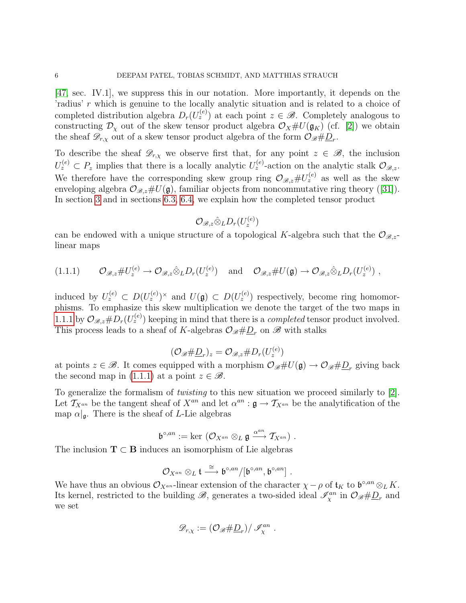[\[47,](#page-78-0) sec. IV.1], we suppress this in our notation. More importantly, it depends on the 'radius' r which is genuine to the locally analytic situation and is related to a choice of completed distribution algebra  $D_r(U_z^{(e)})$  at each point  $z \in \mathscr{B}$ . Completely analogous to constructing  $\mathcal{D}_\chi$  out of the skew tensor product algebra  $\mathcal{O}_X \# U(\mathfrak{g}_K)$  (cf. [\[2\]](#page-76-1)) we obtain the sheaf  $\mathscr{D}_{r,\chi}$  out of a skew tensor product algebra of the form  $\mathcal{O}_{\mathscr{B}}\#\underline{D}_r$ .

To describe the sheaf  $\mathscr{D}_{r,x}$  we observe first that, for any point  $z \in \mathscr{B}$ , the inclusion  $U_z^{(e)} \subset P_z$  implies that there is a locally analytic  $U_z^{(e)}$ -action on the analytic stalk  $\mathcal{O}_{\mathscr{B},z}$ . We therefore have the corresponding skew group ring  $\mathcal{O}_{\mathscr{B},z}\# U_z^{(e)}$  as well as the skew envelopingalgebra  $\mathcal{O}_{\mathscr{B},z} \# U(\mathfrak{g})$ , familiar objects from noncommutative ring theory ([\[31\]](#page-77-2)). In section [3](#page-13-0) and in sections [6.3,](#page-29-0) [6.4,](#page-31-0) we explain how the completed tensor product

$$
\mathcal{O}_{\mathscr{B},z}\hat{\otimes}_L D_r(U_z^{(e)})
$$

can be endowed with a unique structure of a topological K-algebra such that the  $\mathcal{O}_{\mathscr{B},z}$ linear maps

<span id="page-5-0"></span>
$$
(1.1.1) \t\mathcal{O}_{\mathscr{B},z} \# U_z^{(e)} \to \mathcal{O}_{\mathscr{B},z} \hat{\otimes}_L D_r(U_z^{(e)}) \text{ and } \mathcal{O}_{\mathscr{B},z} \# U(\mathfrak{g}) \to \mathcal{O}_{\mathscr{B},z} \hat{\otimes}_L D_r(U_z^{(e)}) ,
$$

induced by  $U_z^{(e)} \subset D(U_z^{(e)})^{\times}$  and  $U(\mathfrak{g}) \subset D(U_z^{(e)})$  respectively, become ring homomorphisms. To emphasize this skew multiplication we denote the target of the two maps in [1.1.1](#page-5-0) by  $\mathcal{O}_{\mathscr{B},z} \# D_r(U_z^{(e)})$  keeping in mind that there is a *completed* tensor product involved. This process leads to a sheaf of K-algebras  $\mathcal{O}_{\mathscr{B}}\# \underline{D}_r$  on  $\mathscr{B}$  with stalks

$$
(\mathcal{O}_{\mathscr{B}}\#\underline{D}_r)_z=\mathcal{O}_{\mathscr{B},z}\#D_r(U_z^{(e)})
$$

at points  $z \in \mathscr{B}$ . It comes equipped with a morphism  $\mathcal{O}_{\mathscr{B}}\#U(\mathfrak{g}) \to \mathcal{O}_{\mathscr{B}}\#D_r$  giving back the second map in [\(1.1.1\)](#page-5-0) at a point  $z \in \mathcal{B}$ .

To generalize the formalism of twisting to this new situation we proceed similarly to [\[2\]](#page-76-1). Let  $\mathcal{T}_{X^{an}}$  be the tangent sheaf of  $X^{an}$  and let  $\alpha^{an}$  :  $\mathfrak{g} \to \mathcal{T}_{X^{an}}$  be the analytification of the map  $\alpha|_{\mathfrak{g}}$ . There is the sheaf of L-Lie algebras

$$
\mathfrak{b}^{\circ,an}:=\ker\;(\mathcal{O}_{X^{an}}\otimes_L\mathfrak{g}\xrightarrow{\alpha^{an}}\mathcal{T}_{X^{an}})\;.
$$

The inclusion  $T \subset B$  induces an isomorphism of Lie algebras

$$
\mathcal O_{X^{an}}\otimes_L\mathfrak t\stackrel{\cong}{\longrightarrow}\mathfrak b^{\circ,an}/[\mathfrak b^{\circ,an},\mathfrak b^{\circ,an}]\ .
$$

We have thus an obvious  $\mathcal{O}_{X^{an}}$ -linear extension of the character  $\chi - \rho$  of  $\mathfrak{t}_K$  to  $\mathfrak{b}^{\circ,an} \otimes_L K$ . Its kernel, restricted to the building  $\mathscr{B}$ , generates a two-sided ideal  $\mathscr{I}_{\chi}^{an}$  in  $\mathcal{O}_{\mathscr{B}}\#\underline{D}_r$  and we set

$$
\mathscr{D}_{r,\chi} := \left(\mathcal{O}_{\mathscr{B}} \# \underline{D}_r\right) / \mathscr{I}_{\chi}^{an} .
$$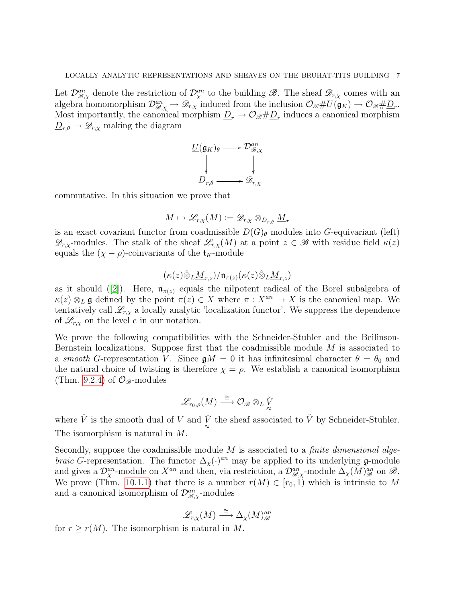Let  $\mathcal{D}_{\mathscr{B},\chi}^{an}$  denote the restriction of  $\mathcal{D}_{\chi}^{an}$  to the building  $\mathscr{B}$ . The sheaf  $\mathscr{D}_{r,\chi}$  comes with an algebra homomorphism  $\mathcal{D}_{\mathscr{B},\chi}^{an} \to \mathscr{D}_{r,\chi}$  induced from the inclusion  $\mathcal{O}_{\mathscr{B}}\#U(\mathfrak{g}_K) \to \mathcal{O}_{\mathscr{B}}\#D_r$ . Most importantly, the canonical morphism  $\underline{D}_r \to \mathcal{O}_{\mathscr{B}} \# \underline{D}_r$  induces a canonical morphism  $\underline{D}_{r,\theta} \to \mathscr{D}_{r,\chi}$  making the diagram

$$
\underbrace{U(\mathfrak{g}_K)_{\theta}}_{\underline{D}_{r,\theta}} \longrightarrow \mathcal{D}^{an}_{\mathscr{B},\chi}
$$

commutative. In this situation we prove that

$$
M \mapsto \mathscr{L}_{r,\chi}(M) := \mathscr{D}_{r,\chi} \otimes_{\underline{D}_{r,\theta}} \underline{M}_r
$$

is an exact covariant functor from coadmissible  $D(G)_{\theta}$  modules into G-equivariant (left)  $\mathscr{D}_{r,x}$ -modules. The stalk of the sheaf  $\mathscr{L}_{r,x}(M)$  at a point  $z \in \mathscr{B}$  with residue field  $\kappa(z)$ equals the  $(\chi - \rho)$ -coinvariants of the  $\mathfrak{t}_K$ -module

$$
(\kappa(z)\hat{\otimes}_L \underline{M}_{r,z})/\mathfrak{n}_{\pi(z)}(\kappa(z)\hat{\otimes}_L \underline{M}_{r,z})
$$

asit should ([\[2\]](#page-76-1)). Here,  $\mathfrak{n}_{\pi(z)}$  equals the nilpotent radical of the Borel subalgebra of  $\kappa(z) \otimes_L \mathfrak{g}$  defined by the point  $\pi(z) \in X$  where  $\pi : X^{an} \to X$  is the canonical map. We tentatively call  $\mathcal{L}_{r,x}$  a locally analytic 'localization functor'. We suppress the dependence of  $\mathscr{L}_{r,\chi}$  on the level e in our notation.

We prove the following compatibilities with the Schneider-Stuhler and the Beilinson-Bernstein localizations. Suppose first that the coadmissible module M is associated to a smooth G-representation V. Since  $\mathfrak{g}M = 0$  it has infinitesimal character  $\theta = \theta_0$  and the natural choice of twisting is therefore  $\chi = \rho$ . We establish a canonical isomorphism (Thm. [9.2.4\)](#page-67-1) of  $\mathcal{O}_{\mathscr{B}}$ -modules

$$
\mathscr{L}_{r_0, \rho}(M) \stackrel{\cong}{\longrightarrow} \mathcal{O}_{\mathscr{B}} \otimes_L \check{\c V}
$$

where  $\check{V}$  is the smooth dual of V and  $\check{V}$  the sheaf associated to  $\check{V}$  by Schneider-Stuhler. The isomorphism is natural in M.

Secondly, suppose the coadmissible module  $M$  is associated to a *finite dimensional algebraic G*-representation. The functor  $\Delta_{\chi}(\cdot)^{an}$  may be applied to its underlying **g**-module and gives a  $\mathcal{D}_{\chi}^{an}$ -module on  $X^{an}$  and then, via restriction, a  $\mathcal{D}_{\mathscr{B},\chi}^{an}$ -module  $\Delta_{\chi}(M)_{\mathscr{B}}^{an}$  on  $\mathscr{B}$ . We prove (Thm. [10.1.1\)](#page-68-0) that there is a number  $r(M) \in [r_0, 1)$  which is intrinsic to M and a canonical isomorphism of  $\mathcal{D}_{\mathscr{B},\chi}^{an}$ -modules

$$
\mathscr{L}_{r,\chi}(M) \stackrel{\cong}{\longrightarrow} \Delta_{\chi}(M)^{an}_{\mathscr{B}}
$$

for  $r \ge r(M)$ . The isomorphism is natural in M.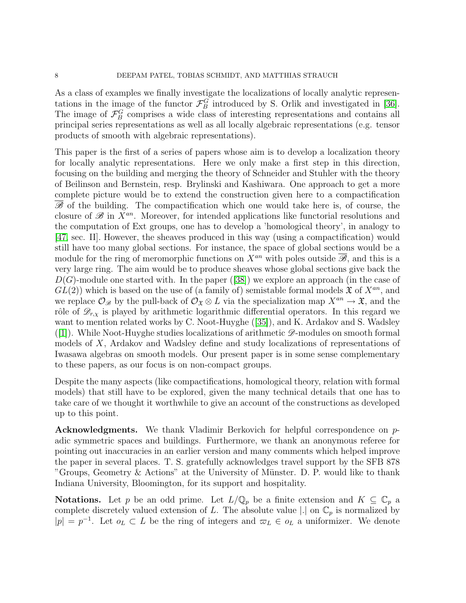As a class of examples we finally investigate the localizations of locally analytic representations in the image of the functor  $\mathcal{F}_{B}^{G}$  introduced by S. Orlik and investigated in [\[36\]](#page-77-3). The image of  $\mathcal{F}_{B}^{G}$  comprises a wide class of interesting representations and contains all principal series representations as well as all locally algebraic representations (e.g. tensor products of smooth with algebraic representations).

This paper is the first of a series of papers whose aim is to develop a localization theory for locally analytic representations. Here we only make a first step in this direction, focusing on the building and merging the theory of Schneider and Stuhler with the theory of Beilinson and Bernstein, resp. Brylinski and Kashiwara. One approach to get a more complete picture would be to extend the construction given here to a compactification  $\mathscr{B}$  of the building. The compactification which one would take here is, of course, the closure of  $\mathscr{B}$  in  $X^{an}$ . Moreover, for intended applications like functorial resolutions and the computation of Ext groups, one has to develop a 'homological theory', in analogy to [\[47,](#page-78-0) sec. II]. However, the sheaves produced in this way (using a compactification) would still have too many global sections. For instance, the space of global sections would be a module for the ring of meromorphic functions on  $X^{an}$  with poles outside  $\overline{\mathscr{B}}$ , and this is a very large ring. The aim would be to produce sheaves whose global sections give back the  $D(G)$ -moduleone started with. In the paper ([\[38\]](#page-78-4)) we explore an approach (in the case of  $GL(2)$ ) which is based on the use of (a family of) semistable formal models  $\mathfrak{X}$  of  $X^{an}$ , and we replace  $\mathcal{O}_{\mathscr{B}}$  by the pull-back of  $\mathcal{O}_{\mathfrak{X}} \otimes L$  via the specialization map  $X^{an} \to \mathfrak{X}$ , and the rôle of  $\mathscr{D}_{r,x}$  is played by arithmetic logarithmic differential operators. In this regard we want to mention related works by C. Noot-Huyghe([\[35\]](#page-77-4)), and K. Ardakov and S. Wadsley  $([1])$  $([1])$  $([1])$ . While Noot-Huyghe studies localizations of arithmetic  $\mathscr{D}$ -modules on smooth formal models of X, Ardakov and Wadsley define and study localizations of representations of Iwasawa algebras on smooth models. Our present paper is in some sense complementary to these papers, as our focus is on non-compact groups.

Despite the many aspects (like compactifications, homological theory, relation with formal models) that still have to be explored, given the many technical details that one has to take care of we thought it worthwhile to give an account of the constructions as developed up to this point.

Acknowledgments. We thank Vladimir Berkovich for helpful correspondence on padic symmetric spaces and buildings. Furthermore, we thank an anonymous referee for pointing out inaccuracies in an earlier version and many comments which helped improve the paper in several places. T. S. gratefully acknowledges travel support by the SFB 878 "Groups, Geometry & Actions" at the University of Münster. D. P. would like to thank Indiana University, Bloomington, for its support and hospitality.

**Notations.** Let p be an odd prime. Let  $L/\mathbb{Q}_p$  be a finite extension and  $K \subseteq \mathbb{C}_p$  a complete discretely valued extension of L. The absolute value  $|.|$  on  $\mathbb{C}_p$  is normalized by  $|p| = p^{-1}$ . Let  $o_L \subset L$  be the ring of integers and  $\varpi_L \in o_L$  a uniformizer. We denote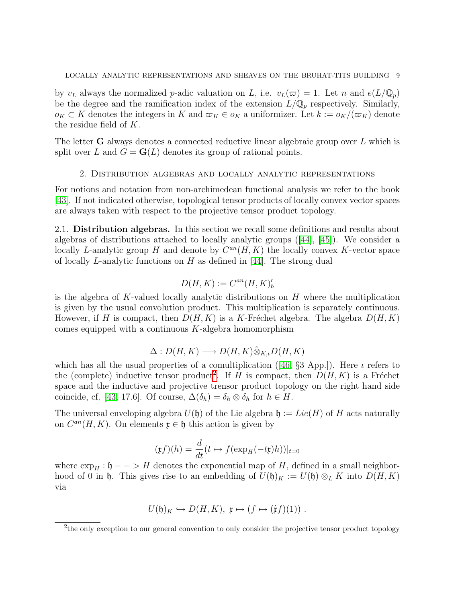by  $v_L$  always the normalized p-adic valuation on L, i.e.  $v_L(\varpi) = 1$ . Let n and  $e(L/\mathbb{Q}_p)$ be the degree and the ramification index of the extension  $L/\mathbb{Q}_p$  respectively. Similarly,  $o_K \subset K$  denotes the integers in K and  $\varpi_K \in o_K$  a uniformizer. Let  $k := o_K/(\varpi_K)$  denote the residue field of K.

The letter **G** always denotes a connected reductive linear algebraic group over  $L$  which is split over L and  $G = G(L)$  denotes its group of rational points.

#### 2. Distribution algebras and locally analytic representations

<span id="page-8-0"></span>For notions and notation from non-archimedean functional analysis we refer to the book [\[43\]](#page-78-5). If not indicated otherwise, topological tensor products of locally convex vector spaces are always taken with respect to the projective tensor product topology.

<span id="page-8-1"></span>2.1. Distribution algebras. In this section we recall some definitions and results about algebras of distributions attached to locally analytic groups([\[44\]](#page-78-3), [\[45\]](#page-78-2)). We consider a locally L-analytic group H and denote by  $C^{an}(H, K)$  the locally convex K-vector space of locally L-analytic functions on H as defined in  $[44]$ . The strong dual

$$
D(H, K) := C^{an}(H, K)'_b
$$

is the algebra of K-valued locally analytic distributions on  $H$  where the multiplication is given by the usual convolution product. This multiplication is separately continuous. However, if H is compact, then  $D(H, K)$  is a K-Fréchet algebra. The algebra  $D(H, K)$ comes equipped with a continuous  $K$ -algebra homomorphism

$$
\Delta: D(H, K) \longrightarrow D(H, K) \hat{\otimes}_{K, \iota} D(H, K)
$$

whichhas all the usual properties of a comultiplication ([\[46,](#page-78-6)  $\S$ 3 App.]). Here  $\iota$  refers to the (complete) inductive tensor product<sup>[2](#page-8-2)</sup>. If H is compact, then  $D(H, K)$  is a Fréchet space and the inductive and projective trensor product topology on the right hand side coincide, cf. [\[43,](#page-78-5) 17.6]. Of course,  $\Delta(\delta_h) = \delta_h \otimes \delta_h$  for  $h \in H$ .

The universal enveloping algebra  $U(\mathfrak{h})$  of the Lie algebra  $\mathfrak{h} := Lie(H)$  of H acts naturally on  $C^{an}(H, K)$ . On elements  $\mathfrak{x} \in \mathfrak{h}$  this action is given by

$$
(\mathfrak{x}f)(h) = \frac{d}{dt}(t \mapsto f(\exp_H(-t\mathfrak{x})h))|_{t=0}
$$

where  $\exp_H : \mathfrak{h} \longrightarrow H$  denotes the exponential map of H, defined in a small neighborhood of 0 in h. This gives rise to an embedding of  $U(\mathfrak{h})_K := U(\mathfrak{h}) \otimes_L K$  into  $D(H, K)$ via

$$
U(\mathfrak{h})_K \hookrightarrow D(H, K), \mathfrak{x} \mapsto (f \mapsto (\dot{\mathfrak{x}}f)(1)) .
$$

<span id="page-8-2"></span><sup>&</sup>lt;sup>2</sup>the only exception to our general convention to only consider the projective tensor product topology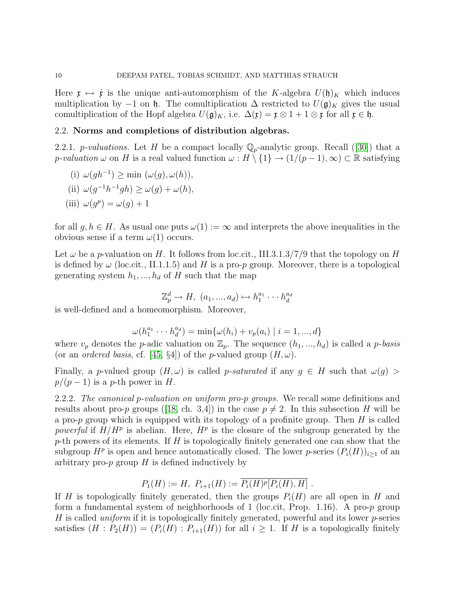Here  $\mathfrak{x} \mapsto \dot{\mathfrak{x}}$  is the unique anti-automorphism of the K-algebra  $U(\mathfrak{h})_K$  which induces multiplication by −1 on  $\mathfrak h$ . The comultiplication  $\Delta$  restricted to  $U(\mathfrak g)_K$  gives the usual comultiplication of the Hopf algebra  $U(\mathfrak{g})_K$ , i.e.  $\Delta(\mathfrak{x}) = \mathfrak{x} \otimes 1 + 1 \otimes \mathfrak{x}$  for all  $\mathfrak{x} \in \mathfrak{h}$ .

#### <span id="page-9-0"></span>2.2. Norms and completions of distribution algebras.

2.2.1.*p-valuations*. Let H be a compact locally  $\mathbb{Q}_p$ -analytic group. Recall ([\[30\]](#page-77-1)) that a p-valuation  $\omega$  on H is a real valued function  $\omega : H \setminus \{1\} \to (1/(p-1), \infty) \subset \mathbb{R}$  satisfying

(i) 
$$
\omega(gh^{-1}) \ge \min (\omega(g), \omega(h)),
$$

(ii) 
$$
\omega(g^{-1}h^{-1}gh) \ge \omega(g) + \omega(h)
$$
,

(iii)  $\omega(g^p) = \omega(g) + 1$ 

for all  $g, h \in H$ . As usual one puts  $\omega(1) := \infty$  and interprets the above inequalities in the obvious sense if a term  $\omega(1)$  occurs.

Let  $\omega$  be a p-valuation on H. It follows from loc.cit., III.3.1.3/7/9 that the topology on H is defined by  $\omega$  (loc.cit., II.1.1.5) and H is a pro-p group. Moreover, there is a topological generating system  $h_1, ..., h_d$  of H such that the map

$$
\mathbb{Z}_p^d \to H, \ (a_1, ..., a_d) \mapsto h_1^{a_1} \cdots h_d^{a_d}
$$

is well-defined and a homeomorphism. Moreover,

$$
\omega(h_1^{a_1} \cdots h_d^{a_d}) = \min \{ \omega(h_i) + v_p(a_i) \mid i = 1, ..., d \}
$$

where  $v_p$  denotes the p-adic valuation on  $\mathbb{Z}_p$ . The sequence  $(h_1, ..., h_d)$  is called a p-basis (or an *ordered basis*, cf. [\[45,](#page-78-2) §4]) of the *p*-valued group  $(H, \omega)$ .

Finally, a p-valued group  $(H, \omega)$  is called p-saturated if any  $g \in H$  such that  $\omega(g)$  $p/(p-1)$  is a p-th power in H.

<span id="page-9-1"></span>2.2.2. The canonical p-valuation on uniform pro-p groups. We recall some definitions and resultsabout pro-p groups ([\[18,](#page-77-5) ch. 3,4]) in the case  $p \neq 2$ . In this subsection H will be a pro-p group which is equipped with its topology of a profinite group. Then  $H$  is called powerful if  $H/H^p$  is abelian. Here,  $H^p$  is the closure of the subgroup generated by the p-th powers of its elements. If  $H$  is topologically finitely generated one can show that the subgroup  $H^p$  is open and hence automatically closed. The lower p-series  $(P_i(H))_{i\geq 1}$  of an arbitrary pro- $p$  group  $H$  is defined inductively by

$$
P_1(H) := H
$$
,  $P_{i+1}(H) := \overline{P_i(H)^p[P_i(H), H]}$ .

If H is topologically finitely generated, then the groups  $P_i(H)$  are all open in H and form a fundamental system of neighborhoods of 1 (loc.cit, Prop. 1.16). A pro- $p$  group H is called *uniform* if it is topologically finitely generated, powerful and its lower  $p$ -series satisfies  $(H : P_2(H)) = (P_i(H) : P_{i+1}(H))$  for all  $i \geq 1$ . If H is a topologically finitely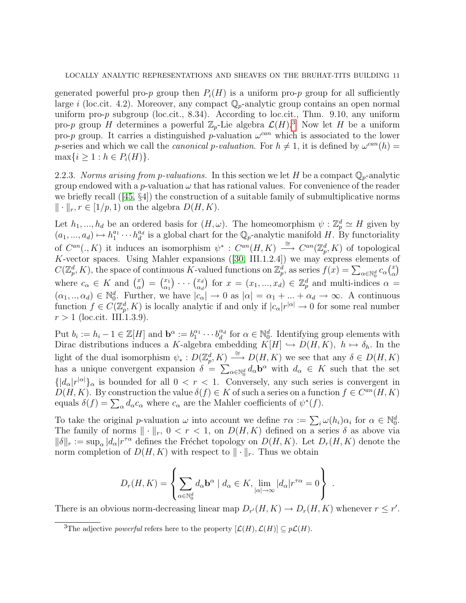generated powerful pro-p group then  $P_i(H)$  is a uniform pro-p group for all sufficiently large i (loc.cit. 4.2). Moreover, any compact  $\mathbb{Q}_p$ -analytic group contains an open normal uniform pro-p subgroup (loc.cit., 8.34). According to loc.cit., Thm. 9.10, any uniform pro-p group H determines a powerful  $\mathbb{Z}_p$ -Lie algebra  $\mathcal{L}(H)$ .<sup>[3](#page-10-0)</sup> Now let H be a uniform pro-p group. It carries a distinguished p-valuation  $\omega^{can}$  which is associated to the lower p-series and which we call the *canonical* p-valuation. For  $h \neq 1$ , it is defined by  $\omega^{can}(h)$  =  $\max\{i \geq 1 : h \in P_i(H)\}.$ 

<span id="page-10-1"></span>2.2.3. Norms arising from p-valuations. In this section we let H be a compact  $\mathbb{Q}_p$ -analytic group endowed with a p-valuation  $\omega$  that has rational values. For convenience of the reader webriefly recall  $(45, 84)$  the construction of a suitable family of submultiplicative norms  $\|\cdot\|_r, r \in [1/p, 1)$  on the algebra  $D(H, K)$ .

Let  $h_1, ..., h_d$  be an ordered basis for  $(H, \omega)$ . The homeomorphism  $\psi : \mathbb{Z}_p^d \simeq H$  given by  $(a_1, ..., a_d) \mapsto h_1^{a_1} \cdots h_d^{a_d}$  is a global chart for the  $\mathbb{Q}_p$ -analytic manifold H. By functoriality of  $C^{an}(. , K)$  it induces an isomorphism  $\psi^* : C^{an}(H, K) \longrightarrow C^{an}(\mathbb{Z}_p^d, K)$  of topological K-vector spaces. Using Mahler expansions([\[30,](#page-77-1) III.1.2.4]) we may express elements of  $C(\mathbb{Z}_p^d, K)$ , the space of continuous K-valued functions on  $\mathbb{Z}_p^d$ , as series  $f(x) = \sum_{\alpha \in \mathbb{N}_0^d} c_{\alpha} \binom{x}{\alpha}$  $\binom{x}{\alpha}$ where  $c_{\alpha} \in K$  and  $\binom{x}{\alpha}$  $\binom{x}{\alpha} = \binom{x_1}{\alpha_1}$  $\begin{pmatrix} x_1 \\ \alpha_1 \end{pmatrix} \cdots \begin{pmatrix} x_d \\ \alpha_d \end{pmatrix}$  $\begin{bmatrix} x_d \\ \alpha_d \end{bmatrix}$  for  $x = (x_1, ..., x_d) \in \mathbb{Z}_p^d$  and multi-indices  $\alpha =$  $(\alpha_1, ..., \alpha_d) \in \mathbb{N}_0^d$ . Further, we have  $|c_{\alpha}| \to 0$  as  $|\alpha| = \alpha_1 + ... + \alpha_d \to \infty$ . A continuous function  $f \in C(\mathbb{Z}_p^d, K)$  is locally analytic if and only if  $|c_\alpha|r^{|\alpha|} \to 0$  for some real number  $r > 1$  (loc.cit. III.1.3.9).

Put  $b_i := h_i - 1 \in \mathbb{Z}[H]$  and  $\mathbf{b}^{\alpha} := b_1^{\alpha_1} \cdots b_d^{\alpha_d}$  for  $\alpha \in \mathbb{N}_0^d$ . Identifying group elements with Dirac distributions induces a K-algebra embedding  $K[H] \hookrightarrow D(H, K)$ ,  $h \mapsto \delta_h$ . In the light of the dual isomorphism  $\psi_* : D(\mathbb{Z}_p^d, K) \stackrel{\cong}{\longrightarrow} D(H, K)$  we see that any  $\delta \in D(H, K)$ has a unique convergent expansion  $\delta = \sum_{\alpha \in \mathbb{N}_0^d} d_\alpha \mathbf{b}^\alpha$  with  $d_\alpha \in K$  such that the set  ${ |d_{\alpha}|r^{|\alpha|} }_{\alpha}$  is bounded for all  $0 < r < 1$ . Conversely, any such series is convergent in  $D(H, K)$ . By construction the value  $\delta(f) \in K$  of such a series on a function  $f \in C^{an}(H, K)$ equals  $\delta(f) = \sum_{\alpha} d_{\alpha} c_{\alpha}$  where  $c_{\alpha}$  are the Mahler coefficients of  $\psi^*(f)$ .

To take the original p-valuation  $\omega$  into account we define  $\tau \alpha := \sum_i \omega(h_i) \alpha_i$  for  $\alpha \in \mathbb{N}_0^d$ . The family of norms  $\|\cdot\|_r$ ,  $0 < r < 1$ , on  $D(H, K)$  defined on a series  $\delta$  as above via  $\|\delta\|_r := \sup_{\alpha} |d_{\alpha}| r^{\tau \alpha}$  defines the Fréchet topology on  $D(H, K)$ . Let  $D_r(H, K)$  denote the norm completion of  $D(H, K)$  with respect to  $\|\cdot\|_r$ . Thus we obtain

$$
D_r(H, K) = \left\{ \sum_{\alpha \in \mathbb{N}_0^d} d_{\alpha} \mathbf{b}^{\alpha} \mid d_{\alpha} \in K, \lim_{|\alpha| \to \infty} |d_{\alpha}| r^{\tau \alpha} = 0 \right\} .
$$

There is an obvious norm-decreasing linear map  $D_{r'}(H,K) \to D_r(H,K)$  whenever  $r \leq r'$ .

<span id="page-10-0"></span><sup>&</sup>lt;sup>3</sup>The adjective *powerful* refers here to the property  $[\mathcal{L}(H), \mathcal{L}(H)] \subseteq p\mathcal{L}(H)$ .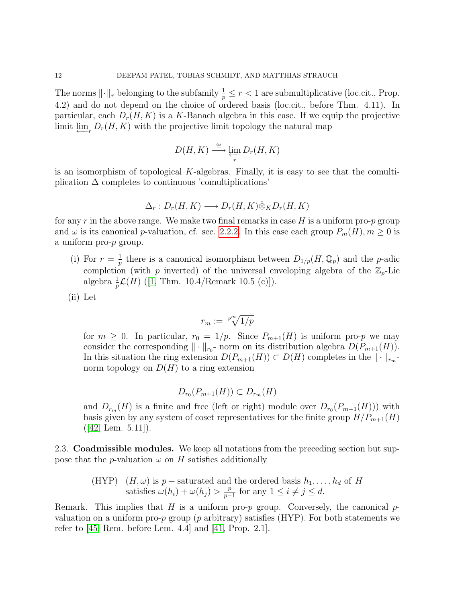The norms  $\lVert \cdot \rVert_r$  belonging to the subfamily  $\frac{1}{p} \leq r < 1$  are submultiplicative (loc.cit., Prop. 4.2) and do not depend on the choice of ordered basis (loc.cit., before Thm. 4.11). In particular, each  $D_r(H, K)$  is a K-Banach algebra in this case. If we equip the projective limit  $\varprojlim_r D_r(H, K)$  with the projective limit topology the natural map

$$
D(H, K) \xrightarrow{\cong} \varprojlim_r D_r(H, K)
$$

is an isomorphism of topological  $K$ -algebras. Finally, it is easy to see that the comultiplication  $\Delta$  completes to continuous 'comultiplications'

$$
\Delta_r: D_r(H,K) \longrightarrow D_r(H,K) \hat{\otimes}_K D_r(H,K)
$$

for any r in the above range. We make two final remarks in case  $H$  is a uniform pro-p group and  $\omega$  is its canonical p-valuation, cf. sec. [2.2.2.](#page-9-1) In this case each group  $P_m(H), m \ge 0$  is a uniform pro-p group.

- (i) For  $r=\frac{1}{n}$  $\frac{1}{p}$  there is a canonical isomorphism between  $D_{1/p}(H, \mathbb{Q}_p)$  and the *p*-adic completion (with p inverted) of the universal enveloping algebra of the  $\mathbb{Z}_p$ -Lie algebra $\frac{1}{p}\mathcal{L}(H)$  ([\[1,](#page-76-0) Thm. 10.4/Remark 10.5 (c)]).
- (ii) Let

$$
r_m := \sqrt[p^m]{1/p}
$$

for  $m \geq 0$ . In particular,  $r_0 = 1/p$ . Since  $P_{m+1}(H)$  is uniform pro-p we may consider the corresponding  $\|\cdot\|_{r_0}$ - norm on its distribution algebra  $D(P_{m+1}(H))$ . In this situation the ring extension  $D(P_{m+1}(H)) \subset D(H)$  completes in the  $\|\cdot\|_{r_m}$ . norm topology on  $D(H)$  to a ring extension

$$
D_{r_0}(P_{m+1}(H)) \subset D_{r_m}(H)
$$

and  $D_{r_m}(H)$  is a finite and free (left or right) module over  $D_{r_0}(P_{m+1}(H))$ ) with basis given by any system of coset representatives for the finite group  $H/P_{m+1}(H)$  $([42, \text{ Lem. } 5.11]).$  $([42, \text{ Lem. } 5.11]).$  $([42, \text{ Lem. } 5.11]).$ 

<span id="page-11-0"></span>2.3. Coadmissible modules. We keep all notations from the preceding section but suppose that the *p*-valuation  $\omega$  on H satisfies additionally

> (HYP)  $(H, \omega)$  is p – saturated and the ordered basis  $h_1, \ldots, h_d$  of H satisfies  $\omega(h_i) + \omega(h_j) > \frac{p}{n-1}$  $\frac{p}{p-1}$  for any  $1 \leq i \neq j \leq d$ .

Remark. This implies that  $H$  is a uniform pro- $p$  group. Conversely, the canonical  $p$ valuation on a uniform pro-p group (p arbitrary) satisfies (HYP). For both statements we refer to [\[45,](#page-78-2) Rem. before Lem. 4.4] and [\[41,](#page-78-8) Prop. 2.1].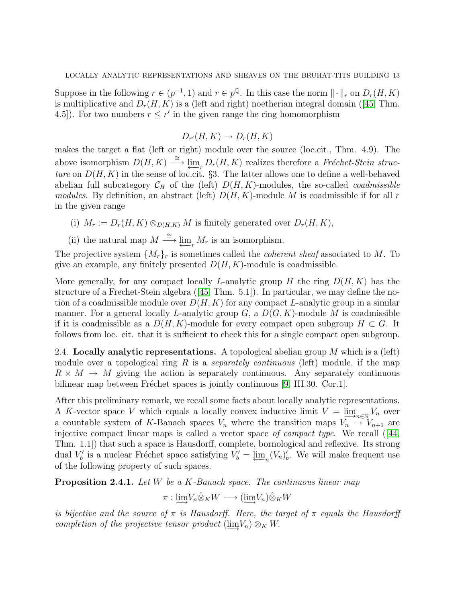Suppose in the following  $r \in (p^{-1}, 1)$  and  $r \in p^{\mathbb{Q}}$ . In this case the norm  $\|\cdot\|_r$  on  $D_r(H, K)$ ismultiplicative and  $D_r(H, K)$  is a (left and right) noetherian integral domain ([\[45,](#page-78-2) Thm. 4.5]). For two numbers  $r \leq r'$  in the given range the ring homomorphism

$$
D_{r'}(H,K) \to D_r(H,K)
$$

makes the target a flat (left or right) module over the source (loc.cit., Thm. 4.9). The above isomorphism  $D(H, K) \stackrel{\cong}{\longrightarrow} \lim_{r \to \infty} D_r(H, K)$  realizes therefore a Fréchet-Stein structure on  $D(H, K)$  in the sense of loc.cit. §3. The latter allows one to define a well-behaved abelian full subcategory  $\mathcal{C}_H$  of the (left)  $D(H, K)$ -modules, the so-called *coadmissible* modules. By definition, an abstract (left)  $D(H, K)$ -module M is coadmissible if for all r in the given range

- (i)  $M_r := D_r(H, K) \otimes_{D(H,K)} M$  is finitely generated over  $D_r(H, K)$ ,
- (ii) the natural map  $M \stackrel{\cong}{\longrightarrow} \varprojlim_r M_r$  is an isomorphism.

The projective system  $\{M_r\}_r$  is sometimes called the *coherent sheaf* associated to M. To give an example, any finitely presented  $D(H, K)$ -module is coadmissible.

More generally, for any compact locally L-analytic group H the ring  $D(H, K)$  has the structure of a Frechet-Stein algebra([\[45,](#page-78-2) Thm. 5.1]). In particular, we may define the notion of a coadmissible module over  $D(H, K)$  for any compact L-analytic group in a similar manner. For a general locally L-analytic group  $G$ , a  $D(G, K)$ -module M is coadmissible if it is coadmissible as a  $D(H, K)$ -module for every compact open subgroup  $H \subset G$ . It follows from loc. cit. that it is sufficient to check this for a single compact open subgroup.

<span id="page-12-0"></span>2.4. Locally analytic representations. A topological abelian group  $M$  which is a (left) module over a topological ring R is a *separately continuous* (left) module, if the map  $R \times M \rightarrow M$  giving the action is separately continuous. Any separately continuous bilinear map between Fréchet spaces is jointly continuous  $[9, \text{III}.30. \text{Cor.1}]$ .

After this preliminary remark, we recall some facts about locally analytic representations. A K-vector space V which equals a locally convex inductive limit  $V = \lim_{\substack{\longrightarrow \\ \longrightarrow}} V_n$  over a countable system of K-Banach spaces  $V_n$  where the transition maps  $V_n \to V_{n+1}$  are injectivecompact linear maps is called a vector space of compact type. We recall  $(14, 4)$ Thm. 1.1]) that such a space is Hausdorff, complete, bornological and reflexive. Its strong dual  $V'_{b}$  is a nuclear Fréchet space satisfying  $V'_{b} = \underbrace{\lim}_{n} (V_{n})'_{b}$ . We will make frequent use of the following property of such spaces.

<span id="page-12-1"></span>Proposition 2.4.1. Let W be a K-Banach space. The continuous linear map

$$
\pi: \underline{\lim}_{n} V_n \hat{\otimes}_K W \longrightarrow (\underline{\lim}_{n} V_n) \hat{\otimes}_K W
$$

is bijective and the source of  $\pi$  is Hausdorff. Here, the target of  $\pi$  equals the Hausdorff completion of the projective tensor product  $(\lim V_n) \otimes_K W$ .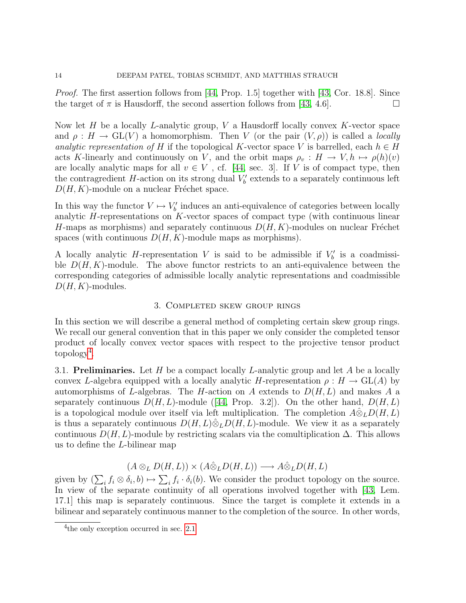*Proof.* The first assertion follows from [\[44,](#page-78-3) Prop. 1.5] together with [\[43,](#page-78-5) Cor. 18.8]. Since the target of  $\pi$  is Hausdorff, the second assertion follows from [\[43,](#page-78-5) 4.6].

Now let  $H$  be a locally  $L$ -analytic group,  $V$  a Hausdorff locally convex  $K$ -vector space and  $\rho: H \to GL(V)$  a homomorphism. Then V (or the pair  $(V, \rho)$ ) is called a *locally* analytic representation of H if the topological K-vector space V is barrelled, each  $h \in H$ acts K-linearly and continuously on V, and the orbit maps  $\rho_v : H \to V, h \mapsto \rho(h)(v)$ are locally analytic maps for all  $v \in V$ , cf. [\[44,](#page-78-3) sec. 3]. If V is of compact type, then the contragredient  $H$ -action on its strong dual  $V'_{b}$  extends to a separately continuous left  $D(H, K)$ -module on a nuclear Fréchet space.

In this way the functor  $V \mapsto V'_b$  induces an anti-equivalence of categories between locally analytic H-representations on K-vector spaces of compact type (with continuous linear H-maps as morphisms) and separately continuous  $D(H, K)$ -modules on nuclear Fréchet spaces (with continuous  $D(H, K)$ -module maps as morphisms).

A locally analytic *H*-representation V is said to be admissible if  $V'_{b}$  is a coadmissible  $D(H, K)$ -module. The above functor restricts to an anti-equivalence between the corresponding categories of admissible locally analytic representations and coadmissible  $D(H, K)$ -modules.

#### 3. Completed skew group rings

<span id="page-13-0"></span>In this section we will describe a general method of completing certain skew group rings. We recall our general convention that in this paper we only consider the completed tensor product of locally convex vector spaces with respect to the projective tensor product  $topology<sup>4</sup>$  $topology<sup>4</sup>$  $topology<sup>4</sup>$ .

<span id="page-13-1"></span>3.1. Preliminaries. Let H be a compact locally L-analytic group and let A be a locally convex L-algebra equipped with a locally analytic H-representation  $\rho : H \to GL(A)$  by automorphisms of L-algebras. The H-action on A extends to  $D(H, L)$  and makes A a separatelycontinuous  $D(H, L)$ -module ([\[44,](#page-78-3) Prop. 3.2]). On the other hand,  $D(H, L)$ is a topological module over itself via left multiplication. The completion  $\hat{A} \hat{\otimes}_L D(H, L)$ is thus a separately continuous  $D(H, L)\hat{\otimes}_L D(H, L)$ -module. We view it as a separately continuous  $D(H, L)$ -module by restricting scalars via the comultiplication  $\Delta$ . This allows us to define the L-bilinear map

$$
(A \otimes_L D(H, L)) \times (A \hat{\otimes}_L D(H, L)) \longrightarrow A \hat{\otimes}_L D(H, L)
$$

given by  $(\sum_i f_i \otimes \delta_i, b) \mapsto \sum_i f_i \cdot \delta_i(b)$ . We consider the product topology on the source. In view of the separate continuity of all operations involved together with [\[43,](#page-78-5) Lem. 17.1] this map is separately continuous. Since the target is complete it extends in a bilinear and separately continuous manner to the completion of the source. In other words,

<span id="page-13-2"></span><sup>&</sup>lt;sup>4</sup> the only exception occurred in sec. [2.1](#page-8-1)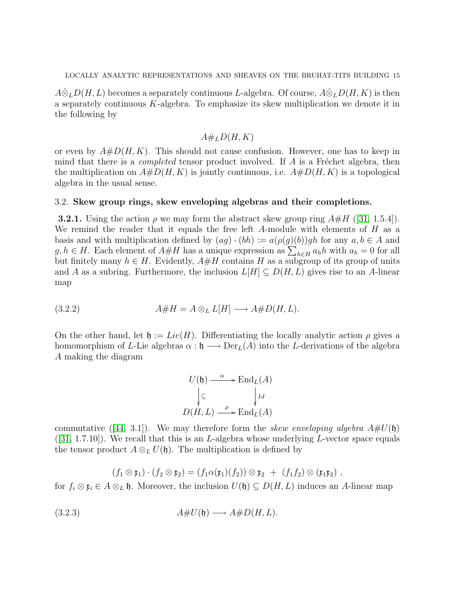$A\hat{\otimes}_L D(H,L)$  becomes a separately continuous L-algebra. Of course,  $A\hat{\otimes}_L D(H,K)$  is then a separately continuous  $K$ -algebra. To emphasize its skew multiplication we denote it in the following by

# $A#_L D(H, K)$

or even by  $A#D(H, K)$ . This should not cause confusion. However, one has to keep in mind that there is a *completed* tensor product involved. If  $A$  is a Fréchet algebra, then the multiplication on  $A#D(H, K)$  is jointly continuous, i.e.  $A#D(H, K)$  is a topological algebra in the usual sense.

#### <span id="page-14-0"></span>3.2. Skew group rings, skew enveloping algebras and their completions.

**3.2.1.** Using the action  $\rho$  we may form the abstract skew group ring  $A\#H$  ([\[31,](#page-77-2) 1.5.4]). We remind the reader that it equals the free left  $A$ -module with elements of  $H$  as a basis and with multiplication defined by  $(ag) \cdot (bh) := a(\rho(g)(b))gh$  for any  $a, b \in A$  and  $g, h \in H$ . Each element of  $A \# H$  has a unique expression as  $\sum_{h \in H} a_h h$  with  $a_h = 0$  for all but finitely many  $h \in H$ . Evidently,  $A \# H$  contains H as a subgroup of its group of units and A as a subring. Furthermore, the inclusion  $L[H] \subseteq D(H, L)$  gives rise to an A-linear map

(3.2.2) 
$$
A \# H = A \otimes_L L[H] \longrightarrow A \# D(H, L).
$$

On the other hand, let  $\mathfrak{h} := Lie(H)$ . Differentiating the locally analytic action  $\rho$  gives a homomorphism of L-Lie algebras  $\alpha : \mathfrak{h} \longrightarrow \mathrm{Der}_L(A)$  into the L-derivations of the algebra A making the diagram

<span id="page-14-1"></span>
$$
U(\mathfrak{h}) \xrightarrow{\alpha} \operatorname{End}_L(A)
$$

$$
\downarrow \subseteq \qquad \qquad \downarrow id
$$

$$
D(H, L) \xrightarrow{\rho} \operatorname{End}_L(A)
$$

commutative([\[44,](#page-78-3) 3.1]). We may therefore form the *skew enveloping algebra*  $A\#U(\mathfrak{h})$  $([31, 1.7.10])$  $([31, 1.7.10])$  $([31, 1.7.10])$ . We recall that this is an *L*-algebra whose underlying *L*-vector space equals the tensor product  $A \otimes_L U(\mathfrak{h})$ . The multiplication is defined by

<span id="page-14-2"></span>
$$
(f_1\otimes \mathfrak{x}_1)\cdot (f_2\otimes \mathfrak{x}_2)=(f_1\alpha(\mathfrak{x}_1)(f_2))\otimes \mathfrak{x}_2 + (f_1f_2)\otimes (\mathfrak{x}_1\mathfrak{x}_2),
$$

for  $f_i \otimes \mathfrak{x}_i \in A \otimes_L \mathfrak{h}$ . Moreover, the inclusion  $U(\mathfrak{h}) \subseteq D(H,L)$  induces an A-linear map

(3.2.3) A#U(h) −→ A#D(H, L).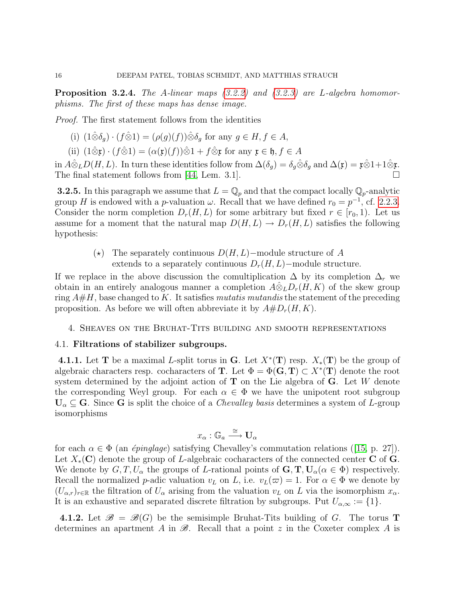<span id="page-15-3"></span>**Proposition 3.2.4.** The A-linear maps  $(3.2.2)$  and  $(3.2.3)$  are L-algebra homomorphisms. The first of these maps has dense image.

Proof. The first statement follows from the identities

- (i)  $(1\hat{\otimes}\delta_q) \cdot (f\hat{\otimes}1) = (\rho(g)(f))\hat{\otimes}\delta_q$  for any  $g \in H, f \in A$ ,
- (ii)  $(1\hat{\otimes} \mathfrak{x}) \cdot (f\hat{\otimes} 1) = (\alpha(\mathfrak{x})(f))\hat{\otimes} 1 + f\hat{\otimes} \mathfrak{x}$  for any  $\mathfrak{x} \in \mathfrak{h}, f \in A$

in  $\hat{A} \hat{\otimes}_L D(H, L)$ . In turn these identities follow from  $\Delta(\delta_g) = \delta_g \hat{\otimes} \delta_g$  and  $\Delta(\mathfrak{x}) = \mathfrak{x} \hat{\otimes} 1 + 1 \hat{\otimes} \mathfrak{x}$ . The final statement follows from [\[44,](#page-78-3) Lem. 3.1].

<span id="page-15-2"></span>**3.2.5.** In this paragraph we assume that  $L = \mathbb{Q}_p$  and that the compact locally  $\mathbb{Q}_p$ -analytic group H is endowed with a p-valuation  $\omega$ . Recall that we have defined  $r_0 = p^{-1}$ , cf. [2.2.3.](#page-10-1) Consider the norm completion  $D_r(H, L)$  for some arbitrary but fixed  $r \in [r_0, 1)$ . Let us assume for a moment that the natural map  $D(H, L) \to D<sub>r</sub>(H, L)$  satisfies the following hypothesis:

> $(\star)$  The separately continuous  $D(H, L)$ –module structure of A extends to a separately continuous  $D_r(H, L)$ –module structure.

If we replace in the above discussion the comultiplication  $\Delta$  by its completion  $\Delta_r$  we obtain in an entirely analogous manner a completion  $\widehat{A\otimes_L}D_r(H,K)$  of the skew group ring  $A\#H$ , base changed to K. It satisfies mutatis mutandis the statement of the preceding proposition. As before we will often abbreviate it by  $A#D_r(H, K)$ .

# <span id="page-15-0"></span>4. Sheaves on the Bruhat-Tits building and smooth representations

#### <span id="page-15-1"></span>4.1. Filtrations of stabilizer subgroups.

**4.1.1.** Let **T** be a maximal L-split torus in **G**. Let  $X^*(\mathbf{T})$  resp.  $X_*(\mathbf{T})$  be the group of algebraic characters resp. cocharacters of **T**. Let  $\Phi = \Phi(\mathbf{G}, \mathbf{T}) \subset X^*(\mathbf{T})$  denote the root system determined by the adjoint action of  $\bf{T}$  on the Lie algebra of  $\bf{G}$ . Let W denote the corresponding Weyl group. For each  $\alpha \in \Phi$  we have the unipotent root subgroup  $U_{\alpha} \subseteq G$ . Since G is split the choice of a *Chevalley basis* determines a system of L-group isomorphisms

$$
x_{\alpha} : \mathbb{G}_a \xrightarrow{\cong} \mathbf{U}_{\alpha}
$$

foreach  $\alpha \in \Phi$  (an *épinglage*) satisfying Chevalley's commutation relations ([\[15,](#page-77-6) p. 27]). Let  $X_*(\mathbf{C})$  denote the group of L-algebraic cocharacters of the connected center C of G. We denote by  $G, T, U_\alpha$  the groups of L-rational points of  $\mathbf{G}, \mathbf{T}, \mathbf{U}_\alpha(\alpha \in \Phi)$  respectively. Recall the normalized p-adic valuation  $v_L$  on L, i.e.  $v_L(\varpi) = 1$ . For  $\alpha \in \Phi$  we denote by  $(U_{\alpha,r})_{r\in\mathbb{R}}$  the filtration of  $U_{\alpha}$  arising from the valuation  $v_L$  on L via the isomorphism  $x_{\alpha}$ . It is an exhaustive and separated discrete filtration by subgroups. Put  $U_{\alpha,\infty} := \{1\}.$ 

4.1.2. Let  $\mathscr{B} = \mathscr{B}(G)$  be the semisimple Bruhat-Tits building of G. The torus **T** determines an apartment A in  $\mathscr{B}$ . Recall that a point z in the Coxeter complex A is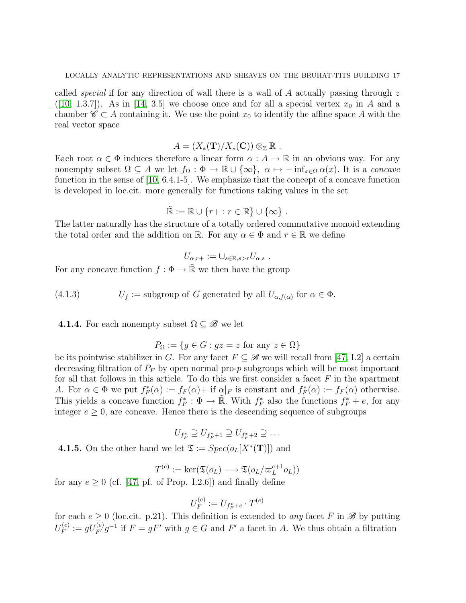called *special* if for any direction of wall there is a wall of A actually passing through  $z$ ([\[10,](#page-76-6) 1.3.7]). As in [\[14,](#page-77-7) 3.5] we choose once and for all a special vertex  $x_0$  in A and a chamber  $\mathscr{C} \subset A$  containing it. We use the point  $x_0$  to identify the affine space A with the real vector space

$$
A = (X_*(\mathbf{T})/X_*(\mathbf{C})) \otimes_{\mathbb{Z}} \mathbb{R} .
$$

Each root  $\alpha \in \Phi$  induces therefore a linear form  $\alpha : A \to \mathbb{R}$  in an obvious way. For any nonempty subset  $\Omega \subseteq A$  we let  $f_{\Omega} : \Phi \to \mathbb{R} \cup {\infty}$ ,  $\alpha \mapsto -\inf_{x \in \Omega} \alpha(x)$ . It is a concave function in the sense of [\[10,](#page-76-6) 6.4.1-5]. We emphasize that the concept of a concave function is developed in loc.cit. more generally for functions taking values in the set

$$
\widetilde{\mathbb{R}} := \mathbb{R} \cup \{r + : r \in \mathbb{R}\} \cup \{\infty\}.
$$

The latter naturally has the structure of a totally ordered commutative monoid extending the total order and the addition on R. For any  $\alpha \in \Phi$  and  $r \in \mathbb{R}$  we define

$$
U_{\alpha,r+} := \cup_{s \in \mathbb{R}, s > r} U_{\alpha,s} .
$$

For any concave function  $f : \Phi \to \tilde{\mathbb{R}}$  we then have the group

<span id="page-16-0"></span>(4.1.3)  $U_f := \text{subgroup of } G \text{ generated by all } U_{\alpha, f(\alpha)} \text{ for } \alpha \in \Phi.$ 

4.1.4. For each nonempty subset  $\Omega \subseteq \mathscr{B}$  we let

$$
P_{\Omega} := \{ g \in G : gz = z \text{ for any } z \in \Omega \}
$$

be its pointwise stabilizer in G. For any facet  $F \subseteq \mathscr{B}$  we will recall from [\[47,](#page-78-0) I.2] a certain decreasing filtration of  $P_F$  by open normal pro-p subgroups which will be most important for all that follows in this article. To do this we first consider a facet  $F$  in the apartment A. For  $\alpha \in \Phi$  we put  $f_F^*(\alpha) := f_F(\alpha) + \text{ if } \alpha|_F$  is constant and  $f_F^*(\alpha) := f_F(\alpha)$  otherwise. This yields a concave function  $f_F^* : \Phi \to \mathbb{R}$ . With  $f_F^*$  also the functions  $f_F^* + e$ , for any integer  $e \geq 0$ , are concave. Hence there is the descending sequence of subgroups

$$
U_{f_F^*} \supseteq U_{f_F^*+1} \supseteq U_{f_F^*+2} \supseteq \dots
$$

<span id="page-16-1"></span>**4.1.5.** On the other hand we let  $\mathfrak{T} := Spec(o_L[X^*(\mathbf{T})])$  and

$$
T^{(e)} := \ker(\mathfrak{T}(o_L) \longrightarrow \mathfrak{T}(o_L/\varpi_L^{e+1}o_L))
$$

for any  $e \geq 0$  (cf. [\[47,](#page-78-0) pf. of Prop. I.2.6]) and finally define

$$
U_F^{(e)} := U_{f_F^* + e} \cdot T^{(e)}
$$

for each  $e \geq 0$  (loc.cit. p.21). This definition is extended to any facet F in  $\mathscr{B}$  by putting  ${U}_F^{(e)}$  $F_F^{(e)} := gU_{F'}^{(e)}g^{-1}$  if  $F = gF'$  with  $g \in G$  and  $F'$  a facet in A. We thus obtain a filtration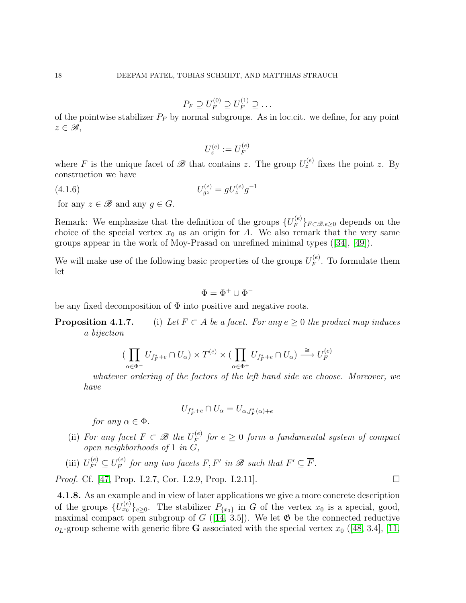$$
P_F \supseteq U_F^{(0)} \supseteq U_F^{(1)} \supseteq \dots
$$

of the pointwise stabilizer  $P_F$  by normal subgroups. As in loc.cit. we define, for any point  $z \in \mathscr{B}$ ,

<span id="page-17-0"></span>
$$
U_z^{(e)} := U_F^{(e)}
$$

where F is the unique facet of  $\mathscr{B}$  that contains z. The group  $U_z^{(e)}$  fixes the point z. By construction we have

(4.1.6) 
$$
U_{gz}^{(e)} = gU_z^{(e)}g^{-1}
$$

for any  $z \in \mathcal{B}$  and any  $g \in G$ .

Remark: We emphasize that the definition of the groups  ${U_F^{(e)}}$  ${}_{F}^{\left(e\right)}\}_{F\subset\mathscr{B},e\geq0}$  depends on the choice of the special vertex  $x_0$  as an origin for A. We also remark that the very same groups appear in the work of Moy-Prasad on unrefined minimal types([\[34\]](#page-77-8), [\[49\]](#page-78-9)).

We will make use of the following basic properties of the groups  $U_F^{(e)}$  $F_F^{(e)}$ . To formulate them let

$$
\Phi=\Phi^+\cup\Phi^-
$$

be any fixed decomposition of  $\Phi$  into positive and negative roots.

**Proposition 4.1.7.** (i) Let  $F \subset A$  be a facet. For any  $e > 0$  the product map induces a bijection

$$
\big(\prod_{\alpha \in \Phi^-} U_{f^*_F + e} \cap U_{\alpha}\big) \times T^{(e)} \times \big(\prod_{\alpha \in \Phi^+} U_{f^*_F + e} \cap U_{\alpha}\big) \xrightarrow{\cong} U_F^{(e)}
$$

whatever ordering of the factors of the left hand side we choose. Moreover, we have

$$
U_{f^*_F+e}\cap U_\alpha=U_{\alpha,f^*_F(\alpha)+e}
$$

for any  $\alpha \in \Phi$ .

- (ii) For any facet  $F \subset \mathcal{B}$  the  $U_F^{(e)}$  $f_F^{(e)}$  for  $e \geq 0$  form a fundamental system of compact open neighborhoods of 1 in G,
- (iii)  $U_{F'}^{(e)} \subseteq U_F^{(e)}$  $f_F^{(e)}$  for any two facets F, F' in B such that  $F' \subseteq \overline{F}$ .

*Proof.* Cf. [\[47,](#page-78-0) Prop. I.2.7, Cor. I.2.9, Prop. I.2.11].

4.1.8. As an example and in view of later applications we give a more concrete description of the groups  $\{U_{x_0}^{(e)}\}_{e\geq 0}$ . The stabilizer  $P_{\{x_0\}}$  in G of the vertex  $x_0$  is a special, good, maximal compact open subgroup of  $G$  ([\[14,](#page-77-7) 3.5]). We let  $\mathfrak{G}$  be the connected reductive  $o<sub>L</sub>$ -group scheme with generic fibre G associated with the special vertex  $x<sub>0</sub>$  ([\[48,](#page-78-10) 3.4], [\[11,](#page-76-7)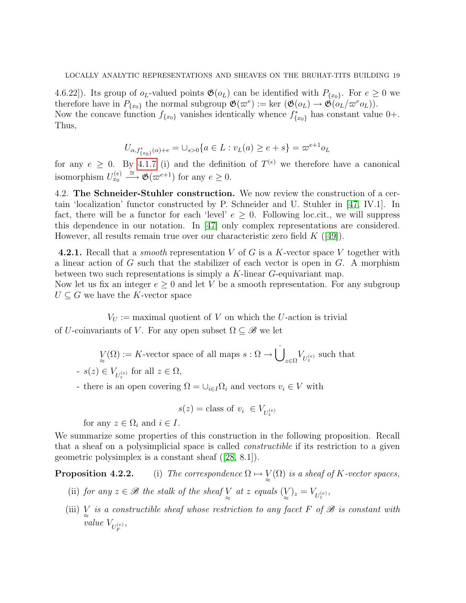4.6.22]). Its group of  $o<sub>L</sub>$ -valued points  $\mathfrak{G}(o<sub>L</sub>)$  can be identified with  $P_{\{x_0\}}$ . For  $e \geq 0$  we therefore have in  $P_{\{x_0\}}$  the normal subgroup  $\mathfrak{G}(\varpi^e) := \ker (\mathfrak{G}(o_L) \to \mathfrak{G}(o_L/\varpi^e o_L)).$ Now the concave function  $f_{\{x_0\}}$  vanishes identically whence  $f_{\{x_0\}}^*$  has constant value 0+. Thus,

$$
U_{\alpha, f_{\{x_0\}}^*(\alpha)+e} = \bigcup_{s>0} \{ a \in L : v_L(a) \ge e + s \} = \varpi^{e+1} o_L
$$

for any  $e \geq 0$ . By [4.1.7](#page-0-0) (i) and the definition of  $T^{(e)}$  we therefore have a canonical isomorphism  $U_{x_0}^{(e)} \stackrel{\cong}{\longrightarrow} \mathfrak{G}(\varpi^{e+1})$  for any  $e \geq 0$ .

<span id="page-18-0"></span>4.2. The Schneider-Stuhler construction. We now review the construction of a certain 'localization' functor constructed by P. Schneider and U. Stuhler in [\[47,](#page-78-0) IV.1]. In fact, there will be a functor for each 'level'  $e \geq 0$ . Following loc.cit., we will suppress this dependence in our notation. In [\[47\]](#page-78-0) only complex representations are considered. However, all results remain true over our characteristic zero field  $K$  ([\[49\]](#page-78-9)).

4.2.1. Recall that a *smooth* representation V of G is a K-vector space V together with a linear action of  $G$  such that the stabilizer of each vector is open in  $G$ . A morphism between two such representations is simply a K-linear G-equivariant map. Now let us fix an integer  $e \geq 0$  and let V be a smooth representation. For any subgroup

 $U \subseteq G$  we have the K-vector space

 $V_{U} :=$  maximal quotient of V on which the U-action is trivial

of U-coinvariants of V. For any open subset  $\Omega \subseteq \mathscr{B}$  we let

$$
\underset{\approx}{V}(\Omega):=K\text{-vector space of all maps }s:\Omega\to \dot{\bigcup}_{z\in\Omega}V_{U_z^{(e)}}
$$
 such that  
 -  $s(z)\in V_{U_z^{(e)}}$  for all  $z\in\Omega,$ 

- there is an open covering  $\Omega = \bigcup_{i \in I} \Omega_i$  and vectors  $v_i \in V$  with

$$
s(z) = \text{class of } v_i \in V_{U_z^{(e)}}
$$

for any  $z \in \Omega_i$  and  $i \in I$ .

We summarize some properties of this construction in the following proposition. Recall that a sheaf on a polysimplicial space is called constructible if its restriction to a given geometric polysimplex is a constant sheaf([\[28,](#page-77-9) 8.1]).

**Proposition 4.2.2.** (i) The correspondence  $\Omega \mapsto \bigvee_{\approx} (\Omega)$  is a sheaf of K-vector spaces,

- (ii) for any  $z \in \mathcal{B}$  the stalk of the sheaf  $\bigvee_{z \atop \infty}$  at  $z$  equals  $(\bigvee_{z})_z = V_{U_z^{(e)}},$
- (iii)  $\underset{\approx}{V}$  is a constructible sheaf whose restriction to any facet F of  $\mathscr B$  is constant with value  $V_{U_F^{(e)}},$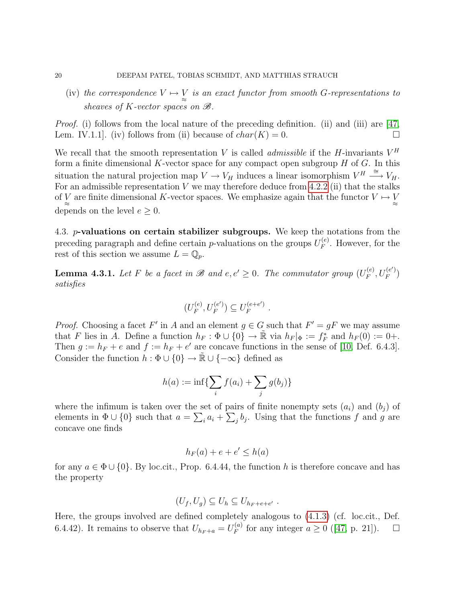(iv) the correspondence  $V \mapsto V$  is an exact functor from smooth G-representations to sheaves of K-vector spaces on  $\mathcal{B}$ .

*Proof.* (i) follows from the local nature of the preceding definition. (ii) and (iii) are [\[47,](#page-78-0) Lem. IV.1.1. (iv) follows from (ii) because of  $char(K) = 0$ .

We recall that the smooth representation V is called *admissible* if the H-invariants  $V^H$ form a finite dimensional  $K$ -vector space for any compact open subgroup  $H$  of  $G$ . In this situation the natural projection map  $V \to V_H$  induces a linear isomorphism  $V^H \stackrel{\cong}{\longrightarrow} V_H$ . For an admissible representation  $V$  we may therefore deduce from [4.2.2](#page-0-0) (ii) that the stalks of  $\underset{\approx}{V}$  are finite dimensional K-vector spaces. We emphasize again that the functor  $V \mapsto \underset{\approx}{V}$ depends on the level  $e \geq 0$ .

<span id="page-19-0"></span>4.3. *p*-valuations on certain stabilizer subgroups. We keep the notations from the preceding paragraph and define certain p-valuations on the groups  $U_F^{(e)}$  $F_F^{(e)}$ . However, for the rest of this section we assume  $L = \mathbb{Q}_p$ .

**Lemma 4.3.1.** Let F be a facet in  $\mathscr{B}$  and  $e, e' \geq 0$ . The commutator group  $(U_F^{(e)})$  $U_{F}^{(e)}, U_{F}^{(e')}$  $\binom{(e')}{F}$ satisfies

$$
(U_F^{(e)}, U_F^{(e')}) \subseteq U_F^{(e+e')} .
$$

*Proof.* Choosing a facet F' in A and an element  $g \in G$  such that  $F' = gF$  we may assume that F lies in A. Define a function  $h_F : \Phi \cup \{0\} \to \tilde{\mathbb{R}}$  via  $h_F |_{\Phi} := f_F^*$  and  $h_F(0) := 0 +$ . Then  $g := h_F + e$  and  $f := h_F + e'$  are concave functions in the sense of [\[10,](#page-76-6) Def. 6.4.3]. Consider the function  $h : \Phi \cup \{0\} \to \tilde{\mathbb{R}} \cup \{-\infty\}$  defined as

$$
h(a) := \inf \{ \sum_{i} f(a_i) + \sum_{j} g(b_j) \}
$$

where the infimum is taken over the set of pairs of finite nonempty sets  $(a_i)$  and  $(b_i)$  of elements in  $\Phi \cup \{0\}$  such that  $a = \sum_i a_i + \sum_j b_j$ . Using that the functions f and g are concave one finds

$$
h_F(a) + e + e' \le h(a)
$$

for any  $a \in \Phi \cup \{0\}$ . By loc.cit., Prop. 6.4.44, the function h is therefore concave and has the property

$$
(U_f, U_g) \subseteq U_h \subseteq U_{h_F+e+e'}.
$$

Here, the groups involved are defined completely analogous to [\(4.1.3\)](#page-16-0) (cf. loc.cit., Def. 6.4.42). It remains to observe that  $U_{h_F+a} = U_F^{(a)}$  $f_F^{(a)}$ for any integer  $a \ge 0$  ([\[47,](#page-78-0) p. 21]).  $\Box$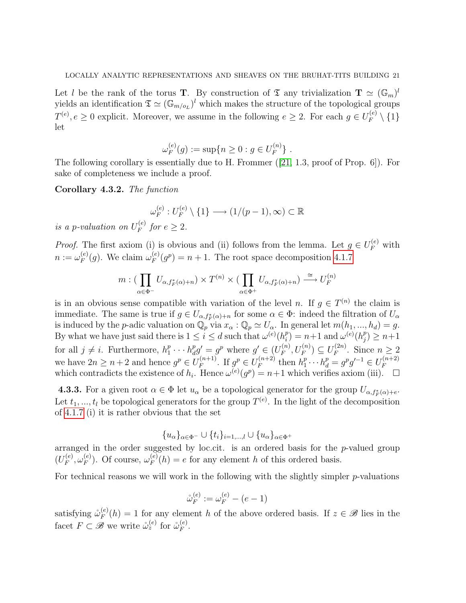Let l be the rank of the torus **T**. By construction of  $\mathfrak{T}$  any trivialization  $\mathbf{T} \simeq (\mathbb{G}_m)^l$ yields an identification  $\mathfrak{T} \simeq (\mathbb{G}_{m/o_L})^l$  which makes the structure of the topological groups  $T^{(e)}, e \geq 0$  explicit. Moreover, we assume in the following  $e \geq 2$ . For each  $g \in U_F^{(e)}$  $\mathcal{F}^{(e)} \setminus \{1\}$ let

$$
\omega_F^{(e)}(g) := \sup\{n \ge 0 : g \in U_F^{(n)}\} .
$$

The following corollary is essentially due to H. Frommer([\[21,](#page-77-10) 1.3, proof of Prop. 6]). For sake of completeness we include a proof.

Corollary 4.3.2. The function

$$
\omega_F^{(e)}: U_F^{(e)} \setminus \{1\} \longrightarrow (1/(p-1), \infty) \subset \mathbb{R}
$$

is a p-valuation on  $U_F^{(e)}$  $f_F^{(e)}$  for  $e \geq 2$ .

*Proof.* The first axiom (i) is obvious and (ii) follows from the lemma. Let  $g \in U_F^{(e)}$  with  $n := \omega_F^{(e)}$  $_{F}^{(e)}(g)$ . We claim  $\omega_{F}^{(e)}$  $\binom{e}{F}(g^p) = n + 1$ . The root space decomposition [4.1.7](#page-0-0)

$$
m: (\prod_{\alpha \in \Phi^-} U_{\alpha, f_F^*(\alpha)+n}) \times T^{(n)} \times (\prod_{\alpha \in \Phi^+} U_{\alpha, f_F^*(\alpha)+n}) \stackrel{\cong}{\longrightarrow} U_F^{(n)}
$$

is in an obvious sense compatible with variation of the level n. If  $g \in T^{(n)}$  the claim is immediate. The same is true if  $g \in U_{\alpha, f_F^*(\alpha)+n}$  for some  $\alpha \in \Phi$ : indeed the filtration of  $U_\alpha$ is induced by the p-adic valuation on  $\mathbb{Q}_p$  via  $x_\alpha : \mathbb{Q}_p \simeq U_\alpha$ . In general let  $m(h_1, ..., h_d) = g$ . By what we have just said there is  $1 \leq i \leq d$  such that  $\omega^{(e)}(h_i^p)$  $\mu_i^p$ ) = n+1 and  $\omega^{(e)}(h_j^p)$  $_{j}^{p})\geq n+1$ for all  $j \neq i$ . Furthermore,  $h_1^p$  $\frac{p}{1} \cdots h_d^p$  $\mathbf{g}_d^p g' = g^p$  where  $g' \in (U_F^{(n)})$  $U_F^{(n)}, U_F^{(n)} \subseteq U_F^{(2n)}$  $F_F^{(2n)}$ . Since  $n \geq 2$ we have  $2n \geq n+2$  and hence  $g^p \in U_F^{(n+1)}$  $F_F^{(n+1)}$ . If  $g^p \in U_F^{(n+2)}$  $h_F^{(n+2)}$  then  $h_1^p$  $a_1^p \cdots h_d^p = g^p g'^{-1} \in U_F^{(n+2)}$ F which contradicts the existence of  $h_i$ . Hence  $\omega^{(e)}(g^p) = n+1$  which verifies axiom (iii).  $\Box$ 

**4.3.3.** For a given root  $\alpha \in \Phi$  let  $u_{\alpha}$  be a topological generator for the group  $U_{\alpha, f_F^*(\alpha)+\epsilon}$ . Let  $t_1, ..., t_l$  be topological generators for the group  $T^{(e)}$ . In the light of the decomposition of [4.1.7](#page-0-0) (i) it is rather obvious that the set

$$
\{u_{\alpha}\}_{{\alpha}\in\Phi^-}\cup\{t_i\}_{i=1,\dots,l}\cup\{u_{\alpha}\}_{{\alpha}\in\Phi^+}
$$

arranged in the order suggested by loc.cit. is an ordered basis for the  $p$ -valued group  $(U_F^{(e)}$  $\overset{(e)}{F}, \overset{(e)}{\omega_F^{\text{(e)}}}$  $_F^{(e)}$ ). Of course,  $\omega_F^{(e)}$  $F_F^{(e)}(h) = e$  for any element h of this ordered basis.

For technical reasons we will work in the following with the slightly simpler  $p$ -valuations

$$
\mathring{\omega}_F^{(e)} := \omega_F^{(e)} - (e - 1)
$$

satisfying  $\mathring{\omega}_F^{(e)}$  $F_F^{(e)}(h) = 1$  for any element h of the above ordered basis. If  $z \in \mathscr{B}$  lies in the facet  $F \subset \mathscr{B}$  we write  $\mathring{\omega}_z^{(e)}$  for  $\mathring{\omega}_F^{(e)}$  $\overset{(e)}{F}.$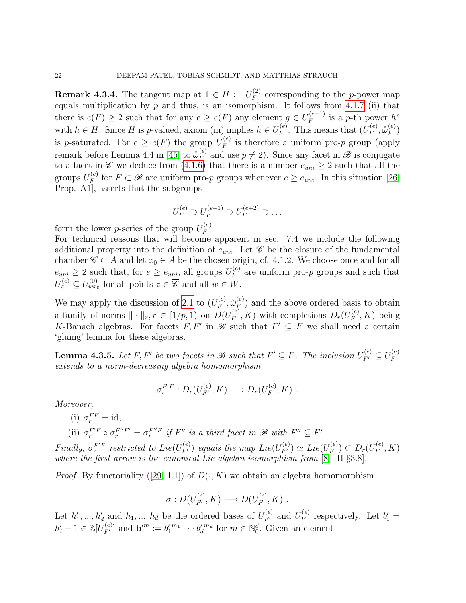<span id="page-21-0"></span>**Remark 4.3.4.** The tangent map at  $1 \in H := U_F^{(2)}$  $F_F^{(2)}$  corresponding to the *p*-power map equals multiplication by  $p \overline{p}$  and thus, is an isomorphism. It follows from [4.1.7](#page-0-0) (ii) that there is  $e(F) \geq 2$  such that for any  $e \geq e(F)$  any element  $g \in U_F^{(e+1)}$  $F_F^{(e+1)}$  is a p-th power  $h^p$ with  $h \in H$ . Since H is p-valued, axiom (iii) implies  $h \in U_F^{(e)}$  $E_F^{(e)}$ . This means that  $(U_F^{(e)}$  $\overset{\cdot (e)}{F},\overset{\circ}{\omega}_{F}^{(e)}$  $\binom{(e)}{F}$ is p-saturated. For  $e \geq e(F)$  the group  $U_F^{(e)}$  $F_F^{(e)}$  is therefore a uniform pro-*p* group (apply remark before Lemma 4.4 in [\[45\]](#page-78-2) to  $\mathring{\omega}_F^{(e)}$  $F_F^{(e)}$  and use  $p \neq 2$ ). Since any facet in  $\mathscr{B}$  is conjugate to a facet in C we deduce from [\(4.1.6\)](#page-17-0) that there is a number  $e_{uni} \geq 2$  such that all the groups  $U_F^{(e)}$ <sup>(e)</sup> for  $F \subset \mathscr{B}$  are uniform pro-p groups whenever  $e \ge e_{uni}$ . In this situation [\[26,](#page-77-11) Prop. A1], asserts that the subgroups

$$
U_F^{(e)} \supset U_F^{(e+1)} \supset U_F^{(e+2)} \supset \dots
$$

form the lower *p*-series of the group  $U_F^{(e)}$  $\stackrel{(e)}{F}$ .

For technical reasons that will become apparent in sec. 7.4 we include the following additional property into the definition of  $e_{uni}$ . Let  $\overline{\mathscr{C}}$  be the closure of the fundamental chamber  $\mathscr{C} \subset A$  and let  $x_0 \in A$  be the chosen origin, cf. 4.1.2. We choose once and for all  $e_{uni} \geq 2$  such that, for  $e \geq e_{uni}$ , all groups  $U_F^{(e)}$  $F_F^{(e)}$  are uniform pro-*p* groups and such that  $U_z^{(e)} \subseteq U_{wx_0}^{(0)}$  for all points  $z \in \overline{\mathscr{C}}$  and all  $w \in W$ .

We may apply the discussion of [2.1](#page-8-1) to  $(U_F^{(e)})$  $_{F}^{(e)},\overset{\circ}{\omega}_{F}^{(e)}$  $_F^{(e)}$ ) and the above ordered basis to obtain a family of norms  $\|\cdot\|_r, r \in [1/p, 1)$  on  $D(U_F^{(e)})$  $F_F^{(e)}, K$ ) with completions  $D_r(U_F^{(e)})$  $F_F^{(e)}, K$ ) being K-Banach algebras. For facets  $F, F'$  in  $\mathscr{B}$  such that  $F' \subseteq \overline{F}$  we shall need a certain 'gluing' lemma for these algebras.

**Lemma 4.3.5.** Let F, F' be two facets in  $\mathscr{B}$  such that  $F' \subseteq \overline{F}$ . The inclusion  $U_{F'}^{(e)} \subseteq U_F^{(e)}$ F extends to a norm-decreasing algebra homomorphism

$$
\sigma_r^{F'F}: D_r(U_{F'}^{(e)}, K) \longrightarrow D_r(U_F^{(e)}, K) .
$$

Moreover,

(i)  $\sigma_r^{FF} = \text{id},$ (ii)  $\sigma_r^{F'F} \circ \sigma_r^{F''F'} = \sigma_r^{F''F}$  if  $F''$  is a third facet in  $\mathscr{B}$  with  $F'' \subseteq \overline{F'}$ .

Finally,  $\sigma_r^{F'F}$  restricted to  $Lie(U_{F'}^{(e)})$  equals the map  $Lie(U_{F'}^{(e)}) \simeq Lie(U_F^{(e)})$  $(F_F^{(e)}) \subset D_r(U_F^{(e)})$  $F_F^{(e)}, K)$ where the first arrow is the canonical Lie algebra isomorphism from [\[8,](#page-76-8) III §3.8].

*Proof.*By functoriality ([\[29,](#page-77-12) 1.1]) of  $D(\cdot, K)$  we obtain an algebra homomorphism

$$
\sigma: D(U_{F'}^{(e)}, K) \longrightarrow D(U_{F}^{(e)}, K) .
$$

Let  $h'_1, ..., h'_d$  and  $h_1, ..., h_d$  be the ordered bases of  $U_{F'}^{(e)}$  and  $U_F^{(e)}$  $E_F^{(e)}$  respectively. Let  $b'_i =$  $h'_i - 1 \in \mathbb{Z}[U_{F'}^{(e)}]$  and  $\mathbf{b'}^m := b'_1{}^{m_1} \cdots b'_d{}^{m_d}$  for  $m \in \mathbb{N}_0^d$ . Given an element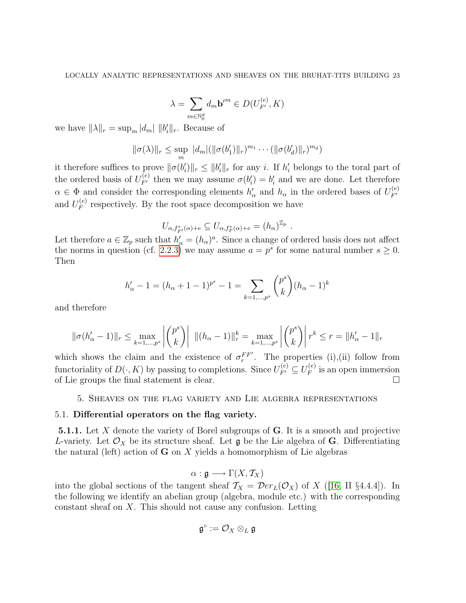$$
\lambda = \sum_{m \in \mathbb{N}_0^d} d_m \mathbf{b}^{\prime m} \in D(U_{F'}^{(e)}, K)
$$

we have  $\|\lambda\|_r = \sup_m |d_m| ||b'_i||_r$ . Because of

$$
\|\sigma(\lambda)\|_{r} \leq \sup_{m} |d_{m}| (\|\sigma(b'_{1})\|_{r})^{m_{1}} \cdots (\|\sigma(b'_{d})\|_{r})^{m_{d}})
$$

it therefore suffices to prove  $\|\sigma(b_i')\|_r \leq \|b_i'\|_r$  for any i. If  $h_i'$  belongs to the toral part of the ordered basis of  $U_{F'}^{(e)}$  then we may assume  $\sigma(b'_i) = b'_i$  and we are done. Let therefore  $\alpha \in \Phi$  and consider the corresponding elements  $h'_\alpha$  and  $h_\alpha$  in the ordered bases of  $U_{F'}^{(e)}$  $F<sup>^{\prime}</sup>$ and  $U_F^{(e)}$  $F_F^{(e)}$  respectively. By the root space decomposition we have

$$
U_{\alpha, f^*_{F'}(\alpha)+e} \subseteq U_{\alpha, f^*_{F}(\alpha)+e} = (h_{\alpha})^{\mathbb{Z}_p}.
$$

Let therefore  $a \in \mathbb{Z}_p$  such that  $h'_\alpha = (h_\alpha)^a$ . Since a change of ordered basis does not affect the norms in question (cf. [2.2.3\)](#page-10-1) we may assume  $a = p^s$  for some natural number  $s \geq 0$ . Then

$$
h'_{\alpha} - 1 = (h_{\alpha} + 1 - 1)^{p^s} - 1 = \sum_{k=1,\dots,p^s} {p^s \choose k} (h_{\alpha} - 1)^k
$$

and therefore

$$
\|\sigma(h'_\alpha - 1)\|_r \le \max_{k=1,\dots,p^s} \left| \binom{p^s}{k} \right| \|(h_\alpha - 1)\|_r^k = \max_{k=1,\dots,p^s} \left| \binom{p^s}{k} \right| r^k \le r = \|h'_\alpha - 1\|_r
$$

which shows the claim and the existence of  $\sigma_r^{FF'}$ . The properties (i),(ii) follow from functoriality of  $D(\cdot, K)$  by passing to completions. Since  $U_{F'}^{(e)} \subseteq U_F^{(e)}$  $\int_F^{(e)}$  is an open immersion of Lie groups the final statement is clear.

#### 5. Sheaves on the flag variety and Lie algebra representations

## <span id="page-22-1"></span><span id="page-22-0"></span>5.1. Differential operators on the flag variety.

**5.1.1.** Let X denote the variety of Borel subgroups of  $\bf{G}$ . It is a smooth and projective L-variety. Let  $\mathcal{O}_X$  be its structure sheaf. Let g be the Lie algebra of G. Differentiating the natural (left) action of  $G$  on  $X$  yields a homomorphism of Lie algebras

$$
\alpha : \mathfrak{g} \longrightarrow \Gamma(X, \mathcal{T}_X)
$$

into the global sections of the tangent sheaf  $T_X = \mathcal{D}er_L(\mathcal{O}_X)$  of X ([\[16,](#page-77-13) II §4.4.4]). In the following we identify an abelian group (algebra, module etc.) with the corresponding constant sheaf on X. This should not cause any confusion. Letting

$$
\mathfrak{g}^{\circ}:=\mathcal{O}_X\otimes_L\mathfrak{g}
$$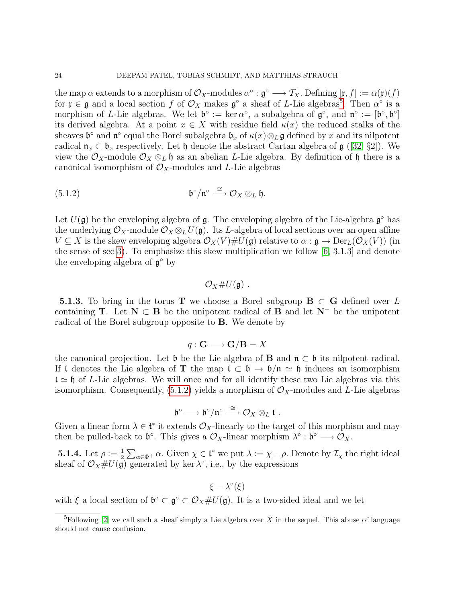the map  $\alpha$  extends to a morphism of  $\mathcal{O}_X$ -modules  $\alpha^\circ : \mathfrak{g}^\circ \longrightarrow \mathcal{T}_X$ . Defining  $[\mathfrak{x}, f] := \alpha(\mathfrak{x})(f)$ for  $\mathfrak{x} \in \mathfrak{g}$  and a local section f of  $\mathcal{O}_X$  makes  $\mathfrak{g}^{\circ}$  a sheaf of L-Lie algebras<sup>[5](#page-23-0)</sup>. Then  $\alpha^{\circ}$  is a morphism of L-Lie algebras. We let  $\mathfrak{b}^{\circ} := \ker \alpha^{\circ}$ , a subalgebra of  $\mathfrak{g}^{\circ}$ , and  $\mathfrak{n}^{\circ} := [\mathfrak{b}^{\circ}, \mathfrak{b}^{\circ}]$ its derived algebra. At a point  $x \in X$  with residue field  $\kappa(x)$  the reduced stalks of the sheaves  $\mathfrak{b}^{\circ}$  and  $\mathfrak{n}^{\circ}$  equal the Borel subalgebra  $\mathfrak{b}_x$  of  $\kappa(x)\otimes_L\mathfrak{g}$  defined by x and its nilpotent radical  $\mathfrak{n}_x \subset \mathfrak{b}_x$  respectively. Let  $\mathfrak{h}$  denote the abstract Cartan algebra of  $\mathfrak{g}$  ([\[32,](#page-77-14) §2]). We view the  $\mathcal{O}_X$ -module  $\mathcal{O}_X \otimes_L \mathfrak{h}$  as an abelian L-Lie algebra. By definition of  $\mathfrak{h}$  there is a canonical isomorphism of  $\mathcal{O}_X$ -modules and L-Lie algebras

(5.1.2) 
$$
\mathfrak{b}^{\circ}/\mathfrak{n}^{\circ} \stackrel{\cong}{\longrightarrow} \mathcal{O}_X \otimes_L \mathfrak{h}.
$$

Let  $U(\mathfrak{g})$  be the enveloping algebra of  $\mathfrak{g}$ . The enveloping algebra of the Lie-algebra  $\mathfrak{g}^{\circ}$  has the underlying  $\mathcal{O}_X$ -module  $\mathcal{O}_X \otimes_L U(\mathfrak{g})$ . Its *L*-algebra of local sections over an open affine  $V \subseteq X$  is the skew enveloping algebra  $\mathcal{O}_X(V) \# U(\mathfrak{g})$  relative to  $\alpha : \mathfrak{g} \to \mathrm{Der}_L(\mathcal{O}_X(V))$  (in the sense of sec [3\)](#page-13-0). To emphasize this skew multiplication we follow [\[6,](#page-76-9) 3.1.3] and denote the enveloping algebra of  $\mathfrak{g}^{\circ}$  by

# <span id="page-23-1"></span> $\mathcal{O}_X \# U(\mathfrak{g})$ .

**5.1.3.** To bring in the torus T we choose a Borel subgroup  $B \subset G$  defined over L containing T. Let  $N \subset B$  be the unipotent radical of B and let  $N^-$  be the unipotent radical of the Borel subgroup opposite to B. We denote by

# $q: \mathbf{G} \longrightarrow \mathbf{G}/\mathbf{B} = X$

the canonical projection. Let b be the Lie algebra of **B** and  $\mathfrak{n} \subset \mathfrak{b}$  its nilpotent radical. If t denotes the Lie algebra of T the map  $t \subset \mathfrak{b} \to \mathfrak{b}/\mathfrak{n} \simeq \mathfrak{h}$  induces an isomorphism  $t \approx \mathfrak{h}$  of L-Lie algebras. We will once and for all identify these two Lie algebras via this isomorphism. Consequently, [\(5.1.2\)](#page-23-1) yields a morphism of  $\mathcal{O}_X$ -modules and L-Lie algebras

$$
\mathfrak{b}^{\circ} \longrightarrow \mathfrak{b}^{\circ}/\mathfrak{n}^{\circ} \stackrel{\cong}{\longrightarrow} \mathcal{O}_X \otimes_L \mathfrak{t} .
$$

Given a linear form  $\lambda \in \mathfrak{t}^*$  it extends  $\mathcal{O}_X$ -linearly to the target of this morphism and may then be pulled-back to  $\mathfrak{b}^{\circ}$ . This gives a  $\mathcal{O}_X$ -linear morphism  $\lambda^{\circ} : \mathfrak{b}^{\circ} \longrightarrow \mathcal{O}_X$ .

**5.1.4.** Let  $\rho := \frac{1}{2} \sum_{\alpha \in \Phi^+} \alpha$ . Given  $\chi \in \mathfrak{t}^*$  we put  $\lambda := \chi - \rho$ . Denote by  $\mathcal{I}_{\chi}$  the right ideal sheaf of  $\mathcal{O}_X \# U(\mathfrak{g})$  generated by ker  $\lambda^{\circ}$ , i.e., by the expressions

$$
\xi - \lambda^{\circ}(\xi)
$$

with  $\xi$  a local section of  $\mathfrak{b}^{\circ} \subset \mathfrak{g}^{\circ} \subset \mathcal{O}_X \# U(\mathfrak{g})$ . It is a two-sided ideal and we let

<span id="page-23-0"></span><sup>&</sup>lt;sup>5</sup>Following [\[2\]](#page-76-1) we call such a sheaf simply a Lie algebra over X in the sequel. This abuse of language should not cause confusion.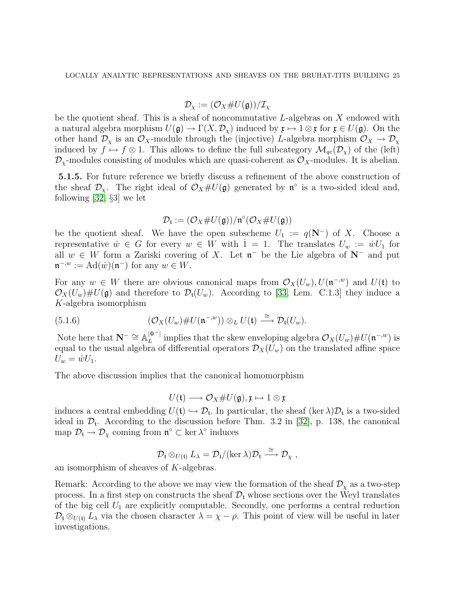$$
\mathcal{D}_{\chi} := (\mathcal{O}_X \# U(\mathfrak{g})) / \mathcal{I}_{\chi}
$$

be the quotient sheaf. This is a sheaf of noncommutative  $L$ -algebras on X endowed with a natural algebra morphism  $U(\mathfrak{g}) \to \Gamma(X, \mathcal{D}_x)$  induced by  $\mathfrak{x} \mapsto 1 \otimes \mathfrak{x}$  for  $\mathfrak{x} \in U(\mathfrak{g})$ . On the other hand  $\mathcal{D}_\chi$  is an  $\mathcal{O}_X$ -module through the (injective) L-algebra morphism  $\mathcal{O}_X \to \mathcal{D}_\chi$ induced by  $f \mapsto f \otimes 1$ . This allows to define the full subcategory  $\mathcal{M}_{qc}(\mathcal{D}_\chi)$  of the (left)  $\mathcal{D}_{\chi}$ -modules consisting of modules which are quasi-coherent as  $\mathcal{O}_X$ -modules. It is abelian.

5.1.5. For future reference we briefly discuss a refinement of the above construction of the sheaf  $\mathcal{D}_{\chi}$ . The right ideal of  $\mathcal{O}_X \# U(\mathfrak{g})$  generated by  $\mathfrak{n}^{\circ}$  is a two-sided ideal and, following [\[32,](#page-77-14) §3] we let

$$
\mathcal{D}_\mathfrak{t} := (\mathcal{O}_X \# U(\mathfrak{g})) / \mathfrak{n}^\circ (\mathcal{O}_X \# U(\mathfrak{g}))
$$

be the quotient sheaf. We have the open subscheme  $U_1 := q(\mathbf{N}^-)$  of X. Choose a representative  $\dot{w} \in G$  for every  $w \in W$  with  $1 = 1$ . The translates  $U_w := \dot{w} U_1$  for all  $w \in W$  form a Zariski covering of X. Let  $\mathfrak{n}^-$  be the Lie algebra of  $N^-$  and put  $\mathfrak{n}^{-,w} := \operatorname{Ad}(\dot{w}) (\mathfrak{n}^{-})$  for any  $w \in W$ .

For any  $w \in W$  there are obvious canonical maps from  $\mathcal{O}_X(U_w), U(\mathfrak{n}^{-,w})$  and  $U(\mathfrak{t})$  to  $\mathcal{O}_X(U_w)\# U(\mathfrak{g})$  and therefore to  $\mathcal{D}_t(U_w)$ . According to [\[33,](#page-77-15) Lem. C.1.3] they induce a K-algebra isomorphism

(5.1.6) 
$$
(\mathcal{O}_X(U_w)\# U(\mathfrak{n}^{-,w}))\otimes_L U(\mathfrak{t})\stackrel{\cong}{\longrightarrow}\mathcal{D}_{\mathfrak{t}}(U_w).
$$

Note here that  $\mathbf{N}^- \cong \mathbb{A}_L^{|\Phi^-|}$  $\mathcal{L}^{\left[\phi^{-}\right]}$  implies that the skew enveloping algebra  $\mathcal{O}_X(U_w)\# U(\mathfrak{n}^{-,w})$  is equal to the usual algebra of differential operators  $\mathcal{D}_X(U_w)$  on the translated affine space  $U_w = \dot{w}U_1.$ 

The above discussion implies that the canonical homomorphism

$$
U(\mathfrak{t})\longrightarrow \mathcal{O}_X\# U(\mathfrak{g}), \mathfrak{x}\mapsto 1\otimes \mathfrak{x}
$$

induces a central embedding  $U(t) \hookrightarrow \mathcal{D}_t$ . In particular, the sheaf (ker  $\lambda \mathcal{D}_t$  is a two-sided ideal in  $\mathcal{D}_{t}$ . According to the discussion before Thm. 3.2 in [\[32\]](#page-77-14), p. 138, the canonical map  $\mathcal{D}_t \to \mathcal{D}_\chi$  coming from  $\mathfrak{n}^\circ \subset \ker \lambda^\circ$  induces

$$
\mathcal{D}_{\mathfrak{t}} \otimes_{U(\mathfrak{t})} L_{\lambda} = \mathcal{D}_{\mathfrak{t}} / (\ker \lambda) \mathcal{D}_{\mathfrak{t}} \stackrel{\cong}{\longrightarrow} \mathcal{D}_{\chi} ,
$$

an isomorphism of sheaves of K-algebras.

Remark: According to the above we may view the formation of the sheaf  $\mathcal{D}_{\chi}$  as a two-step process. In a first step on constructs the sheaf  $\mathcal{D}_t$  whose sections over the Weyl translates of the big cell  $U_1$  are explicitly computable. Secondly, one performs a central reduction  $\mathcal{D}_t \otimes_{U(t)} L_\lambda$  via the chosen character  $\lambda = \chi - \rho$ . This point of view will be useful in later investigations.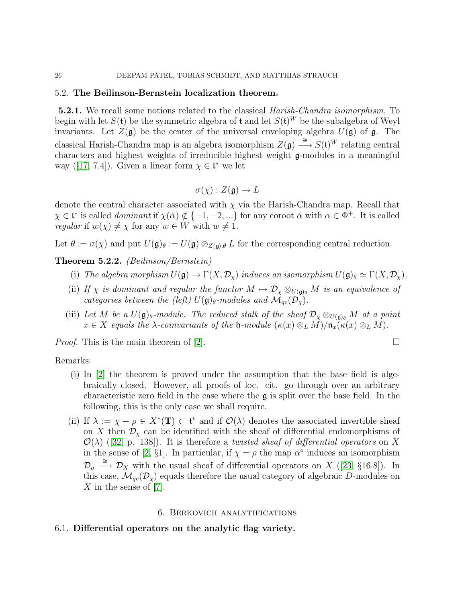#### <span id="page-25-0"></span>5.2. The Beilinson-Bernstein localization theorem.

**5.2.1.** We recall some notions related to the classical *Harish-Chandra isomorphism*. To begin with let  $S(\mathfrak{t})$  be the symmetric algebra of  $\mathfrak{t}$  and let  $S(\mathfrak{t})^W$  be the subalgebra of Weyl invariants. Let  $Z(\mathfrak{g})$  be the center of the universal enveloping algebra  $U(\mathfrak{g})$  of  $\mathfrak{g}$ . The classical Harish-Chandra map is an algebra isomorphism  $Z(\mathfrak{g}) \stackrel{\cong}{\longrightarrow} S(\mathfrak{t})^W$  relating central characters and highest weights of irreducible highest weight g-modules in a meaningful way([\[17,](#page-77-16) 7.4]). Given a linear form  $\chi \in \mathfrak{t}^*$  we let

$$
\sigma(\chi): Z(\mathfrak{g}) \to L
$$

denote the central character associated with  $\chi$  via the Harish-Chandra map. Recall that  $\chi \in \mathfrak{t}^*$  is called *dominant* if  $\chi(\check{\alpha}) \notin \{-1, -2, ...\}$  for any coroot  $\check{\alpha}$  with  $\alpha \in \Phi^+$ . It is called *regular* if  $w(\chi) \neq \chi$  for any  $w \in W$  with  $w \neq 1$ .

Let  $\theta := \sigma(\chi)$  and put  $U(\mathfrak{g})_{\theta} := U(\mathfrak{g}) \otimes_{Z(\mathfrak{g}),\theta} L$  for the corresponding central reduction.

Theorem 5.2.2. (Beilinson/Bernstein)

- (i) The algebra morphism  $U(\mathfrak{g}) \to \Gamma(X, \mathcal{D}_\chi)$  induces an isomorphism  $U(\mathfrak{g})_\theta \simeq \Gamma(X, \mathcal{D}_\chi)$ .
- (ii) If  $\chi$  is dominant and regular the functor  $M \mapsto \mathcal{D}_{\chi} \otimes_{U(\mathfrak{g})_{\theta}} M$  is an equivalence of categories between the (left)  $U(\mathfrak{g})_{\theta}$ -modules and  $\mathcal{M}_{qc}(\mathcal{D}_{\chi})$ .
- (iii) Let M be a  $U(\mathfrak{g})_{\theta}$ -module. The reduced stalk of the sheaf  $\mathcal{D}_{\chi} \otimes_{U(\mathfrak{g})_{\theta}} M$  at a point  $x \in X$  equals the  $\lambda$ -coinvariants of the  $\mathfrak h$ -module  $(\kappa(x) \otimes_L M)/\mathfrak{n}_x(\kappa(x) \otimes_L M)$ .

*Proof.* This is the main theorem of [\[2\]](#page-76-1).

Remarks:

- (i) In [\[2\]](#page-76-1) the theorem is proved under the assumption that the base field is algebraically closed. However, all proofs of loc. cit. go through over an arbitrary characteristic zero field in the case where the  $\mathfrak g$  is split over the base field. In the following, this is the only case we shall require.
- (ii) If  $\lambda := \chi \rho \in X^*(\mathbf{T}) \subset \mathfrak{t}^*$  and if  $\mathcal{O}(\lambda)$  denotes the associated invertible sheaf on X then  $\mathcal{D}_{\chi}$  can be identified with the sheaf of differential endomorphisms of  $\mathcal{O}(\lambda)$ ([\[32,](#page-77-14) p. 138]). It is therefore a twisted sheaf of differential operators on X in the sense of [\[2,](#page-76-1) §1]. In particular, if  $\chi = \rho$  the map  $\alpha^{\circ}$  induces an isomorphism  $\mathcal{D}_{\rho} \stackrel{\cong}{\longrightarrow} \mathcal{D}_X$  with the usual sheaf of differential operators on X ([\[23,](#page-77-17) §16.8]). In this case,  $\mathcal{M}_{qc}(\mathcal{D}_\chi)$  equals therefore the usual category of algebraic D-modules on X in the sense of  $[7]$ .

## 6. Berkovich analytifications

## <span id="page-25-2"></span><span id="page-25-1"></span>6.1. Differential operators on the analytic flag variety.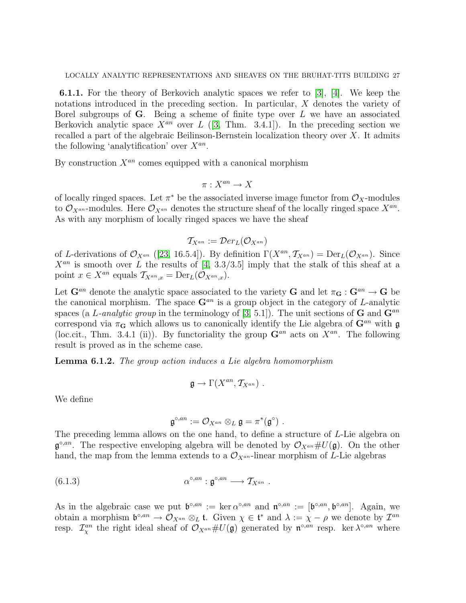6.1.1. For the theory of Berkovich analytic spaces we refer to [\[3\]](#page-76-4), [\[4\]](#page-76-11). We keep the notations introduced in the preceding section. In particular, X denotes the variety of Borel subgroups of  $\bf{G}$ . Being a scheme of finite type over L we have an associated Berkovich analytic space  $X^{an}$  over L ([\[3,](#page-76-4) Thm. 3.4.1]). In the preceding section we recalled a part of the algebraic Beilinson-Bernstein localization theory over  $X$ . It admits the following 'analytification' over  $X^{an}$ .

By construction  $X^{an}$  comes equipped with a canonical morphism

$$
\pi: X^{an} \to X
$$

of locally ringed spaces. Let  $\pi^*$  be the associated inverse image functor from  $\mathcal{O}_X$ -modules to  $\mathcal{O}_{X^{an}}$ -modules. Here  $\mathcal{O}_{X^{an}}$  denotes the structure sheaf of the locally ringed space  $X^{an}$ . As with any morphism of locally ringed spaces we have the sheaf

$$
\mathcal{T}_{X^{an}} := \mathcal{D}er_L(\mathcal{O}_{X^{an}})
$$

of L-derivations of  $\mathcal{O}_{X^{an}}$  ([\[23,](#page-77-17) 16.5.4]). By definition  $\Gamma(X^{an}, \mathcal{T}_{X^{an}}) = \text{Der}_{L}(\mathcal{O}_{X^{an}})$ . Since  $X^{an}$  is smooth over L the results of [\[4,](#page-76-11) 3.3/3.5] imply that the stalk of this sheaf at a point  $x \in X^{an}$  equals  $\mathcal{T}_{X^{an},x} = \text{Der}_L(\mathcal{O}_{X^{an},x}).$ 

Let  $\mathbf{G}^{an}$  denote the analytic space associated to the variety  $\mathbf{G}$  and let  $\pi_{\mathbf{G}} : \mathbf{G}^{an} \to \mathbf{G}$  be the canonical morphism. The space  $\mathbf{G}^{an}$  is a group object in the category of L-analytic spaces (a L-analytic group in the terminology of [\[3,](#page-76-4) 5.1]). The unit sections of **G** and  $\mathbf{G}^{an}$ correspond via  $\pi_{\mathbf{G}}$  which allows us to canonically identify the Lie algebra of  $\mathbf{G}^{an}$  with  $\mathfrak{g}$ (loc.cit., Thm. 3.4.1 (ii)). By functoriality the group  $\mathbf{G}^{an}$  acts on  $X^{an}$ . The following result is proved as in the scheme case.

<span id="page-26-0"></span>Lemma 6.1.2. The group action induces a Lie algebra homomorphism

$$
\mathfrak{g} \to \Gamma(X^{an}, \mathcal{T}_{X^{an}}) \ .
$$

We define

$$
\mathfrak{g}^{\circ,an}:=\mathcal{O}_{X^{an}}\otimes_L\mathfrak{g}=\pi^*(\mathfrak{g}^\circ)\ .
$$

The preceding lemma allows on the one hand, to define a structure of L-Lie algebra on  $\mathfrak{g}^{\circ,an}$ . The respective enveloping algebra will be denoted by  $\mathcal{O}_{X^{an}}\#U(\mathfrak{g})$ . On the other hand, the map from the lemma extends to a  $\mathcal{O}_{X^{an}}$ -linear morphism of L-Lie algebras

(6.1.3) 
$$
\alpha^{\circ,an} : \mathfrak{g}^{\circ,an} \longrightarrow \mathcal{T}_{X^{an}} .
$$

As in the algebraic case we put  $\mathfrak{b}^{\circ,an} := \ker \alpha^{\circ,an}$  and  $\mathfrak{n}^{\circ,an} := [\mathfrak{b}^{\circ,an}, \mathfrak{b}^{\circ,an}]$ . Again, we obtain a morphism  $\mathfrak{b}^{\circ,an} \to \mathcal{O}_{X^{an}} \otimes_L \mathfrak{t}$ . Given  $\chi \in \mathfrak{t}^*$  and  $\lambda := \chi - \rho$  we denote by  $\mathcal{I}^{an}$ resp.  $\mathcal{I}^{an}_{\chi}$  the right ideal sheaf of  $\mathcal{O}_{X^{an}}\#U(\mathfrak{g})$  generated by  $\mathfrak{n}^{\circ,an}$  resp. ker  $\lambda^{\circ,an}$  where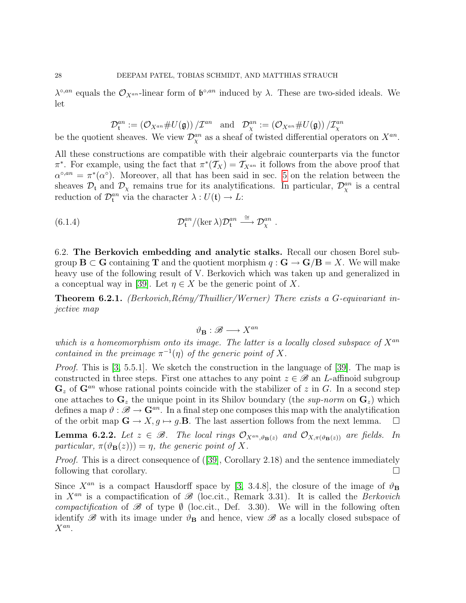$\lambda^{\circ,an}$  equals the  $\mathcal{O}_{X^{an}}$ -linear form of  $\mathfrak{b}^{\circ,an}$  induced by  $\lambda$ . These are two-sided ideals. We let

$$
\mathcal{D}_{\mathfrak{t}}^{an}:=\left(\mathcal{O}_{X^{an}}\# U(\mathfrak{g})\right)/\mathcal{I}^{an}\quad \text{and}\quad \mathcal{D}_{\chi}^{an}:=\left(\mathcal{O}_{X^{an}}\# U(\mathfrak{g})\right)/\mathcal{I}_{\chi}^{an}
$$

be the quotient sheaves. We view  $\mathcal{D}_{\chi}^{an}$  as a sheaf of twisted differential operators on  $X^{an}$ .

All these constructions are compatible with their algebraic counterparts via the functor  $\pi^*$ . For example, using the fact that  $\pi^*(\mathcal{T}_X) = \mathcal{T}_{X^{an}}$  it follows from the above proof that  $\alpha^{\circ,an} = \pi^*(\alpha^{\circ})$ . Moreover, all that has been said in sec. [5](#page-22-0) on the relation between the sheaves  $\mathcal{D}_t$  and  $\mathcal{D}_\chi$  remains true for its analytifications. In particular,  $\mathcal{D}^{an}_\chi$  is a central reduction of  $\mathcal{D}_{\mathfrak{t}}^{an}$  via the character  $\lambda: U(\mathfrak{t}) \to L$ :

(6.1.4) 
$$
\mathcal{D}_{\mathfrak{t}}^{an}/(\ker \lambda)\mathcal{D}_{\mathfrak{t}}^{an} \stackrel{\cong}{\longrightarrow} \mathcal{D}_{\chi}^{an} .
$$

<span id="page-27-0"></span>6.2. The Berkovich embedding and analytic stalks. Recall our chosen Borel subgroup  $\mathbf{B} \subset \mathbf{G}$  containing  $\mathbf{T}$  and the quotient morphism  $q : \mathbf{G} \to \mathbf{G}/\mathbf{B} = X$ . We will make heavy use of the following result of V. Berkovich which was taken up and generalized in a conceptual way in [\[39\]](#page-78-1). Let  $\eta \in X$  be the generic point of X.

**Theorem 6.2.1.** (Berkovich, Rémy/Thuillier/Werner) There exists a G-equivariant injective map

$$
\vartheta_{\mathbf{B}}:\mathscr{B}\longrightarrow X^{an}
$$

which is a homeomorphism onto its image. The latter is a locally closed subspace of  $X^{an}$ contained in the preimage  $\pi^{-1}(\eta)$  of the generic point of X.

*Proof.* This is [\[3,](#page-76-4) 5.5.1]. We sketch the construction in the language of [\[39\]](#page-78-1). The map is constructed in three steps. First one attaches to any point  $z \in \mathscr{B}$  an L-affinoid subgroup  $\mathbf{G}_z$  of  $\mathbf{G}^{an}$  whose rational points coincide with the stabilizer of z in G. In a second step one attaches to  $\mathbf{G}_z$  the unique point in its Shilov boundary (the sup-norm on  $\mathbf{G}_z$ ) which defines a map  $\vartheta : \mathscr{B} \to \mathbb{G}^{an}$ . In a final step one composes this map with the analytification of the orbit map  $\mathbf{G} \to X, g \mapsto g.\mathbf{B}$ . The last assertion follows from the next lemma.  $\square$ 

<span id="page-27-1"></span>**Lemma 6.2.2.** Let  $z \in \mathcal{B}$ . The local rings  $\mathcal{O}_{X^{an},\vartheta_{\mathbf{B}}(z)}$  and  $\mathcal{O}_{X,\pi(\vartheta_{\mathbf{B}}(z))}$  are fields. In particular,  $\pi(\vartheta_{\mathbf{B}}(z)) = \eta$ , the generic point of X.

Proof. This is a direct consequence of([\[39\]](#page-78-1), Corollary 2.18) and the sentence immediately following that corollary.

Since  $X^{an}$  is a compact Hausdorff space by [\[3,](#page-76-4) 3.4.8], the closure of the image of  $\vartheta_B$ in  $X^{an}$  is a compactification of  $\mathscr{B}$  (loc.cit., Remark 3.31). It is called the Berkovich compactification of  $\mathscr B$  of type  $\emptyset$  (loc.cit., Def. 3.30). We will in the following often identify  $\mathscr B$  with its image under  $\vartheta_B$  and hence, view  $\mathscr B$  as a locally closed subspace of  $X^{an}$ .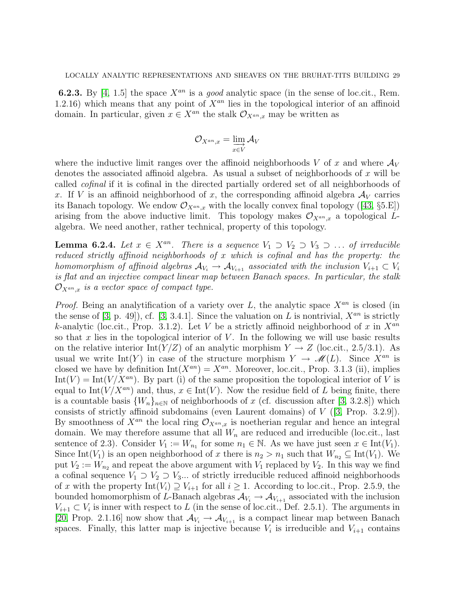**6.2.3.** By [\[4,](#page-76-11) 1.5] the space  $X^{an}$  is a good analytic space (in the sense of loc.cit., Rem. 1.2.16) which means that any point of  $X^{an}$  lies in the topological interior of an affinoid domain. In particular, given  $x \in X^{an}$  the stalk  $\mathcal{O}_{X^{an},x}$  may be written as

$$
\mathcal O_{X^{an},x}=\varinjlim_{x\in V}\mathcal A_V
$$

where the inductive limit ranges over the affinoid neighborhoods V of x and where  $\mathcal{A}_V$ denotes the associated affinoid algebra. As usual a subset of neighborhoods of x will be called cofinal if it is cofinal in the directed partially ordered set of all neighborhoods of x. If V is an affinoid neighborhood of x, the corresponding affinoid algebra  $\mathcal{A}_V$  carries itsBanach topology. We endow  $\mathcal{O}_{X^{an},x}$  with the locally convex final topology ([\[43,](#page-78-5) §5.E]) arising from the above inductive limit. This topology makes  $\mathcal{O}_{X^{an},x}$  a topological Lalgebra. We need another, rather technical, property of this topology.

<span id="page-28-0"></span>**Lemma 6.2.4.** Let  $x \in X^{an}$ . There is a sequence  $V_1 \supset V_2 \supset V_3 \supset \dots$  of irreducible reduced strictly affinoid neighborhoods of x which is cofinal and has the property: the homomorphism of affinoid algebras  $\mathcal{A}_{V_i} \to \mathcal{A}_{V_{i+1}}$  associated with the inclusion  $V_{i+1} \subset V_i$ is flat and an injective compact linear map between Banach spaces. In particular, the stalk  $\mathcal{O}_{X^{an},x}$  is a vector space of compact type.

*Proof.* Being an analytification of a variety over L, the analytic space  $X^{an}$  is closed (in the sense of [\[3,](#page-76-4) p. 49]), cf. [3, 3.4.1]. Since the valuation on L is nontrivial,  $X^{an}$  is strictly k-analytic (loc.cit., Prop. 3.1.2). Let V be a strictly affinoid neighborhood of x in  $X^{an}$ so that x lies in the topological interior of  $V$ . In the following we will use basic results on the relative interior Int(Y/Z) of an analytic morphism  $Y \to Z$  (loc.cit., 2.5/3.1). As usual we write Int(Y) in case of the structure morphism  $Y \to \mathcal{M}(L)$ . Since  $X^{an}$  is closed we have by definition  $Int(X^{an}) = X^{an}$ . Moreover, loc.cit., Prop. 3.1.3 (ii), implies  $Int(V) = Int(V/X^{an})$ . By part (i) of the same proposition the topological interior of V is equal to Int( $V/X^{an}$ ) and, thus,  $x \in Int(V)$ . Now the residue field of L being finite, there is a countable basis  ${W_n}_{n\in\mathbb{N}}$  of neighborhoods of x (cf. discussion after [\[3,](#page-76-4) 3.2.8]) which consists of strictly affinoid subdomains (even Laurent domains) of V ([\[3,](#page-76-4) Prop. 3.2.9]). By smoothness of  $X^{an}$  the local ring  $\mathcal{O}_{X^{an},x}$  is noetherian regular and hence an integral domain. We may therefore assume that all  $W_n$  are reduced and irreducible (loc.cit., last sentence of 2.3). Consider  $V_1 := W_{n_1}$  for some  $n_1 \in \mathbb{N}$ . As we have just seen  $x \in \text{Int}(V_1)$ . Since Int(V<sub>1</sub>) is an open neighborhood of x there is  $n_2 > n_1$  such that  $W_{n_2} \subseteq \text{Int}(V_1)$ . We put  $V_2 := W_{n_2}$  and repeat the above argument with  $V_1$  replaced by  $V_2$ . In this way we find a cofinal sequence  $V_1 \supset V_2 \supset V_3...$  of strictly irreducible reduced affinoid neighborhoods of x with the property  $Int(V_i) \supseteq V_{i+1}$  for all  $i \geq 1$ . According to loc.cit., Prop. 2.5.9, the bounded homomorphism of L-Banach algebras  $\mathcal{A}_{V_i} \to \mathcal{A}_{V_{i+1}}$  associated with the inclusion  $V_{i+1} \subset V_i$  is inner with respect to L (in the sense of loc.cit., Def. 2.5.1). The arguments in [\[20,](#page-77-18) Prop. 2.1.16] now show that  $\mathcal{A}_{V_i} \to \mathcal{A}_{V_{i+1}}$  is a compact linear map between Banach spaces. Finally, this latter map is injective because  $V_i$  is irreducible and  $V_{i+1}$  contains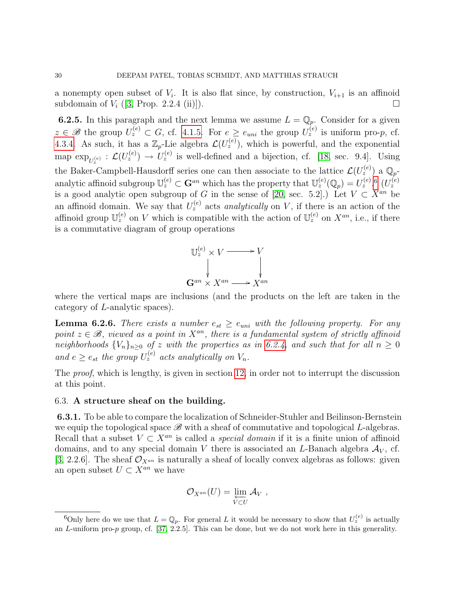a nonempty open subset of  $V_i$ . It is also flat since, by construction,  $V_{i+1}$  is an affinoid subdomain of  $V_i$  ([\[3,](#page-76-4) Prop. 2.2.4 (ii)]).

<span id="page-29-4"></span>**6.2.5.** In this paragraph and the next lemma we assume  $L = \mathbb{Q}_p$ . Consider for a given  $z \in \mathscr{B}$  the group  $U_z^{(e)} \subset G$ , cf. [4.1.5.](#page-16-1) For  $e \ge e_{uni}$  the group  $U_z^{(e)}$  is uniform pro-p, cf. [4.3.4.](#page-21-0) As such, it has a  $\mathbb{Z}_p$ -Lie algebra  $\mathcal{L}(U_z^{(e)})$ , which is powerful, and the exponential map  $\exp_{U_z^{(e)}} : \mathcal{L}(U_z^{(e)}) \to U_z^{(e)}$  is well-defined and a bijection, cf. [\[18,](#page-77-5) sec. 9.4]. Using z the Baker-Campbell-Hausdorff series one can then associate to the lattice  $\mathcal{L}(U_z^{(e)})$  a  $\mathbb{Q}_p$ analytic affinoid subgroup  $\mathbb{U}_{z}^{(e)} \subset \mathbf{G}^{an}$  which has the property that  $\mathbb{U}_{z}^{(e)}(\mathbb{Q}_{p}) = U_{z}^{(e)}$ .  $\mathbb{G}_{z}^{(e)}$ is a good analytic open subgroup of G in the sense of [\[20,](#page-77-18) sec. 5.2].) Let  $V \subset X^{an}$  be an affinoid domain. We say that  $U_z^{(e)}$  acts *analytically* on V, if there is an action of the affinoid group  $\mathbb{U}_z^{(e)}$  on V which is compatible with the action of  $\mathbb{U}_z^{(e)}$  on  $X^{an}$ , i.e., if there is a commutative diagram of group operations



where the vertical maps are inclusions (and the products on the left are taken in the category of L-analytic spaces).

<span id="page-29-1"></span>**Lemma 6.2.6.** There exists a number  $e_{st} \ge e_{uni}$  with the following property. For any point  $z \in \mathcal{B}$ , viewed as a point in  $X^{an}$ , there is a fundamental system of strictly affinoid neighborhoods  ${V_n}_{n\geq 0}$  of z with the properties as in [6.2.4,](#page-28-0) and such that for all  $n \geq 0$ and  $e \ge e_{st}$  the group  $U_z^{(e)}$  acts analytically on  $V_n$ .

The *proof*, which is lengthy, is given in section [12,](#page-72-0) in order not to interrupt the discussion at this point.

#### <span id="page-29-0"></span>6.3. A structure sheaf on the building.

<span id="page-29-3"></span>6.3.1. To be able to compare the localization of Schneider-Stuhler and Beilinson-Bernstein we equip the topological space  $\mathscr{B}$  with a sheaf of commutative and topological L-algebras. Recall that a subset  $V \subset X^{an}$  is called a *special domain* if it is a finite union of affinoid domains, and to any special domain V there is associated an L-Banach algebra  $A_V$ , cf. [\[3,](#page-76-4) 2.2.6]. The sheaf  $\mathcal{O}_{X^{an}}$  is naturally a sheaf of locally convex algebras as follows: given an open subset  $U \subset X^{an}$  we have

$$
\mathcal{O}_{X^{an}}(U) = \varprojlim_{V \subset U} \mathcal{A}_V ,
$$

<span id="page-29-2"></span><sup>&</sup>lt;sup>6</sup>Only here do we use that  $L = \mathbb{Q}_p$ . For general L it would be necessary to show that  $U_z^{(e)}$  is actually an L-uniform pro-p group, cf. [\[37,](#page-78-11) 2.2.5]. This can be done, but we do not work here in this generality.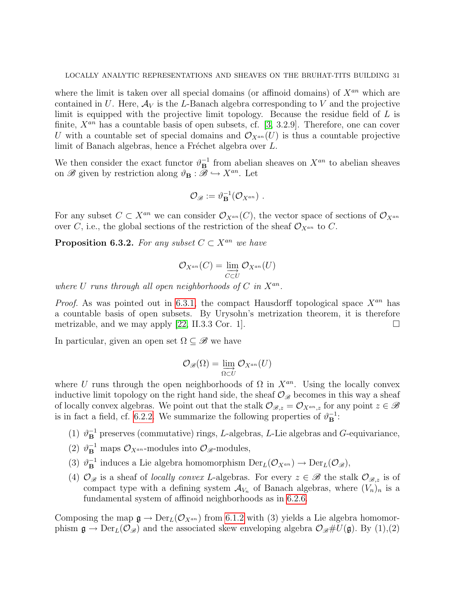where the limit is taken over all special domains (or affinoid domains) of  $X^{an}$  which are contained in U. Here,  $A_V$  is the L-Banach algebra corresponding to V and the projective limit is equipped with the projective limit topology. Because the residue field of  $L$  is finite,  $X^{an}$  has a countable basis of open subsets, cf. [\[3,](#page-76-4) 3.2.9]. Therefore, one can cover U with a countable set of special domains and  $\mathcal{O}_{X^{an}}(U)$  is thus a countable projective limit of Banach algebras, hence a Fréchet algebra over  $L$ .

We then consider the exact functor  $\vartheta_{\mathbf{B}}^{-1}$  from abelian sheaves on  $X^{an}$  to abelian sheaves on  $\mathscr{B}$  given by restriction along  $\vartheta_{\mathbf{B}} : \widetilde{\mathscr{B}} \hookrightarrow X^{an}$ . Let

$$
\mathcal{O}_{\mathscr{B}}:=\vartheta_{\mathbf{B}}^{-1}(\mathcal{O}_{X^{an}})\ .
$$

For any subset  $C \subset X^{an}$  we can consider  $\mathcal{O}_{X^{an}}(C)$ , the vector space of sections of  $\mathcal{O}_{X^{an}}$ over C, i.e., the global sections of the restriction of the sheaf  $\mathcal{O}_{X^{an}}$  to C.

**Proposition 6.3.2.** For any subset  $C \subset X^{an}$  we have

$$
\mathcal{O}_{X^{an}}(C) = \varinjlim_{C \subset U} \mathcal{O}_{X^{an}}(U)
$$

where U runs through all open neighborhoods of  $C$  in  $X^{an}$ .

*Proof.* As was pointed out in [6.3.1,](#page-29-3) the compact Hausdorff topological space  $X^{an}$  has a countable basis of open subsets. By Urysohn's metrization theorem, it is therefore metrizable, and we may apply [\[22,](#page-77-19) II.3.3 Cor. 1].

In particular, given an open set  $\Omega \subseteq \mathscr{B}$  we have

$$
\mathcal{O}_{\mathscr{B}}(\Omega) = \varinjlim_{\Omega \subset U} \mathcal{O}_{X^{an}}(U)
$$

where U runs through the open neighborhoods of  $\Omega$  in  $X^{an}$ . Using the locally convex inductive limit topology on the right hand side, the sheaf  $\mathcal{O}_{\mathscr{B}}$  becomes in this way a sheaf of locally convex algebras. We point out that the stalk  $\mathcal{O}_{\mathscr{B},z} = \mathcal{O}_{X^{an},z}$  for any point  $z \in \mathscr{B}$ is in fact a field, cf. [6.2.2.](#page-27-1) We summarize the following properties of  $\vartheta_{\mathbf{B}}^{-1}$ :

- (1)  $\vartheta_{\mathbf{B}}^{-1}$  preserves (commutative) rings, L-algebras, L-Lie algebras and G-equivariance,
- (2)  $\vartheta_{\mathbf{B}}^{-1}$  maps  $\mathcal{O}_{X^{an}}$ -modules into  $\mathcal{O}_{\mathscr{B}}$ -modules,
- (3)  $\vartheta^{-1}_{\mathbf{B}}$  induces a Lie algebra homomorphism  $\mathrm{Der}_{L}(\mathcal{O}_{X^{an}}) \to \mathrm{Der}_{L}(\mathcal{O}_{\mathscr{B}})$ ,
- (4)  $\mathcal{O}_{\mathscr{B}}$  is a sheaf of *locally convex L*-algebras. For every  $z \in \mathscr{B}$  the stalk  $\mathcal{O}_{\mathscr{B},z}$  is of compact type with a defining system  $\mathcal{A}_{V_n}$  of Banach algebras, where  $(V_n)_n$  is a fundamental system of affinoid neighborhoods as in [6.2.6.](#page-29-1)

Composing the map  $\mathfrak{g} \to \mathrm{Der}_L(\mathcal{O}_{X^{an}})$  from [6.1.2](#page-26-0) with (3) yields a Lie algebra homomorphism  $\mathfrak{g} \to \text{Der}_L(\mathcal{O}_{\mathscr{B}})$  and the associated skew enveloping algebra  $\mathcal{O}_{\mathscr{B}}\#U(\mathfrak{g})$ . By  $(1),(2)$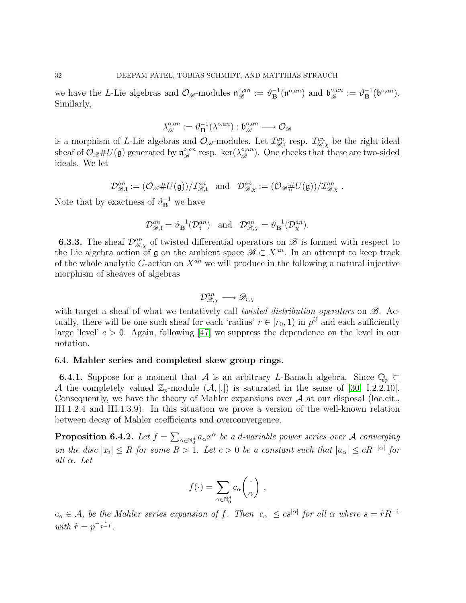we have the L-Lie algebras and  $\mathcal{O}_{\mathscr{B}}$ -modules  $\mathfrak{n}_{\mathscr{B}}^{\circ,an} := \vartheta_{\mathbf{B}}^{-1}(\mathfrak{n}^{\circ,an})$  and  $\mathfrak{b}_{\mathscr{B}}^{\circ,an} := \vartheta_{\mathbf{B}}^{-1}(\mathfrak{b}^{\circ,an})$ . Similarly,

$$
\lambda_{\mathscr{B}}^{\circ,an}:=\vartheta_{\mathbf{B}}^{-1}(\lambda^{\circ,an}):\mathfrak{b}_{\mathscr{B}}^{\circ,an}\longrightarrow\mathcal{O}_{\mathscr{B}}
$$

is a morphism of L-Lie algebras and  $\mathcal{O}_{\mathscr{B}}$ -modules. Let  $\mathcal{I}_{\mathscr{B},\mathfrak{t}}^{an}$  resp.  $\mathcal{I}_{\mathscr{B},\chi}^{an}$  be the right ideal sheaf of  $\mathcal{O}_{\mathscr{B}}\#U(\mathfrak{g})$  generated by  $\mathfrak{n}_{\mathscr{B}}^{\circ,an}$  resp. ker $(\lambda_{\mathscr{B}}^{\circ,an})$ . One checks that these are two-sided ideals. We let

$$
\mathcal{D}_{\mathscr{B},\mathfrak{t}}^{an} := (\mathcal{O}_{\mathscr{B}} \# U(\mathfrak{g})) / \mathcal{I}_{\mathscr{B},\mathfrak{t}}^{an} \quad \text{and} \quad \mathcal{D}_{\mathscr{B},\chi}^{an} := (\mathcal{O}_{\mathscr{B}} \# U(\mathfrak{g})) / \mathcal{I}_{\mathscr{B},\chi}^{an}.
$$

Note that by exactness of  $\vartheta_{\mathbf{B}}^{-1}$  we have

$$
\mathcal{D}_{\mathscr{B},\mathfrak{t}}^{an} = \vartheta_{\mathbf{B}}^{-1}(\mathcal{D}_{\mathfrak{t}}^{an}) \quad \text{and} \quad \mathcal{D}_{\mathscr{B},\chi}^{an} = \vartheta_{\mathbf{B}}^{-1}(\mathcal{D}_{\chi}^{an}).
$$

**6.3.3.** The sheaf  $\mathcal{D}_{\mathcal{B},\chi}^{an}$  of twisted differential operators on  $\mathcal{B}$  is formed with respect to the Lie algebra action of  $\mathfrak g$  on the ambient space  $\mathscr B\subset X^{an}$ . In an attempt to keep track of the whole analytic  $G$ -action on  $X^{an}$  we will produce in the following a natural injective morphism of sheaves of algebras

$$
\mathcal{D}^{an}_{\mathscr{B},\chi}\longrightarrow \mathscr{D}_{r,\chi}
$$

with target a sheaf of what we tentatively call *twisted distribution operators* on  $\mathscr{B}$ . Actually, there will be one such sheaf for each 'radius'  $r \in [r_0, 1)$  in  $p^{\mathbb{Q}}$  and each sufficiently large 'level'  $e > 0$ . Again, following [\[47\]](#page-78-0) we suppress the dependence on the level in our notation.

## <span id="page-31-0"></span>6.4. Mahler series and completed skew group rings.

**6.4.1.** Suppose for a moment that A is an arbitrary L-Banach algebra. Since  $\mathbb{Q}_p \subset$ A the completely valued  $\mathbb{Z}_p$ -module  $(\mathcal{A}, |.|$  is saturated in the sense of [\[30,](#page-77-1) I.2.2.10]. Consequently, we have the theory of Mahler expansions over  $A$  at our disposal (loc.cit., III.1.2.4 and III.1.3.9). In this situation we prove a version of the well-known relation between decay of Mahler coefficients and overconvergence.

<span id="page-31-1"></span>**Proposition 6.4.2.** Let  $f = \sum_{\alpha \in \mathbb{N}_0^d} a_\alpha x^\alpha$  be a d-variable power series over A converging on the disc  $|x_i| \leq R$  for some  $R > 1$ . Let  $c > 0$  be a constant such that  $|a_{\alpha}| \leq cR^{-|\alpha|}$  for all  $\alpha$ . Let

$$
f(\cdot) = \sum_{\alpha \in \mathbb{N}_0^d} c_{\alpha} \begin{pmatrix} \cdot \\ \alpha \end{pmatrix} ,
$$

 $c_{\alpha} \in \mathcal{A}$ , be the Mahler series expansion of f. Then  $|c_{\alpha}| \leq c s^{|\alpha|}$  for all  $\alpha$  where  $s = \tilde{r} R^{-1}$ with  $\tilde{r} = p^{-\frac{1}{p-1}}$ .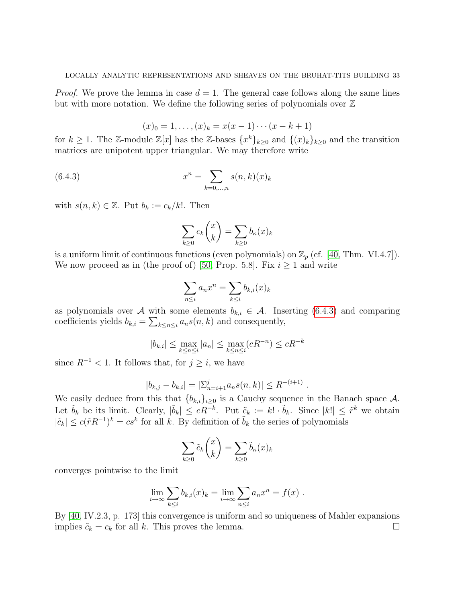*Proof.* We prove the lemma in case  $d = 1$ . The general case follows along the same lines but with more notation. We define the following series of polynomials over  $\mathbb Z$ 

$$
(x)_0 = 1, \ldots, (x)_k = x(x - 1) \cdots (x - k + 1)
$$

for  $k \geq 1$ . The Z-module  $\mathbb{Z}[x]$  has the Z-bases  $\{x^k\}_{k \geq 0}$  and  $\{(x)_k\}_{k \geq 0}$  and the transition matrices are unipotent upper triangular. We may therefore write

(6.4.3) 
$$
x^{n} = \sum_{k=0,...,n} s(n,k)(x)_{k}
$$

with  $s(n, k) \in \mathbb{Z}$ . Put  $b_k := c_k/k!$ . Then

<span id="page-32-0"></span>
$$
\sum_{k\geq 0} c_k \binom{x}{k} = \sum_{k\geq 0} b_k(x)_k
$$

is a uniform limit of continuous functions (even polynomials) on  $\mathbb{Z}_p$  (cf. [\[40,](#page-78-12) Thm. VI.4.7]). We now proceed as in (the proof of) [\[50,](#page-78-13) Prop. 5.8]. Fix  $i \geq 1$  and write

$$
\sum_{n \le i} a_n x^n = \sum_{k \le i} b_{k,i}(x)_k
$$

as polynomials over A with some elements  $b_{k,i} \in \mathcal{A}$ . Inserting [\(6.4.3\)](#page-32-0) and comparing coefficients yields  $b_{k,i} = \sum_{k \leq n \leq i} a_n s(n,k)$  and consequently,

$$
|b_{k,i}| \le \max_{k \le n \le i} |a_n| \le \max_{k \le n \le i} (cR^{-n}) \le cR^{-k}
$$

since  $R^{-1}$  < 1. It follows that, for  $j \geq i$ , we have

$$
|b_{k,j} - b_{k,i}| = |\sum_{n=i+1}^{j} a_n s(n,k)| \le R^{-(i+1)}.
$$

We easily deduce from this that  ${b_{k,i}}_{i\geq 0}$  is a Cauchy sequence in the Banach space A. Let  $\tilde{b}_k$  be its limit. Clearly,  $|\tilde{b}_k| \leq cR^{-k}$ . Put  $\tilde{c}_k := k! \cdot \tilde{b}_k$ . Since  $|k| \leq \tilde{r}^k$  we obtain  $|\tilde{c}_k| \leq c(\tilde{r}R^{-1})^k = cs^k$  for all k. By definition of  $\tilde{b}_k$  the series of polynomials

$$
\sum_{k\geq 0} \tilde{c}_k \binom{x}{k} = \sum_{k\geq 0} \tilde{b}_\kappa(x)_k
$$

converges pointwise to the limit

$$
\lim_{i \to \infty} \sum_{k \le i} b_{k,i}(x)_k = \lim_{i \to \infty} \sum_{n \le i} a_n x^n = f(x) .
$$

By [\[40,](#page-78-12) IV.2.3, p. 173] this convergence is uniform and so uniqueness of Mahler expansions implies  $\tilde{c}_k = c_k$  for all k. This proves the lemma.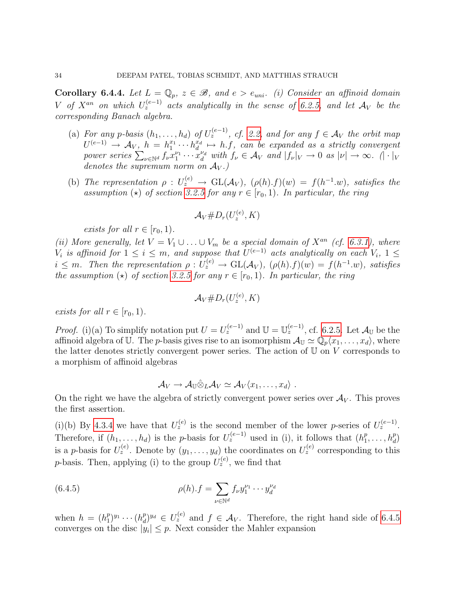<span id="page-33-1"></span>Corollary 6.4.4. Let  $L = \mathbb{Q}_p$ ,  $z \in \mathcal{B}$ , and  $e > e_{uni}$ . (i) Consider an affinoid domain V of  $X^{an}$  on which  $U_z^{(e-1)}$  acts analytically in the sense of [6.2.5,](#page-29-4) and let  $\mathcal{A}_V$  be the corresponding Banach algebra.

- (a) For any p-basis  $(h_1, \ldots, h_d)$  of  $U_z^{(e-1)}$ , cf. [2.2,](#page-9-0) and for any  $f \in \mathcal{A}_V$  the orbit map  $U^{(e-1)} \rightarrow \mathcal{A}_V$ ,  $h = h_1^{x_1} \cdots h_d^{x_d} \mapsto h.f$ , can be expanded as a strictly convergent power series  $\sum_{\nu \in \mathbb{N}^d} f_{\nu} x_1^{\nu_1} \cdots x_d^{\nu_d}$  with  $f_{\nu} \in \mathcal{A}_V$  and  $|f_{\nu}|_V \to 0$  as  $|\nu| \to \infty$ .  $(|\cdot|_V)$ denotes the supremum norm on  $A_V$ .)
- (b) The representation  $\rho: U_z^{(e)} \to GL(\mathcal{A}_V)$ ,  $(\rho(h).f)(w) = f(h^{-1}.w)$ , satisfies the assumption ( $\star$ ) of section [3.2.5](#page-15-2) for any  $r \in [r_0, 1)$ . In particular, the ring

$$
\mathcal{A}_V\#D_r(U_z^{(e)},K)
$$

exists for all  $r \in [r_0, 1)$ .

(ii) More generally, let  $V = V_1 \cup ... \cup V_m$  be a special domain of  $X^{an}$  (cf. [6.3.1\)](#page-29-3), where  $V_i$  is affinoid for  $1 \leq i \leq m$ , and suppose that  $U^{(e-1)}$  acts analytically on each  $V_i$ ,  $1 \leq$  $i \leq m$ . Then the representation  $\rho: U_z^{(e)} \to GL(\mathcal{A}_V)$ ,  $(\rho(h).f)(w) = f(h^{-1}.w)$ , satisfies the assumption ( $\star$ ) of section [3.2.5](#page-15-2) for any  $r \in [r_0, 1)$ . In particular, the ring

$$
\mathcal{A}_V\#D_r(U_z^{(e)},K)
$$

exists for all  $r \in [r_0, 1)$ .

*Proof.* (i)(a) To simplify notation put  $U = U_z^{(e-1)}$  and  $\mathbb{U} = \mathbb{U}_z^{(e-1)}$ , cf. [6.2.5.](#page-29-4) Let  $\mathcal{A}_{\mathbb{U}}$  be the affinoid algebra of U. The *p*-basis gives rise to an isomorphism  $\mathcal{A}_{\mathbb{U}} \simeq \mathbb{Q}_p\langle x_1, \ldots, x_d \rangle$ , where the latter denotes strictly convergent power series. The action of  $U$  on  $V$  corresponds to a morphism of affinoid algebras

<span id="page-33-0"></span>
$$
\mathcal{A}_V \to \mathcal{A}_{\mathbb{U}} \hat{\otimes}_L \mathcal{A}_V \simeq \mathcal{A}_V \langle x_1, \ldots, x_d \rangle \ .
$$

On the right we have the algebra of strictly convergent power series over  $\mathcal{A}_V$ . This proves the first assertion.

(i)(b) By [4.3.4](#page-21-0) we have that  $U_z^{(e)}$  is the second member of the lower p-series of  $U_z^{(e-1)}$ . Therefore, if  $(h_1, \ldots, h_d)$  is the p-basis for  $U_z^{(e-1)}$  used in (i), it follows that  $(h_1^p, \ldots, h_d)$  $\binom{p}{1}, \ldots, \binom{p}{d}$ is a p-basis for  $U_z^{(e)}$ . Denote by  $(y_1,\ldots,y_d)$  the coordinates on  $U_z^{(e)}$  corresponding to this *p*-basis. Then, applying (i) to the group  $U_z^{(e)}$ , we find that

(6.4.5) 
$$
\rho(h) \cdot f = \sum_{\nu \in \mathbb{N}^d} f_{\nu} y_1^{\nu_1} \cdots y_d^{\nu_d}
$$

when  $h = (h_1^p)$  $\binom{p}{1}^{y_1}\cdots\binom{h_d^p}{d}$  $\mathcal{L}_d^{(p)}$  and  $f \in \mathcal{A}_V$ . Therefore, the right hand side of [6.4.5](#page-33-0) converges on the disc  $|y_i| \leq p$ . Next consider the Mahler expansion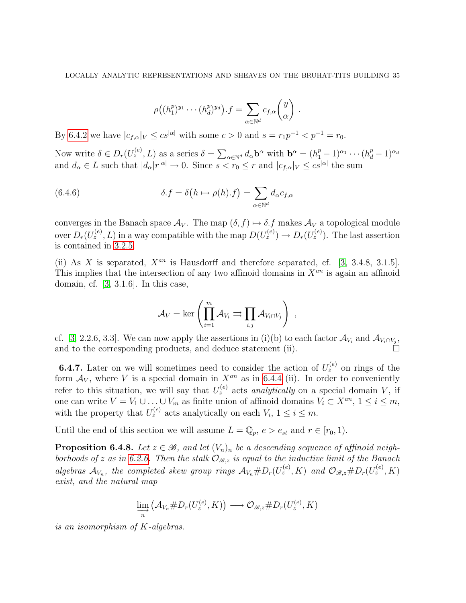$$
\rho((h_1^p)^{y_1}\cdots(h_d^p)^{y_d}).f=\sum_{\alpha\in\mathbb{N}^d}c_{f,\alpha}\binom{y}{\alpha}.
$$

By [6.4.2](#page-31-1) we have  $|c_{f,\alpha}|_V \leq c s^{|\alpha|}$  with some  $c > 0$  and  $s = r_1 p^{-1} < p^{-1} = r_0$ .

Now write  $\delta \in D_r(U_z^{(e)}, L)$  as a series  $\delta = \sum_{\alpha \in \mathbb{N}^d} d_\alpha \mathbf{b}^\alpha$  with  $\mathbf{b}^\alpha = (h_1^p - 1)^{\alpha_1} \cdots (h_d^p - 1)^{\alpha_d}$ and  $d_{\alpha} \in L$  such that  $|d_{\alpha}|r^{|\alpha|} \to 0$ . Since  $s < r_0 \leq r$  and  $|c_{f,\alpha}|_V \leq c s^{|\alpha|}$  the sum

(6.4.6) 
$$
\delta f = \delta \left( h \mapsto \rho(h) . f \right) = \sum_{\alpha \in \mathbb{N}^d} d_{\alpha} c_{f, \alpha}
$$

converges in the Banach space  $\mathcal{A}_V$ . The map  $(\delta, f) \mapsto \delta.f$  makes  $\mathcal{A}_V$  a topological module over  $D_r(U_z^{(e)}, L)$  in a way compatible with the map  $D(U_z^{(e)}) \to D_r(U_z^{(e)})$ . The last assertion is contained in [3.2.5.](#page-15-2)

(ii) As X is separated,  $X^{an}$  is Hausdorff and therefore separated, cf. [\[3,](#page-76-4) 3.4.8, 3.1.5]. This implies that the intersection of any two affinoid domains in  $X^{an}$  is again an affinoid domain, cf. [\[3,](#page-76-4) 3.1.6]. In this case,

$$
\mathcal{A}_V = \ker \left( \prod_{i=1}^m \mathcal{A}_{V_i} \rightrightarrows \prod_{i,j} \mathcal{A}_{V_i \cap V_j} \right) ,
$$

cf. [\[3,](#page-76-4) 2.2.6, 3.3]. We can now apply the assertions in (i)(b) to each factor  $\mathcal{A}_{V_i}$  and  $\mathcal{A}_{V_i \cap V_j}$ , and to the corresponding products, and deduce statement (ii).

<span id="page-34-0"></span>**6.4.7.** Later on we will sometimes need to consider the action of  $U_z^{(e)}$  on rings of the form  $A_V$ , where V is a special domain in  $X^{an}$  as in [6.4.4](#page-33-1) (ii). In order to conveniently refer to this situation, we will say that  $U_z^{(e)}$  acts *analytically* on a special domain V, if one can write  $V = V_1 \cup ... \cup V_m$  as finite union of affinoid domains  $V_i \subset X^{an}, 1 \le i \le m$ , with the property that  $U_z^{(e)}$  acts analytically on each  $V_i$ ,  $1 \le i \le m$ .

Until the end of this section we will assume  $L = \mathbb{Q}_p$ ,  $e > e_{st}$  and  $r \in [r_0, 1)$ .

**Proposition 6.4.8.** Let  $z \in \mathcal{B}$ , and let  $(V_n)_n$  be a descending sequence of affinoid neigh-borhoods of z as in [6.2.6.](#page-29-1) Then the stalk  $\mathcal{O}_{\mathscr{B},z}$  is equal to the inductive limit of the Banach algebras  $\mathcal{A}_{V_n}$ , the completed skew group rings  $\mathcal{A}_{V_n} \# D_r(U_z^{(e)}, K)$  and  $\mathcal{O}_{\mathscr{B},z} \# D_r(U_z^{(e)}, K)$ exist, and the natural map

$$
\varinjlim_{n} \left( \mathcal{A}_{V_n} \# D_r(U_z^{(e)}, K) \right) \longrightarrow \mathcal{O}_{\mathscr{B},z} \# D_r(U_z^{(e)}, K)
$$

is an isomorphism of K-algebras.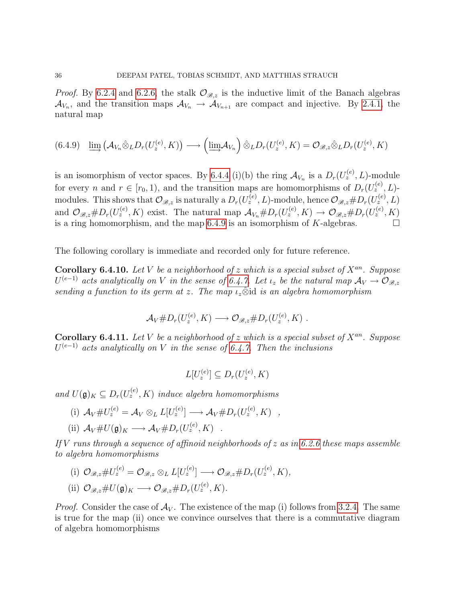*Proof.* By [6.2.4](#page-28-0) and [6.2.6,](#page-29-1) the stalk  $\mathcal{O}_{\mathscr{B},z}$  is the inductive limit of the Banach algebras  $\mathcal{A}_{V_n}$ , and the transition maps  $\mathcal{A}_{V_n} \to \mathcal{A}_{V_{n+1}}$  are compact and injective. By [2.4.1,](#page-12-1) the natural map

<span id="page-35-0"></span>
$$
(6.4.9) \quad \underline{\lim}_{\to} \left( \mathcal{A}_{V_n} \hat{\otimes}_L D_r(U_z^{(e)}, K) \right) \longrightarrow \left( \underline{\lim}_{\to} \mathcal{A}_{V_n} \right) \hat{\otimes}_L D_r(U_z^{(e)}, K) = \mathcal{O}_{\mathscr{B},z} \hat{\otimes}_L D_r(U_z^{(e)}, K)
$$

is an isomorphism of vector spaces. By [6.4.4](#page-33-1) (i)(b) the ring  $\mathcal{A}_{V_n}$  is a  $D_r(U_z^{(e)}, L)$ -module for every n and  $r \in [r_0, 1)$ , and the transition maps are homomorphisms of  $D_r(U_z^{(e)}, L)$ modules. This shows that  $\mathcal{O}_{\mathscr{B},z}$  is naturally a  $D_r(U_z^{(e)}, L)$ -module, hence  $\mathcal{O}_{\mathscr{B},z} \# D_r(U_z^{(e)}, L)$ and  $\mathcal{O}_{\mathscr{B},z} \# D_r(U_z^{(e)}, K)$  exist. The natural map  $\mathcal{A}_{V_n} \# D_r(U_z^{(e)}, K) \to \mathcal{O}_{\mathscr{B},z} \# D_r(U_z^{(e)}, K)$ is a ring homomorphism, and the map  $6.4.9$  is an isomorphism of  $K$ -algebras.

The following corollary is immediate and recorded only for future reference.

**Corollary 6.4.10.** Let V be a neighborhood of z which is a special subset of  $X^{an}$ . Suppose  $U^{(e-1)}$  acts analytically on V in the sense of [6.4.7.](#page-34-0) Let  $\iota_z$  be the natural map  $\mathcal{A}_V \to \mathcal{O}_{\mathscr{B},z}$ sending a function to its germ at z. The map  $\iota_z \hat{\otimes}$  id is an algebra homomorphism

$$
\mathcal{A}_V \# D_r(U_z^{(e)}, K) \longrightarrow \mathcal{O}_{\mathscr{B},z} \# D_r(U_z^{(e)}, K) .
$$

**Corollary 6.4.11.** Let V be a neighborhood of z which is a special subset of  $X^{an}$ . Suppose  $U^{(e-1)}$  acts analytically on V in the sense of [6.4.7.](#page-34-0) Then the inclusions

$$
L[U_z^{(e)}] \subseteq D_r(U_z^{(e)}, K)
$$

and  $U(\mathfrak{g})_K \subseteq D_r(U_z^{(e)}, K)$  induce algebra homomorphisms

(i)  $A_V \# U_z^{(e)} = A_V \otimes_L L[U_z^{(e)}] \longrightarrow A_V \# D_r(U_z^{(e)}, K)$ , (ii)  $A_V \# U(\mathfrak{g})_K \longrightarrow A_V \# D_r(U_z^{(e)}, K)$ .

If V runs through a sequence of affinoid neighborhoods of  $z$  as in [6.2.6](#page-29-1) these maps assemble to algebra homomorphisms

(i)  $\mathcal{O}_{\mathscr{B},z} \# U_z^{(e)} = \mathcal{O}_{\mathscr{B},z} \otimes_L L[U_z^{(e)}] \longrightarrow \mathcal{O}_{\mathscr{B},z} \# D_r(U_z^{(e)}, K),$ 

(ii) 
$$
\mathcal{O}_{\mathcal{B},z} \# U(\mathfrak{g})_K \longrightarrow \mathcal{O}_{\mathcal{B},z} \# D_r(U_z^{(e)}, K)
$$
.

*Proof.* Consider the case of  $\mathcal{A}_V$ . The existence of the map (i) follows from [3.2.4.](#page-15-3) The same is true for the map (ii) once we convince ourselves that there is a commutative diagram of algebra homomorphisms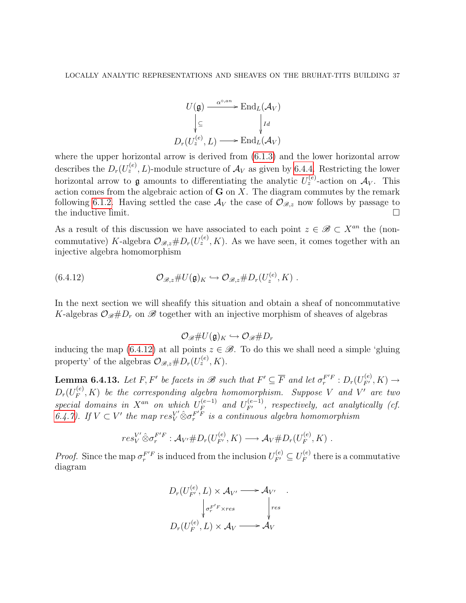$$
U(\mathfrak{g}) \xrightarrow{\alpha^{\circ, an}} \text{End}_{L}(\mathcal{A}_{V})
$$

$$
\downarrow \subseteq \qquad \qquad \downarrow id
$$

$$
D_{r}(U_{z}^{(e)}, L) \longrightarrow \text{End}_{L}(\mathcal{A}_{V})
$$

where the upper horizontal arrow is derived from  $(6.1.3)$  and the lower horizontal arrow describes the  $D_r(U_z^{(e)}, L)$ -module structure of  $\mathcal{A}_V$  as given by [6.4.4.](#page-33-0) Restricting the lower horizontal arrow to **g** amounts to differentiating the analytic  $U_z^{(e)}$ -action on  $\mathcal{A}_V$ . This action comes from the algebraic action of  $G$  on  $X$ . The diagram commutes by the remark following [6.1.2.](#page-26-1) Having settled the case  $\mathcal{A}_V$  the case of  $\mathcal{O}_{\mathscr{B},z}$  now follows by passage to the inductive limit.  $\Box$ 

As a result of this discussion we have associated to each point  $z \in \mathscr{B} \subset X^{an}$  the (noncommutative) K-algebra  $\mathcal{O}_{\mathscr{B},z} \# D_r(U_z^{(e)}, K)$ . As we have seen, it comes together with an injective algebra homomorphism

(6.4.12) 
$$
\mathcal{O}_{\mathscr{B},z} \# U(\mathfrak{g})_K \hookrightarrow \mathcal{O}_{\mathscr{B},z} \# D_r(U_z^{(e)}, K) .
$$

In the next section we will sheafify this situation and obtain a sheaf of noncommutative K-algebras  $\mathcal{O}_{\mathscr{B}}\#D_r$  on  $\mathscr{B}$  together with an injective morphism of sheaves of algebras

<span id="page-36-0"></span>
$$
\mathcal{O}_{\mathscr{B}}\#U(\mathfrak{g})_K\hookrightarrow \mathcal{O}_{\mathscr{B}}\#D_r
$$

inducing the map [\(6.4.12\)](#page-36-0) at all points  $z \in \mathcal{B}$ . To do this we shall need a simple 'gluing property' of the algebras  $\mathcal{O}_{\mathscr{B},z} \# D_r(U_z^{(e)}, K)$ .

<span id="page-36-1"></span>**Lemma 6.4.13.** Let F, F' be facets in  $\mathscr{B}$  such that  $F' \subseteq \overline{F}$  and let  $\sigma_r^{F/F} : D_r(U_{F'}^{(e)}, K) \to$  $D_r(U_F^{(e)}% )\rightarrow\infty$  $F_F^{(e)}, K$ ) be the corresponding algebra homomorphism. Suppose V and V' are two special domains in  $X^{an}$  on which  $U_F^{(e-1)}$  $\mathcal{F}_F^{(e-1)}$  and  $U_{F'}^{(e-1)}$ , respectively, act analytically (cf. [6.4.7\)](#page-34-0). If  $V \subset V'$  the map  $res_V^{V'} \hat{\otimes} \sigma_r^{F'F}$  is a continuous algebra homomorphism

$$
res_V^{V'} \hat{\otimes} \sigma_r^{F'F} : \mathcal{A}_{V'} \# D_r(U_{F'}^{(e)}, K) \longrightarrow \mathcal{A}_V \# D_r(U_F^{(e)}, K) .
$$

*Proof.* Since the map  $\sigma_r^{F'F}$  is induced from the inclusion  $U_{F'}^{(e)} \subseteq U_F^{(e)}$  $\mathcal{F}^{(e)}_F$  there is a commutative diagram

$$
D_r(U_{F'}^{(e)}, L) \times \mathcal{A}_{V'} \longrightarrow \mathcal{A}_{V'}
$$

$$
\downarrow \sigma_r^{F'F \times res} \qquad \qquad \downarrow res
$$

$$
D_r(U_F^{(e)}, L) \times \mathcal{A}_V \longrightarrow \mathcal{A}_V
$$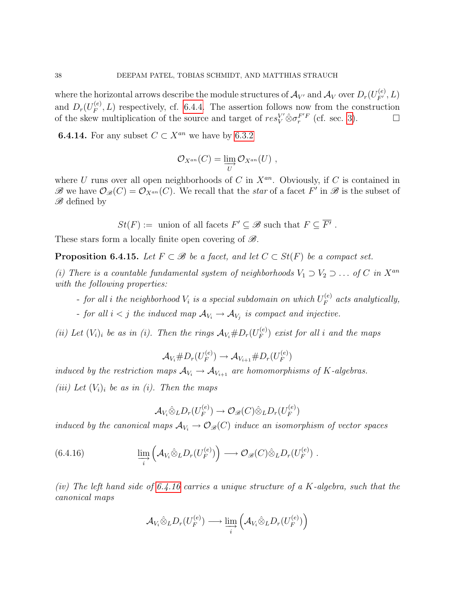where the horizontal arrows describe the module structures of  $\mathcal{A}_{V'}$  and  $\mathcal{A}_{V}$  over  $D_r(U_{F'}^{(e)}, L)$ and  $D_r(U_F^{(e)}$  $F_F^{(e)}, L$ ) respectively, cf. [6.4.4.](#page-33-0) The assertion follows now from the construction of the skew multiplication of the source and target of  $res_V^{V'} \hat{\otimes} \sigma_r^{F'F}$  (cf. sec. [3\)](#page-13-0).

**6.4.14.** For any subset  $C \subset X^{an}$  we have by [6.3.2](#page-30-0)

$$
\mathcal{O}_{X^{an}}(C) = \varinjlim_{U} \mathcal{O}_{X^{an}}(U) ,
$$

where U runs over all open neighborhoods of C in  $X^{an}$ . Obviously, if C is contained in B we have  $\mathcal{O}_{\mathscr{B}}(C) = \mathcal{O}_{X^{an}}(C)$ . We recall that the star of a facet F' in B is the subset of  $\mathscr{B}$  defined by

 $St(F) :=$  union of all facets  $F' \subseteq \mathcal{B}$  such that  $F \subseteq \overline{F'}$ .

These stars form a locally finite open covering of  $\mathscr{B}$ .

<span id="page-37-1"></span>**Proposition 6.4.15.** Let  $F \subset \mathcal{B}$  be a facet, and let  $C \subset St(F)$  be a compact set.

(i) There is a countable fundamental system of neighborhoods  $V_1 \supset V_2 \supset \dots$  of C in  $X^{an}$ with the following properties:

- for all  $i$  the neighborhood  $V_i$  is a special subdomain on which  $U_F^{(e)}$  $E_F^{(e)}$  acts analytically,

- for all  $i < j$  the induced map  $\mathcal{A}_{V_i} \to \mathcal{A}_{V_j}$  is compact and injective.

(ii) Let  $(V_i)_i$  be as in (i). Then the rings  $A_{V_i} \# D_r(U_F^{(e)})$  $\binom{e}{F}$  exist for all i and the maps

$$
\mathcal{A}_{V_i} \# D_r(U_F^{(e)}) \to \mathcal{A}_{V_{i+1}} \# D_r(U_F^{(e)})
$$

induced by the restriction maps  $A_{V_i} \to A_{V_{i+1}}$  are homomorphisms of K-algebras. (iii) Let  $(V_i)_i$  be as in (i). Then the maps

<span id="page-37-0"></span>
$$
\mathcal{A}_{V_i} \hat{\otimes}_L D_r(U_F^{(e)}) \to \mathcal{O}_{\mathscr{B}}(C) \hat{\otimes}_L D_r(U_F^{(e)})
$$

induced by the canonical maps  $\mathcal{A}_{V_i} \to \mathcal{O}_{\mathscr{B}}(C)$  induce an isomorphism of vector spaces

(6.4.16) 
$$
\lim_{\substack{\longrightarrow \\ i}} \left( \mathcal{A}_{V_i} \hat{\otimes}_L D_r(U_F^{(e)}) \right) \longrightarrow \mathcal{O}_{\mathscr{B}}(C) \hat{\otimes}_L D_r(U_F^{(e)}) .
$$

(iv) The left hand side of [6.4.16](#page-37-0) carries a unique structure of a  $K$ -algebra, such that the canonical maps

$$
\mathcal{A}_{V_i} \hat{\otimes}_L D_r(U_F^{(e)}) \longrightarrow \varinjlim_i \left( \mathcal{A}_{V_i} \hat{\otimes}_L D_r(U_F^{(e)}) \right)
$$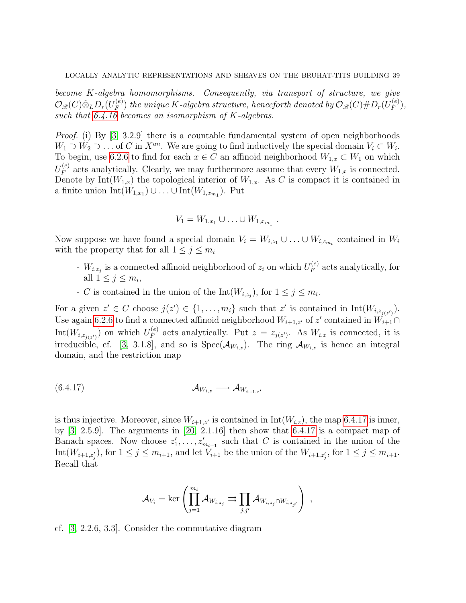become K-algebra homomorphisms. Consequently, via transport of structure, we give  $\mathcal{O}_{\mathscr{B}}(C)\hat{\otimes}_L D_r(U_F^{(e)}$  $F^{(e)}_F)$  the unique  $K$ -algebra structure, henceforth denoted by  $\mathcal{O}_{\mathscr{B}}(C) \# D_r(U^{(e)}_F)$  $\binom{(e)}{F},$ such that  $6.4.16$  becomes an isomorphism of K-algebras.

Proof. (i) By [\[3,](#page-76-0) 3.2.9] there is a countable fundamental system of open neighborhoods  $W_1 \supset W_2 \supset \ldots$  of C in  $X^{an}$ . We are going to find inductively the special domain  $V_i \subset W_i$ . To begin, use [6.2.6](#page-29-0) to find for each  $x \in C$  an affinoid neighborhood  $W_{1,x} \subset W_1$  on which  $U_F^{(e)}$  $F_F^{(e)}$  acts analytically. Clearly, we may furthermore assume that every  $W_{1,x}$  is connected. Denote by Int $(W_{1,x})$  the topological interior of  $W_{1,x}$ . As C is compact it is contained in a finite union  $\text{Int}(W_{1,x_1}) \cup \ldots \cup \text{Int}(W_{1,x_{m_1}})$ . Put

$$
V_1 = W_{1,x_1} \cup \ldots \cup W_{1,x_{m_1}} \; .
$$

Now suppose we have found a special domain  $V_i = W_{i,z_1} \cup ... \cup W_{i,z_{m_i}}$  contained in  $W_i$ with the property that for all  $1 \leq j \leq m_i$ 

- $W_{i,z_j}$  is a connected affinoid neighborhood of  $z_i$  on which  $U_F^{(e)}$  $F_F^{(e)}$  acts analytically, for all  $1 \leq j \leq m_i$ ,
- C is contained in the union of the  $Int(W_{i,z_j})$ , for  $1 \leq j \leq m_i$ .

For a given  $z' \in C$  choose  $j(z') \in \{1, \ldots, m_i\}$  such that  $z'$  is contained in  $Int(W_{i, z_{j(z')}})$ . Use again [6.2.6](#page-29-0) to find a connected affinoid neighborhood  $W_{i+1,z}$  of z' contained in  $\tilde{W}_{i+1} \cap$ Int $(W_{i,z_{j(z')}})$  on which  $U_F^{(e)}$  $E_F^{(e)}$  acts analytically. Put  $z = z_{j(z')}$ . As  $W_{i,z}$  is connected, it is irreducible, cf. [\[3,](#page-76-0) 3.1.8], and so is  $Spec(\mathcal{A}_{W_{i,z}})$ . The ring  $\mathcal{A}_{W_{i,z}}$  is hence an integral domain, and the restriction map

$$
(6.4.17) \quad \mathcal{A}_{W_{i,z}} \longrightarrow \mathcal{A}_{W_{i+1,z'}}
$$

is thus injective. Moreover, since  $W_{i+1,z'}$  is contained in Int( $W_{i,z}$ ), the map [6.4.17](#page-38-0) is inner, by [\[3,](#page-76-0) 2.5.9]. The arguments in [\[20,](#page-77-0) 2.1.16] then show that [6.4.17](#page-38-0) is a compact map of Banach spaces. Now choose  $z'_1, \ldots, z'_{m_{i+1}}$  such that C is contained in the union of the Int $(W_{i+1,z'_j})$ , for  $1 \leq j \leq m_{i+1}$ , and let  $V_{i+1}$  be the union of the  $W_{i+1,z'_j}$ , for  $1 \leq j \leq m_{i+1}$ . Recall that

<span id="page-38-0"></span>
$$
\mathcal{A}_{V_i} = \ker \left( \prod_{j=1}^{m_i} \mathcal{A}_{W_{i,z_j}} \rightrightarrows \prod_{j,j'} \mathcal{A}_{W_{i,z_j} \cap W_{i,z_{j'}}} \right) ,
$$

cf. [\[3,](#page-76-0) 2.2.6, 3.3]. Consider the commutative diagram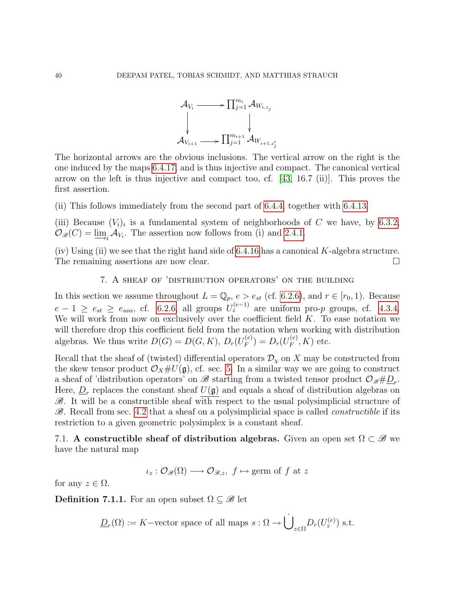

The horizontal arrows are the obvious inclusions. The vertical arrow on the right is the one induced by the maps [6.4.17,](#page-38-0) and is thus injective and compact. The canonical vertical arrow on the left is thus injective and compact too, cf.  $(43, 16.7 \text{ (ii)}).$  This proves the first assertion.

(ii) This follows immediately from the second part of [6.4.4,](#page-33-0) together with [6.4.13.](#page-36-1)

(iii) Because  $(V_i)_i$  is a fundamental system of neighborhoods of C we have, by [6.3.2,](#page-30-0)  $\mathcal{O}_{\mathscr{B}}(C) = \underline{\lim}_{i} \mathcal{A}_{V_i}$ . The assertion now follows from (i) and [2.4.1.](#page-12-0)

(iv) Using (ii) we see that the right hand side of  $6.4.16$  has a canonical K-algebra structure. The remaining assertions are now clear.

# 7. A sheaf of 'distribution operators' on the building

In this section we assume throughout  $L = \mathbb{Q}_p$ ,  $e > e_{st}$  (cf. [6.2.6\)](#page-29-0), and  $r \in [r_0, 1)$ . Because  $e-1 \ge e_{st} \ge e_{uni}$ , cf. [6.2.6,](#page-29-0) all groups  $U_z^{(e-1)}$  are uniform pro-p groups, cf. [4.3.4.](#page-21-0) We will work from now on exclusively over the coefficient field  $K$ . To ease notation we will therefore drop this coefficient field from the notation when working with distribution algebras. We thus write  $D(G) = D(G, K), D_r(U_F^{(e)})$  $(E_F^{(e)}) = D_r(U_F^{(e)})$  $F_F^{(e)}, K$  etc.

Recall that the sheaf of (twisted) differential operators  $\mathcal{D}_{\chi}$  on X may be constructed from the skew tensor product  $\mathcal{O}_X\#U(\mathfrak{g})$ , cf. sec. [5.](#page-22-0) In a similar way we are going to construct a sheaf of 'distribution operators' on  $\mathscr B$  starting from a twisted tensor product  $\mathcal O_{\mathscr B} \# \underline{D}_r$ . Here,  $\underline{D}_r$  replaces the constant sheaf  $U(\mathfrak{g})$  and equals a sheaf of distribution algebras on  $\mathscr{B}$ . It will be a constructible sheaf with respect to the usual polysimplicial structure of  $\mathscr{B}$ . Recall from sec. [4.2](#page-18-0) that a sheaf on a polysimplicial space is called *constructible* if its restriction to a given geometric polysimplex is a constant sheaf.

7.1. A constructible sheaf of distribution algebras. Given an open set  $\Omega \subset \mathscr{B}$  we have the natural map

$$
\iota_z : \mathcal{O}_{\mathscr{B}}(\Omega) \longrightarrow \mathcal{O}_{\mathscr{B},z}, \ f \mapsto \text{germ of } f \text{ at } z
$$

for any  $z \in \Omega$ .

**Definition 7.1.1.** For an open subset  $\Omega \subseteq \mathscr{B}$  let

$$
\underline{D}_r(\Omega) := K - \text{vector space of all maps } s : \Omega \to \dot{\bigcup}_{z \in \Omega} D_r(U_z^{(e)}) \text{ s.t.}
$$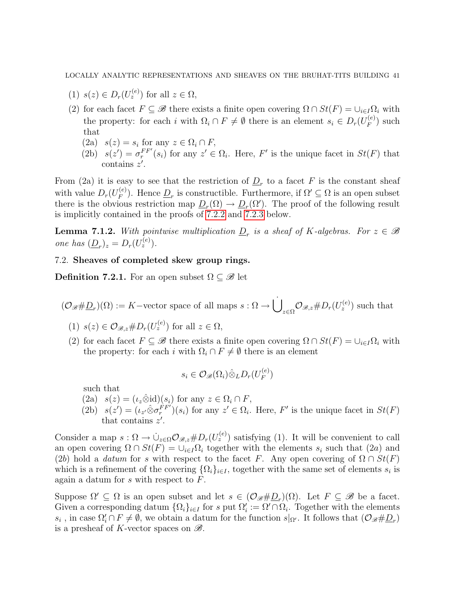- (1)  $s(z) \in D_r(U_z^{(e)})$  for all  $z \in \Omega$ ,
- (2) for each facet  $F \subseteq \mathscr{B}$  there exists a finite open covering  $\Omega \cap St(F) = \cup_{i \in I} \Omega_i$  with the property: for each i with  $\Omega_i \cap F \neq \emptyset$  there is an element  $s_i \in D_r(U_F^{(e)})$  $\binom{e}{F}$  such that
	- (2a)  $s(z) = s_i$  for any  $z \in \Omega_i \cap F$ ,
	- (2b)  $s(z') = \sigma_r^{FF'}(s_i)$  for any  $z' \in \Omega_i$ . Here, F' is the unique facet in  $St(F)$  that contains  $z'$ .

From (2a) it is easy to see that the restriction of  $D_r$  to a facet F is the constant sheaf with value  $D_r(U_F^{(e)})$  $(F_F^{(e)})$ . Hence  $\underline{D}_r$  is constructible. Furthermore, if  $\Omega' \subseteq \Omega$  is an open subset there is the obvious restriction map  $\underline{D}_r(\Omega) \to \underline{D}_r(\Omega')$ . The proof of the following result is implicitly contained in the proofs of [7.2.2](#page-41-0) and [7.2.3](#page-42-0) below.

**Lemma 7.1.2.** With pointwise multiplication  $\underline{D}_r$  is a sheaf of K-algebras. For  $z \in \mathcal{B}$ one has  $(\underline{D}_r)_z = D_r(U_z^{(e)})$ .

# 7.2. Sheaves of completed skew group rings.

<span id="page-40-0"></span>Definition 7.2.1. For an open subset  $\Omega \subseteq \mathscr{B}$  let

 $(\mathcal{O}_{\mathscr{B}}\#\underline{D}_r)(\Omega) := K-\text{vector space of all maps } s:\Omega\to \dot{\bigcup}$  $\mathcal{O}_{\mathscr{B},z} \# D_r(U_z^{(e)})$  such that

- (1)  $s(z) \in \mathcal{O}_{\mathscr{B},z} \# D_r(U_z^{(e)})$  for all  $z \in \Omega$ ,
- (2) for each facet  $F \subseteq \mathscr{B}$  there exists a finite open covering  $\Omega \cap St(F) = \cup_{i \in I} \Omega_i$  with the property: for each i with  $\Omega_i \cap F \neq \emptyset$  there is an element

$$
s_i \in \mathcal{O}_{\mathscr{B}}(\Omega_i) \hat{\otimes}_L D_r(U_F^{(e)})
$$

such that

- $(2a)$   $s(z) = (\iota_z \hat{\otimes} \mathrm{id})(s_i)$  for any  $z \in \Omega_i \cap F$ ,
- (2b)  $s(z') = (\iota_{z'} \hat{\otimes} \sigma_r^{FF'})(s_i)$  for any  $z' \in \Omega_i$ . Here, F' is the unique facet in  $St(F)$ that contains  $z'$ .

Consider a map  $s: \Omega \to \dot{\cup}_{z \in \Omega} \mathcal{O}_{\mathscr{B},z} \# D_r(U_z^{(e)})$  satisfying (1). It will be convenient to call an open covering  $\Omega \cap St(F) = \bigcup_{i \in I} \Omega_i$  together with the elements  $s_i$  such that  $(2a)$  and (2b) hold a *datum* for s with respect to the facet F. Any open covering of  $\Omega \cap St(F)$ which is a refinement of the covering  $\{\Omega_i\}_{i\in I}$ , together with the same set of elements  $s_i$  is again a datum for  $s$  with respect to  $F$ .

Suppose  $\Omega' \subseteq \Omega$  is an open subset and let  $s \in (\mathcal{O}_{\mathscr{B}} \# \underline{D}_r)(\Omega)$ . Let  $F \subseteq \mathscr{B}$  be a facet. Given a corresponding datum  $\{\Omega_i\}_{i\in I}$  for s put  $\Omega'_i := \Omega' \cap \Omega_i$ . Together with the elements  $s_i$ , in case  $\Omega'_i \cap F \neq \emptyset$ , we obtain a datum for the function  $s|_{\Omega'}$ . It follows that  $(\mathcal{O}_{\mathscr{B}} \# \underline{D}_r)$ is a presheaf of K-vector spaces on  $\mathscr{B}$ .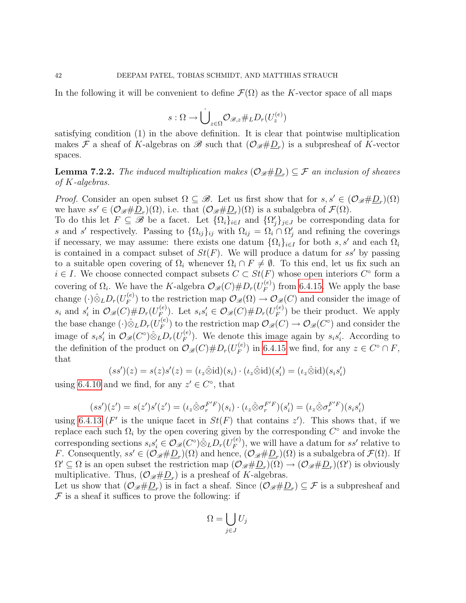In the following it will be convenient to define  $\mathcal{F}(\Omega)$  as the K-vector space of all maps

$$
s:\Omega\to \dot{\bigcup}_{z\in\Omega}\mathcal{O}_{\mathscr{B},z}\#_L D_r(U_z^{(e)})
$$

satisfying condition (1) in the above definition. It is clear that pointwise multiplication makes  $\mathcal F$  a sheaf of K-algebras on  $\mathscr B$  such that  $(\mathcal O_{\mathscr B} \# \underline{D}_r)$  is a subpresheaf of K-vector spaces.

<span id="page-41-0"></span>**Lemma 7.2.2.** The induced multiplication makes  $(\mathcal{O}_{\mathscr{B}}\#\underline{D}_r)\subseteq \mathcal{F}$  an inclusion of sheaves of K-algebras.

*Proof.* Consider an open subset  $\Omega \subseteq \mathcal{B}$ . Let us first show that for  $s, s' \in (\mathcal{O}_{\mathcal{B}}\# \underline{D}_r)(\Omega)$ we have  $ss' \in (\mathcal{O}_{\mathscr{B}}\#\underline{D}_r)(\Omega)$ , i.e. that  $(\mathcal{O}_{\mathscr{B}}\#\underline{D}_r)(\Omega)$  is a subalgebra of  $\mathcal{F}(\Omega)$ .

To do this let  $F \subseteq \mathscr{B}$  be a facet. Let  $\{\Omega_i\}_{i\in I}$  and  $\{\Omega'_j\}_{j\in J}$  be corresponding data for s and s' respectively. Passing to  $\{\Omega_{ij}\}_{ij}$  with  $\Omega_{ij} = \Omega_i \cap \Omega'_j$  and refining the coverings if necessary, we may assume: there exists one datum  $\{\Omega_i\}_{i\in I}$  for both s, s' and each  $\Omega_i$ is contained in a compact subset of  $St(F)$ . We will produce a datum for ss' by passing to a suitable open covering of  $\Omega_i$  whenever  $\Omega_i \cap F \neq \emptyset$ . To this end, let us fix such an  $i \in I$ . We choose connected compact subsets  $C \subset St(F)$  whose open interiors  $C^{\circ}$  form a covering of  $\Omega_i$ . We have the K-algebra  $\mathcal{O}_{\mathscr{B}}(C) \# D_r(U_F^{(e)})$  $_{F}^{\left( e\right) }$  from [6.4.15.](#page-37-1) We apply the base change  $(\cdot) \hat{\otimes}_L D_r(U^{(e)}_F)$  $\mathcal{O}_{\mathscr{B}}(C) \to \mathcal{O}_{\mathscr{B}}(C)$  and consider the image of  $s_i$  and  $s'_i$  in  $\mathcal{O}_{\mathscr{B}}(C)\#D_r(U_F^{(e)})$  $E_F^{(e)}$ ). Let  $s_i s'_i \in \mathcal{O}_{\mathscr{B}}(C) \# D_r(U_F^{(e)})$  $\binom{e}{F}$  be their product. We apply the base change  $(\cdot) \hat{\otimes}_L D_r(U_F^{(e)})$  $\mathcal{O}_{\mathscr{B}}(C) \to \mathcal{O}_{\mathscr{B}}(C^{\circ})$  and consider the image of  $s_i s'_i$  in  $\mathcal{O}_{\mathscr{B}}(C^\circ) \hat{\otimes}_L D_r(U_F^{(e)})$  $F_F^{(e)}$ ). We denote this image again by  $s_i s'_i$ . According to the definition of the product on  $\mathcal{O}_{\mathscr{B}}(C) \# D_r(U_F^{(e)})$  $(F_F^{(e)})$  in [6.4.15](#page-37-1) we find, for any  $z \in C^\circ \cap F$ , that

$$
(ss')(z) = s(z)s'(z) = (\iota_z \hat{\otimes} \mathrm{id})(s_i) \cdot (\iota_z \hat{\otimes} \mathrm{id})(s'_i) = (\iota_z \hat{\otimes} \mathrm{id})(s_i s'_i)
$$

using [6.4.10](#page-35-0) and we find, for any  $z' \in C^{\circ}$ , that

$$
(ss')(z') = s(z')s'(z') = (\iota_z \hat{\otimes} \sigma_r^{F'F})(s_i) \cdot (\iota_z \hat{\otimes} \sigma_r^{F'F})(s_i') = (\iota_z \hat{\otimes} \sigma_r^{F'F})(s_i s_i')
$$

using [6.4.13](#page-36-1) (F' is the unique facet in  $St(F)$  that contains z'). This shows that, if we replace each such  $\Omega_i$  by the open covering given by the corresponding  $C^{\circ}$  and invoke the corresponding sections  $s_i s'_i \in \mathcal{O}_{\mathscr{B}}(C^\circ) \hat{\otimes}_L D_r(U_F^{(e)})$  $F_F^{(e)}$ , we will have a datum for ss' relative to F. Consequently,  $ss' \in (\mathcal{O}_{\mathscr{B}}\# \underline{D}_r)(\Omega)$  and hence,  $(\mathcal{O}_{\mathscr{B}}\# \underline{D}_r)(\Omega)$  is a subalgebra of  $\mathcal{F}(\Omega)$ . If  $\Omega' \subseteq \Omega$  is an open subset the restriction map  $(\mathcal{O}_{\mathscr{B}} \# \underline{D}_r)(\Omega) \to (\mathcal{O}_{\mathscr{B}} \# \underline{D}_r)(\Omega')$  is obviously multiplicative. Thus,  $(\mathcal{O}_{\mathscr{B}}\#\underline{D}_r)$  is a presheaf of K-algebras.

Let us show that  $(\mathcal{O}_{\mathscr{B}}\# \underline{D}_r)$  is in fact a sheaf. Since  $(\mathcal{O}_{\mathscr{B}}\# \underline{D}_r) \subseteq \mathcal{F}$  is a subpresheaf and  $\mathcal F$  is a sheaf it suffices to prove the following: if

$$
\Omega = \bigcup_{j \in J} U_j
$$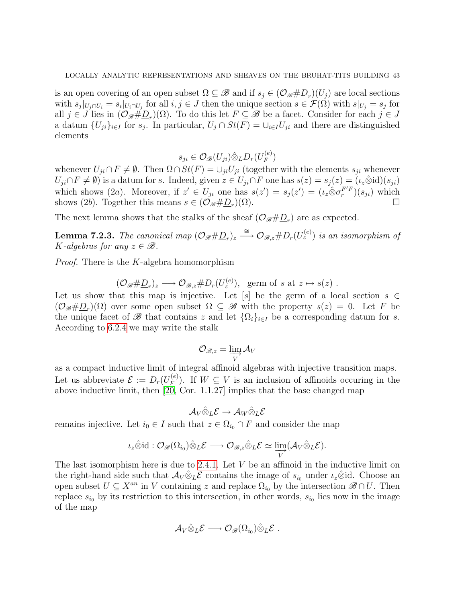is an open covering of an open subset  $\Omega \subseteq \mathscr{B}$  and if  $s_j \in (\mathcal{O}_{\mathscr{B}}\#D_r)(U_j)$  are local sections with  $s_j|_{U_j \cap U_i} = s_i|_{U_i \cap U_j}$  for all  $i, j \in J$  then the unique section  $s \in \mathcal{F}(\Omega)$  with  $s|_{U_j} = s_j$  for all  $j \in J$  lies in  $(\mathcal{O}_{\mathscr{B}}\#\underline{D}_r)(\Omega)$ . To do this let  $F \subseteq \mathscr{B}$  be a facet. Consider for each  $j \in J$ a datum  $\{U_{ji}\}_{i\in I}$  for  $s_j$ . In particular,  $U_j \cap St(F) = \bigcup_{i\in I} U_{ji}$  and there are distinguished elements

$$
s_{ji} \in \mathcal{O}_{\mathscr{B}}(U_{ji}) \hat{\otimes}_L D_r(U_F^{(e)})
$$

whenever  $U_{ji} \cap F \neq \emptyset$ . Then  $\Omega \cap St(F) = \cup_{ji} U_{ji}$  (together with the elements  $s_{ji}$  whenever  $U_{ji} \cap F \neq \emptyset$  is a datum for s. Indeed, given  $z \in U_{ji} \cap F$  one has  $s(z) = s_i(z) = (\iota_z \hat{\otimes} \mathrm{id})(s_{ji})$ which shows (2a). Moreover, if  $z' \in U_{ji}$  one has  $s(z') = s_j(z') = (\iota_z \hat{\otimes} \sigma_r^{F'F})(s_{ji})$  which shows (2b). Together this means  $s \in (\mathcal{O}_{\mathscr{B}} \# \underline{D}_r)(\Omega)$ . ) $(\Omega)$ .

The next lemma shows that the stalks of the sheaf  $(\mathcal{O}_{\mathscr{B}}\# \underline{D}_r)$  are as expected.

<span id="page-42-0"></span>**Lemma 7.2.3.** The canonical map  $(\mathcal{O}_{\mathscr{B}}\# \underline{D}_r)_z \stackrel{\cong}{\longrightarrow} \mathcal{O}_{\mathscr{B},z} \# D_r(U_z^{(e)})$  is an isomorphism of K-algebras for any  $z \in \mathcal{B}$ .

Proof. There is the K-algebra homomorphism

$$
(\mathcal{O}_{\mathscr{B}}\#\underline{D}_r)_z \longrightarrow \mathcal{O}_{\mathscr{B},z}\#D_r(U_z^{(e)}), \text{ germ of } s \text{ at } z \mapsto s(z) .
$$

Let us show that this map is injective. Let  $[s]$  be the germ of a local section  $s \in$  $(\mathcal{O}_{\mathscr{B}}\#\underline{D}_r)(\Omega)$  over some open subset  $\Omega\subseteq\mathscr{B}$  with the property  $s(z)=0$ . Let F be the unique facet of  $\mathscr B$  that contains z and let  $\{\Omega_i\}_{i\in I}$  be a corresponding datum for s. According to [6.2.4](#page-28-0) we may write the stalk

$$
\mathcal{O}_{\mathscr{B},z} = \varinjlim_{V} \mathcal{A}_{V}
$$

as a compact inductive limit of integral affinoid algebras with injective transition maps. Let us abbreviate  $\mathcal{E} := D_r(U_F^{(e)})$  $F_F^{(e)}$ ). If  $W \subseteq V$  is an inclusion of affinoids occuring in the above inductive limit, then [\[20,](#page-77-0) Cor. 1.1.27] implies that the base changed map

$$
\mathcal{A}_V\hat{\otimes}_L\mathcal{E}\to \mathcal{A}_W\hat{\otimes}_L\mathcal{E}
$$

remains injective. Let  $i_0 \in I$  such that  $z \in \Omega_{i_0} \cap F$  and consider the map

$$
\iota_z \hat{\otimes} id : \mathcal{O}_{\mathscr{B}}(\Omega_{i_0}) \hat{\otimes}_L \mathcal{E} \longrightarrow \mathcal{O}_{\mathscr{B},z} \hat{\otimes}_L \mathcal{E} \simeq \varinjlim_V (\mathcal{A}_V \hat{\otimes}_L \mathcal{E}).
$$

The last isomorphism here is due to [2.4.1.](#page-12-0) Let  $V$  be an affinoid in the inductive limit on the right-hand side such that  $\mathcal{A}_V \hat{\otimes}_L \mathcal{E}$  contains the image of  $s_{i_0}$  under  $\iota_z \hat{\otimes}$ id. Choose an open subset  $U \subseteq X^{an}$  in V containing z and replace  $\Omega_{i_0}$  by the intersection  $\mathscr{B} \cap U$ . Then replace  $s_{i_0}$  by its restriction to this intersection, in other words,  $s_{i_0}$  lies now in the image of the map

$$
\mathcal{A}_V \hat{\otimes}_L \mathcal{E} \longrightarrow \mathcal{O}_{\mathscr{B}}(\Omega_{i_0}) \hat{\otimes}_L \mathcal{E} .
$$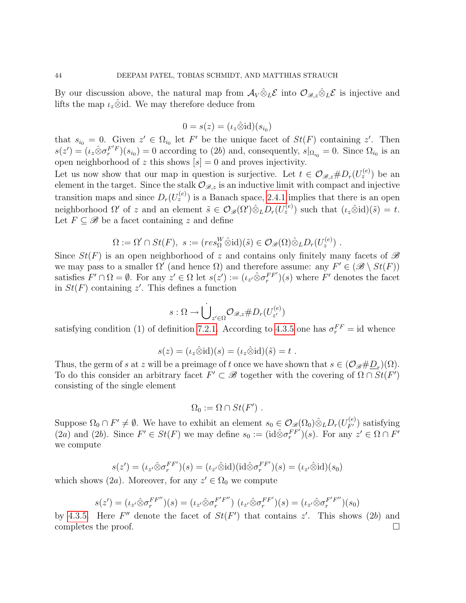By our discussion above, the natural map from  $\mathcal{A}_V \hat{\otimes}_L \mathcal{E}$  into  $\mathcal{O}_{\mathscr{B},z} \hat{\otimes}_L \mathcal{E}$  is injective and lifts the map  $\iota_z \hat{\otimes}$ id. We may therefore deduce from

$$
0 = s(z) = (\iota_z \hat{\otimes} \mathrm{id})(s_{i_0})
$$

that  $s_{i_0} = 0$ . Given  $z' \in \Omega_{i_0}$  let F' be the unique facet of  $St(F)$  containing z'. Then  $s(z') = (\iota_z \hat{\otimes} \sigma_r^{F'F})(s_{i_0}) = 0$  according to (2b) and, consequently,  $s|_{\Omega_{i_0}} = 0$ . Since  $\Omega_{i_0}$  is an open neighborhood of z this shows  $[s] = 0$  and proves injectivity.

Let us now show that our map in question is surjective. Let  $t \in \mathcal{O}_{\mathscr{B},z} \# D_r(U_z^{(e)})$  be an element in the target. Since the stalk  $\mathcal{O}_{\mathscr{B},z}$  is an inductive limit with compact and injective transition maps and since  $D_r(U_z^{(e)})$  is a Banach space, [2.4.1](#page-12-0) implies that there is an open neighborhood  $\Omega'$  of z and an element  $\tilde{s} \in \mathcal{O}_{\mathscr{B}}(\Omega') \hat{\otimes}_L D_r(U_z^{(e)})$  such that  $(\iota_z \hat{\otimes} id)(\tilde{s}) = t$ . Let  $F \subseteq \mathscr{B}$  be a facet containing z and define

$$
\Omega := \Omega' \cap St(F), \ s := (res_{\Omega}^W \hat{\otimes} id)(\tilde{s}) \in \mathcal{O}_{\mathscr{B}}(\Omega) \hat{\otimes}_L D_r(U_z^{(e)}) \ .
$$

Since  $St(F)$  is an open neighborhood of z and contains only finitely many facets of  $\mathscr B$ we may pass to a smaller  $\Omega'$  (and hence  $\Omega$ ) and therefore assume: any  $F' \in (\mathscr{B} \setminus St(F))$ satisfies  $F' \cap \Omega = \emptyset$ . For any  $z' \in \Omega$  let  $s(z') := (\iota_{z'} \hat{\otimes} \sigma_r^{FF'})(s)$  where  $F'$  denotes the facet in  $St(F)$  containing z'. This defines a function

$$
s:\Omega\to \dot{\bigcup}_{z'\in\Omega}{\mathcal O}_{{\mathscr B},z}\#D_r(U_{z'}^{(e)})
$$

satisfying condition (1) of definition [7.2.1.](#page-40-0) According to [4.3.5](#page-21-1) one has  $\sigma_r^{FF} = id$  whence

$$
s(z) = (\iota_z \hat{\otimes} \mathrm{id})(s) = (\iota_z \hat{\otimes} \mathrm{id})(\tilde{s}) = t.
$$

Thus, the germ of s at z will be a preimage of t once we have shown that  $s \in (\mathcal{O}_{\mathscr{B}}\# \underline{D}_r)(\Omega)$ . To do this consider an arbitrary facet  $F' \subset \mathscr{B}$  together with the covering of  $\Omega \cap St(F')$ consisting of the single element

$$
\Omega_0 := \Omega \cap St(F') .
$$

Suppose  $\Omega_0 \cap F' \neq \emptyset$ . We have to exhibit an element  $s_0 \in \mathcal{O}_{\mathscr{B}}(\Omega_0) \hat{\otimes}_L D_r(U_{F'}^{(e)})$  satisfying (2a) and (2b). Since  $F' \in St(F)$  we may define  $s_0 := (\text{id} \hat{\otimes} \sigma_r^{FF'})(s)$ . For any  $z' \in \Omega \cap F'$ we compute

$$
s(z') = (\iota_{z'} \hat{\otimes} \sigma_r^{FF'})(s) = (\iota_{z'} \hat{\otimes} \mathrm{id})(\mathrm{id} \hat{\otimes} \sigma_r^{FF'})(s) = (\iota_{z'} \hat{\otimes} \mathrm{id})(s_0)
$$

which shows (2a). Moreover, for any  $z' \in \Omega_0$  we compute

$$
s(z') = (\iota_{z'} \hat{\otimes} \sigma_r^{FF''})(s) = (\iota_{z'} \hat{\otimes} \sigma_r^{F'F''}) (\iota_{z'} \hat{\otimes} \sigma_r^{FF'})(s) = (\iota_{z'} \hat{\otimes} \sigma_r^{F'F''})(s_0)
$$

by [4.3.5.](#page-21-1) Here F'' denote the facet of  $St(F')$  that contains z'. This shows (2b) and completes the proof.  $\Box$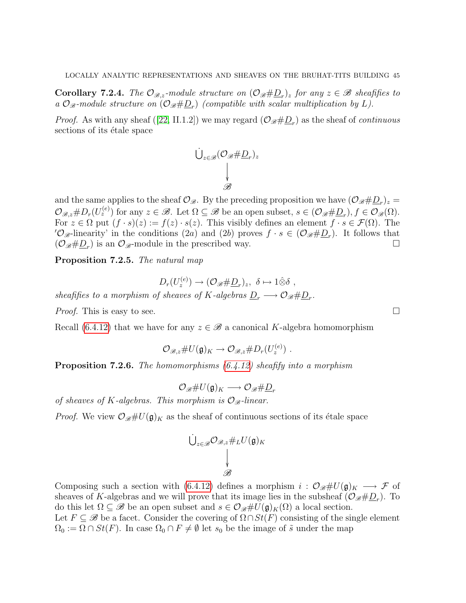**Corollary 7.2.4.** The  $\mathcal{O}_{\mathscr{B},z}$ -module structure on  $(\mathcal{O}_{\mathscr{B}}\# \underline{D}_r)_z$  for any  $z \in \mathscr{B}$  sheafifies to a  $\mathcal{O}_{\mathscr{B}}$ -module structure on  $(\mathcal{O}_{\mathscr{B}}\#\underline{D}_r)$  (compatible with scalar multiplication by L).

*Proof.*As with any sheaf ([\[22,](#page-77-1) II.1.2]) we may regard  $(\mathcal{O}_{\mathscr{B}}\#\underline{D}_r)$  as the sheaf of *continuous* sections of its étale space

$$
\bigcup_{z\in\mathscr{B}}(\mathcal{O}_{\mathscr{B}}\#\underline{D}_r)_z\\\bigvee_{\mathscr{B}}
$$

and the same applies to the sheaf  $\mathcal{O}_{\mathscr{B}}$ . By the preceding proposition we have  $(\mathcal{O}_{\mathscr{B}}\#\underline{D}_r)_z$  $\mathcal{O}_{\mathscr{B},z} \# D_r(U_z^{(e)})$  for any  $z \in \mathscr{B}$ . Let  $\Omega \subseteq \mathscr{B}$  be an open subset,  $s \in (\mathcal{O}_{\mathscr{B}} \# \underline{D}_r), f \in \mathcal{O}_{\mathscr{B}}(\Omega)$ . For  $z \in \Omega$  put  $(f \cdot s)(z) := f(z) \cdot s(z)$ . This visibly defines an element  $f \cdot s \in \mathcal{F}(\Omega)$ . The  $\mathcal{O}_{\mathscr{B}}$ -linearity' in the conditions  $(2a)$  and  $(2b)$  proves  $f \cdot s \in (\mathcal{O}_{\mathscr{B}} \# \underline{D}_r)$ . It follows that  $(\mathcal{O}_{\mathscr{B}}\#\underline{D}_r)$  is an  $\mathcal{O}_{\mathscr{B}}$ -module in the prescribed way.

<span id="page-44-1"></span>Proposition 7.2.5. The natural map

$$
D_r(U_z^{(e)}) \to (\mathcal{O}_{\mathscr{B}} \# \underline{D}_r)_z, \ \delta \mapsto 1 \hat{\otimes} \delta ,
$$

sheafifies to a morphism of sheaves of K-algebras  $\underline{D}_r \longrightarrow \mathcal{O}_{\mathscr{B}} \# \underline{D}_r$ .

*Proof.* This is easy to see.

Recall [\(6.4.12\)](#page-36-0) that we have for any  $z \in \mathcal{B}$  a canonical K-algebra homomorphism

$$
\mathcal{O}_{\mathscr{B},z} \# U(\mathfrak{g})_K \to \mathcal{O}_{\mathscr{B},z} \# D_r(U_z^{(e)}) \ .
$$

<span id="page-44-0"></span>Proposition 7.2.6. The homomorphisms [\(6.4.12\)](#page-36-0) sheafify into a morphism

$$
\mathcal{O}_{\mathscr{B}}\#U(\mathfrak{g})_K\longrightarrow \mathcal{O}_{\mathscr{B}}\#\underline{D}_r
$$

of sheaves of K-algebras. This morphism is  $\mathcal{O}_{\mathcal{B}}$ -linear.

*Proof.* We view  $\mathcal{O}_{\mathscr{B}}\#U(\mathfrak{g})_K$  as the sheaf of continuous sections of its étale space

$$
\begin{array}{c}\bigcup_{z\in\mathscr{B}}\mathcal{O}_{\mathscr{B},z}\#_L U(\mathfrak{g})_K\\ \bigdownarrow \\\mathscr{B}\end{array}
$$

Composing such a section with [\(6.4.12\)](#page-36-0) defines a morphism  $i: \mathcal{O}_{\mathscr{B}}\#U(\mathfrak{g})_K \longrightarrow \mathcal{F}$  of sheaves of K-algebras and we will prove that its image lies in the subsheaf  $(\mathcal{O}_{\mathscr{B}}\#\underline{D}_r)$ . To do this let  $\Omega \subseteq \mathscr{B}$  be an open subset and  $s \in \mathcal{O}_{\mathscr{B}} \# U(\mathfrak{g})_K(\Omega)$  a local section.

Let  $F \subseteq \mathscr{B}$  be a facet. Consider the covering of  $\Omega \cap St(F)$  consisting of the single element  $\Omega_0 := \Omega \cap St(F)$ . In case  $\Omega_0 \cap F \neq \emptyset$  let  $s_0$  be the image of  $\tilde{s}$  under the map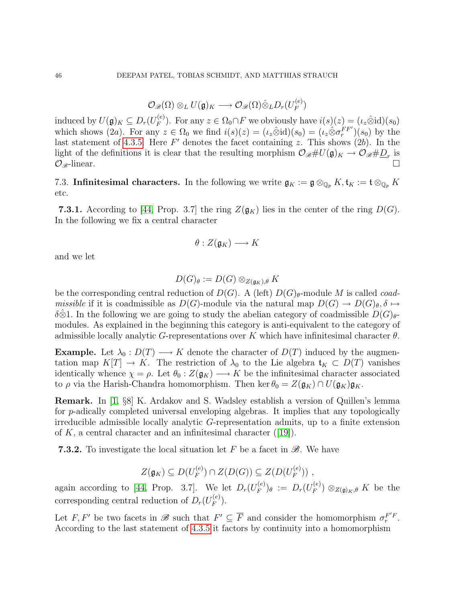$$
\mathcal{O}_{\mathscr{B}}(\Omega)\otimes_L U(\mathfrak{g})_K\longrightarrow \mathcal{O}_{\mathscr{B}}(\Omega)\hat{\otimes}_L D_r(U_F^{(e)})
$$

induced by  $U(\mathfrak{g})_K \subseteq D_r(U_F^{(e)})$  $F_F^{(e)}$ ). For any  $z \in \Omega_0 \cap F$  we obviously have  $i(s)(z) = (\iota_z \hat{\otimes} id)(s_0)$ which shows (2a). For any  $z \in \Omega_0$  we find  $i(s)(z) = (\iota_z \hat{\otimes} id)(s_0) = (\iota_z \hat{\otimes} \sigma_r^{FF'})(s_0)$  by the last statement of [4.3.5.](#page-21-1) Here  $F'$  denotes the facet containing z. This shows  $(2b)$ . In the light of the definitions it is clear that the resulting morphism  $\mathcal{O}_{\mathscr{B}}\#U(\mathfrak{g})_K\to \mathcal{O}_{\mathscr{B}}\#\underline{D}_r$  is  $\mathcal{O}_{\mathscr{B}}$ -linear.

7.3. Infinitesimal characters. In the following we write  $\mathfrak{g}_K := \mathfrak{g} \otimes_{\mathbb{Q}_p} K$ ,  $\mathfrak{t}_K := \mathfrak{t} \otimes_{\mathbb{Q}_p} K$ etc.

**7.3.1.** According to [\[44,](#page-78-1) Prop. 3.7] the ring  $Z(\mathfrak{g}_K)$  lies in the center of the ring  $D(G)$ . In the following we fix a central character

$$
\theta:Z(\mathfrak{g}_K)\longrightarrow K
$$

and we let

$$
D(G)_{\theta}:=D(G)\otimes_{Z(\mathfrak{g}_K),\theta}K
$$

be the corresponding central reduction of  $D(G)$ . A (left)  $D(G)_{\theta}$ -module M is called *coadmissible* if it is coadmissible as  $D(G)$ -module via the natural map  $D(G) \to D(G)_{\theta}$ ,  $\delta \mapsto$ δ⊗1. In the following we are going to study the abelian category of coadmissible  $D(G)_{\theta}$ modules. As explained in the beginning this category is anti-equivalent to the category of admissible locally analytic G-representations over K which have infinitesimal character  $\theta$ .

**Example.** Let  $\lambda_0 : D(T) \longrightarrow K$  denote the character of  $D(T)$  induced by the augmentation map  $K[T] \to K$ . The restriction of  $\lambda_0$  to the Lie algebra  $\mathfrak{t}_K \subset D(T)$  vanishes identically whence  $\chi = \rho$ . Let  $\theta_0 : Z(\mathfrak{g}_K) \longrightarrow K$  be the infinitesimal character associated to  $\rho$  via the Harish-Chandra homomorphism. Then ker  $\theta_0 = Z(\mathfrak{g}_K) \cap U(\mathfrak{g}_K) \mathfrak{g}_K$ .

Remark. In [\[1,](#page-76-1) §8] K. Ardakov and S. Wadsley establish a version of Quillen's lemma for p-adically completed universal enveloping algebras. It implies that any topologically irreducible admissible locally analytic G-representation admits, up to a finite extension of $K$ , a central character and an infinitesimal character ([\[19\]](#page-77-2)).

**7.3.2.** To investigate the local situation let F be a facet in  $\mathscr{B}$ . We have

$$
Z(\mathfrak{g}_K) \subseteq D(U_F^{(e)}) \cap Z(D(G)) \subseteq Z(D(U_F^{(e)})) ,
$$

again according to [\[44,](#page-78-1) Prop. 3.7]. We let  $D_r(U_F^{(e)})$  $(P^{(e)}_F)_\theta \; := \; D_r(U^{(e)}_F)$  $(F_F^{(e)}) \otimes_{Z(\mathfrak{g})_K,\theta} K$  be the corresponding central reduction of  $D_r(U_F^{(e)})$  $\stackrel{(e)}{F}$ .

Let F, F' be two facets in  $\mathscr{B}$  such that  $F' \subseteq \overline{F}$  and consider the homomorphism  $\sigma_r^{F/F}$ . According to the last statement of [4.3.5](#page-21-1) it factors by continuity into a homomorphism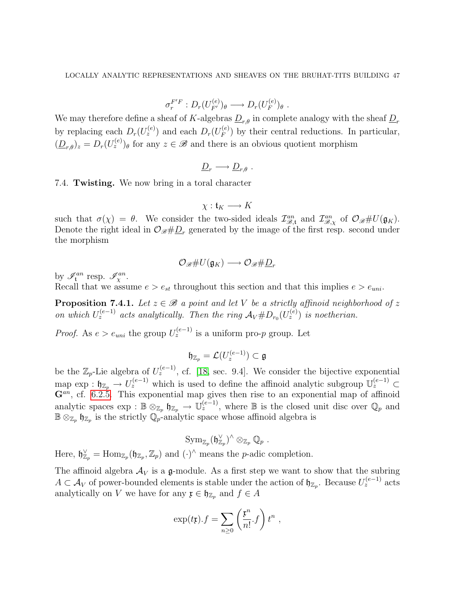$$
\sigma_r^{F'F}: D_r(U_{F'}^{(e)})_\theta \longrightarrow D_r(U_F^{(e)})_\theta.
$$

We may therefore define a sheaf of K-algebras  $\underline{D}_{r,\theta}$  in complete analogy with the sheaf  $\underline{D}_r$ by replacing each  $D_r(U_z^{(e)})$  and each  $D_r(U_F^{(e)})$  $\binom{e}{F}$  by their central reductions. In particular,  $(\underline{D}_{r,\theta})_z = D_r(U_z^{(e)})_\theta$  for any  $z \in \mathscr{B}$  and there is an obvious quotient morphism

$$
\underline{D}_r \longrightarrow \underline{D}_{r,\theta} .
$$

7.4. Twisting. We now bring in a toral character

$$
\chi: \mathfrak{t}_K \longrightarrow K
$$

such that  $\sigma(\chi) = \theta$ . We consider the two-sided ideals  $\mathcal{I}_{\mathcal{B},\mathsf{t}}^{an}$  and  $\mathcal{I}_{\mathcal{B},\chi}^{an}$  of  $\mathcal{O}_{\mathcal{B}}\#U(\mathfrak{g}_K)$ . Denote the right ideal in  $\mathcal{O}_{\mathscr{B}}\#\underline{D}_r$  generated by the image of the first resp. second under the morphism

$$
\mathcal{O}_{\mathscr{B}}\# U(\mathfrak{g}_K)\longrightarrow \mathcal{O}_{\mathscr{B}}\#\underline{D}_r
$$

by  $\mathscr{I}_{\mathfrak{t}}^{an}$  resp.  $\mathscr{I}_{\chi}^{an}$ .

Recall that we assume  $e > e_{st}$  throughout this section and that this implies  $e > e_{uni}$ .

<span id="page-46-0"></span>**Proposition 7.4.1.** Let  $z \in \mathcal{B}$  a point and let V be a strictly affinoid neighborhood of z on which  $U_z^{(e-1)}$  acts analytically. Then the ring  $\mathcal{A}_V \# D_{r_0}(U_z^{(e)})$  is noetherian.

*Proof.* As  $e > e_{uni}$  the group  $U_z^{(e-1)}$  is a uniform pro-p group. Let

$$
\mathfrak{h}_{\mathbb{Z}_p}=\mathcal{L}(U_z^{(e-1)})\subset\mathfrak{g}
$$

be the  $\mathbb{Z}_p$ -Lie algebra of  $U_z^{(e-1)}$ , cf. [\[18,](#page-77-3) sec. 9.4]. We consider the bijective exponential map  $\exp: \mathfrak{h}_{\mathbb{Z}_p} \to U_z^{(e-1)}$  which is used to define the affinoid analytic subgroup  $\mathbb{U}_z^{(e-1)} \subset$  $\mathbf{G}^{an}$ , cf. [6.2.5.](#page-29-1) This exponential map gives then rise to an exponential map of affinoid analytic spaces  $\exp : \mathbb{B} \otimes_{\mathbb{Z}_p} \mathfrak{h}_{\mathbb{Z}_p} \to \mathbb{U}_z^{(e-1)}$ , where  $\mathbb{B}$  is the closed unit disc over  $\mathbb{Q}_p$  and  $\mathbb{B} \otimes_{\mathbb{Z}_p} \mathfrak{h}_{\mathbb{Z}_p}$  is the strictly  $\mathbb{Q}_p$ -analytic space whose affinoid algebra is

$$
\mathrm{Sym}_{\mathbb{Z}_p}(\mathfrak{h}_{\mathbb{Z}_p}^\vee)^\wedge \otimes_{\mathbb{Z}_p} \mathbb{Q}_p \;.
$$

Here,  $\mathfrak{h}_{\mathbb{Z}_p}^{\vee} = \text{Hom}_{\mathbb{Z}_p}(\mathfrak{h}_{\mathbb{Z}_p}, \mathbb{Z}_p)$  and  $(\cdot)^{\wedge}$  means the *p*-adic completion.

The affinoid algebra  $A_V$  is a g-module. As a first step we want to show that the subring  $A \subset A_V$  of power-bounded elements is stable under the action of  $\mathfrak{h}_{\mathbb{Z}_p}$ . Because  $U_z^{(e-1)}$  acts analytically on V we have for any  $\mathfrak{x} \in \mathfrak{h}_{\mathbb{Z}_p}$  and  $f \in A$ 

$$
\exp(t\mathfrak{x}).f = \sum_{n\geq 0} \left(\frac{\mathfrak{x}^n}{n!} f\right) t^n ,
$$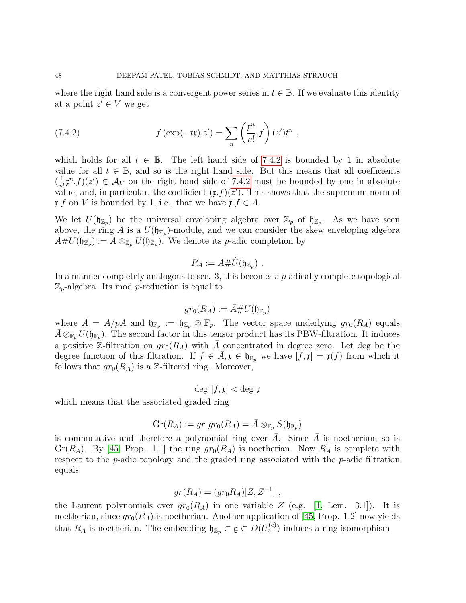where the right hand side is a convergent power series in  $t \in \mathbb{B}$ . If we evaluate this identity at a point  $z' \in V$  we get

<span id="page-47-0"></span>(7.4.2) 
$$
f\left(\exp(-t\mathfrak{x}).z'\right) = \sum_{n} \left(\frac{\mathfrak{x}^n}{n!} \cdot f\right) (z')t^n ,
$$

which holds for all  $t \in \mathbb{B}$ . The left hand side of [7.4.2](#page-47-0) is bounded by 1 in absolute value for all  $t \in \mathbb{B}$ , and so is the right hand side. But this means that all coefficients  $\left(\frac{1}{n}\right)$  $\frac{1}{n!}$ **x**<sup>n</sup>.f)(z')  $\in \mathcal{A}_V$  on the right hand side of [7.4.2](#page-47-0) must be bounded by one in absolute value, and, in particular, the coefficient  $(\mathfrak{x}.f)(z')$ . This shows that the supremum norm of  $\mathfrak{x}.f$  on V is bounded by 1, i.e., that we have  $\mathfrak{x}.f \in A$ .

We let  $U(\mathfrak{h}_{\mathbb{Z}_p})$  be the universal enveloping algebra over  $\mathbb{Z}_p$  of  $\mathfrak{h}_{\mathbb{Z}_p}$ . As we have seen above, the ring A is a  $U(\mathfrak{h}_{\mathbb{Z}_p})$ -module, and we can consider the skew enveloping algebra  $A\# U(\mathfrak{h}_{\mathbb{Z}_p}) := A \otimes_{\mathbb{Z}_p} U(\mathfrak{h}_{\mathbb{Z}_p}).$  We denote its *p*-adic completion by

$$
R_A := A\# \hat{U}(\mathfrak{h}_{\mathbb{Z}_p})\ .
$$

In a manner completely analogous to sec.  $3$ , this becomes a  $p$ -adically complete topological  $\mathbb{Z}_p$ -algebra. Its mod p-reduction is equal to

$$
gr_0(R_A):=\bar{A}\# U(\mathfrak{h}_{\mathbb{F}_p})
$$

where  $\overline{A} = A/pA$  and  $\mathfrak{h}_{\mathbb{F}_p} := \mathfrak{h}_{\mathbb{Z}_p} \otimes \mathbb{F}_p$ . The vector space underlying  $gr_0(R_A)$  equals  $\bar{A}\otimes_{\mathbb{F}_p} U(\mathfrak{h}_{\mathbb{F}_p}).$  The second factor in this tensor product has its PBW-filtration. It induces a positive Z-filtration on  $gr_0(R_A)$  with  $\overline{A}$  concentrated in degree zero. Let deg be the degree function of this filtration. If  $f \in \overline{A}, \mathfrak{x} \in \mathfrak{h}_{\mathbb{F}_p}$  we have  $[f, \mathfrak{x}] = \mathfrak{x}(f)$  from which it follows that  $gr_0(R_A)$  is a Z-filtered ring. Moreover,

$$
\deg[f, \mathfrak{x}] < \deg \mathfrak{x}
$$

which means that the associated graded ring

$$
\operatorname{Gr}(R_A) := gr \operatorname{gr}_0(R_A) = \overline{A} \otimes_{\mathbb{F}_p} S(\mathfrak{h}_{\mathbb{F}_p})
$$

is commutative and therefore a polynomial ring over  $\bar{A}$ . Since  $\bar{A}$  is noetherian, so is Gr( $R_A$ ). By [\[45,](#page-78-2) Prop. 1.1] the ring  $gr_0(R_A)$  is noetherian. Now  $R_A$  is complete with respect to the  $p$ -adic topology and the graded ring associated with the  $p$ -adic filtration equals

$$
gr(R_A) = (gr_0R_A)[Z, Z^{-1}],
$$

the Laurent polynomials over  $gr_0(R_A)$  in one variable Z (e.g. [\[1,](#page-76-1) Lem. 3.1]). It is noetherian, since  $gr_0(R_A)$  is noetherian. Another application of [\[45,](#page-78-2) Prop. 1.2] now yields that  $R_A$  is noetherian. The embedding  $\mathfrak{h}_{\mathbb{Z}_p} \subset \mathfrak{g} \subset D(U_z^{(e)})$  induces a ring isomorphism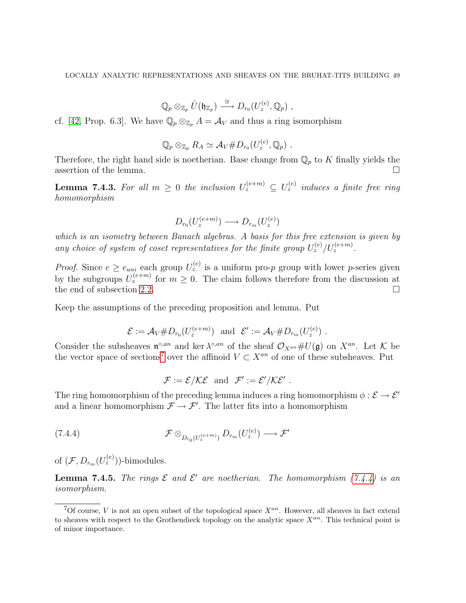$$
\mathbb{Q}_p\otimes_{\mathbb{Z}_p}\hat{U}(\mathfrak{h}_{\mathbb{Z}_p})\stackrel{\cong}{\longrightarrow}D_{r_0}(U_z^{(e)},\mathbb{Q}_p)\ ,
$$

cf. [\[42,](#page-78-3) Prop. 6.3]. We have  $\mathbb{Q}_p \otimes_{\mathbb{Z}_p} A = A_V$  and thus a ring isomorphism

$$
\mathbb{Q}_p \otimes_{\mathbb{Z}_p} R_A \simeq \mathcal{A}_V \# D_{r_0}(U_z^{(e)}, \mathbb{Q}_p) \ .
$$

Therefore, the right hand side is noetherian. Base change from  $\mathbb{Q}_p$  to K finally yields the assertion of the lemma.  $\Box$ 

<span id="page-48-2"></span>**Lemma 7.4.3.** For all  $m \geq 0$  the inclusion  $U_z^{(e+m)} \subseteq U_z^{(e)}$  induces a finite free ring homomorphism

$$
D_{r_0}(U_z^{(e+m)}) \longrightarrow D_{r_m}(U_z^{(e)})
$$

which is an isometry between Banach algebras. A basis for this free extension is given by any choice of system of coset representatives for the finite group  $U_z^{(e)}/U_z^{(e+m)}$ .

*Proof.* Since  $e \ge e_{uni}$  each group  $U_z^{(e)}$  is a uniform pro-p group with lower p-series given by the subgroups  $U_z^{(e+m)}$  for  $m \geq 0$ . The claim follows therefore from the discussion at the end of subsection [2.2.](#page-9-0)

Keep the assumptions of the preceding proposition and lemma. Put

$$
\mathcal{E} := \mathcal{A}_V \# D_{r_0}(U_z^{(e+m)}) \text{ and } \mathcal{E}' := \mathcal{A}_V \# D_{r_m}(U_z^{(e)}) .
$$

Consider the subsheaves  $\mathfrak{n}^{\circ,an}$  and ker  $\lambda^{\circ,an}$  of the sheaf  $\mathcal{O}_{X^{an}}\#U(\mathfrak{g})$  on  $X^{an}$ . Let K be the vector space of sections<sup>[7](#page-48-0)</sup> over the affinoid  $V \subset X^{an}$  of one of these subsheaves. Put

<span id="page-48-1"></span>
$$
\mathcal{F} := \mathcal{E}/\mathcal{KE} \text{ and } \mathcal{F}' := \mathcal{E}'/\mathcal{KE}'.
$$

The ring homomorphism of the preceding lemma induces a ring homomorphism  $\phi : \mathcal{E} \to \mathcal{E}'$ and a linear homomorphism  $\mathcal{F} \to \mathcal{F}'$ . The latter fits into a homomorphism

(7.4.4) 
$$
\mathcal{F} \otimes_{D_{r_0}(U_z^{(e+m)})} D_{r_m}(U_z^{(e)}) \longrightarrow \mathcal{F}'
$$

of  $(\mathcal{F}, D_{r_m}(U_z^{(e)}))$ -bimodules.

<span id="page-48-3"></span>**Lemma 7.4.5.** The rings  $\mathcal E$  and  $\mathcal E'$  are noetherian. The homomorphism [\(7.4.4\)](#page-48-1) is an isomorphism.

<span id="page-48-0"></span><sup>&</sup>lt;sup>7</sup>Of course, *V* is not an open subset of the topological space  $X^{an}$ . However, all sheaves in fact extend to sheaves with respect to the Grothendieck topology on the analytic space  $X^{an}$ . This technical point is of minor importance.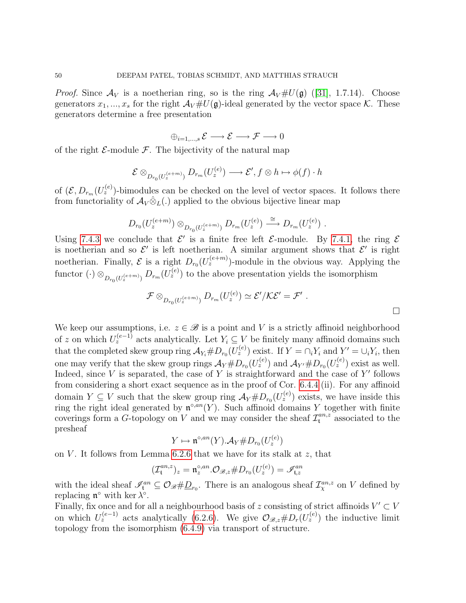*Proof.*Since  $\mathcal{A}_V$  is a noetherian ring, so is the ring  $\mathcal{A}_V \# U(\mathfrak{g})$  ([\[31\]](#page-77-4), 1.7.14). Choose generators  $x_1, ..., x_s$  for the right  $\mathcal{A}_V \# U(\mathfrak{g})$ -ideal generated by the vector space K. These generators determine a free presentation

$$
\oplus_{i=1,\ldots,s} \, \mathcal{E} \longrightarrow \mathcal{E} \longrightarrow \mathcal{F} \longrightarrow 0
$$

of the right  $\mathcal{E}\text{-module }\mathcal{F}\text{.}$  The bijectivity of the natural map

$$
\mathcal{E} \otimes_{D_{r_0}(U_z^{(e+m)})} D_{r_m}(U_z^{(e)}) \longrightarrow \mathcal{E}', f \otimes h \mapsto \phi(f) \cdot h
$$

of  $(\mathcal{E}, D_{r_m}(U_z^{(e)})$ -bimodules can be checked on the level of vector spaces. It follows there from functoriality of  $\mathcal{A}_V \hat{\otimes}_L(.)$  applied to the obvious bijective linear map

$$
D_{r_0}(U_z^{(e+m)}) \otimes_{D_{r_0}(U_z^{(e+m)})} D_{r_m}(U_z^{(e)}) \xrightarrow{\cong} D_{r_m}(U_z^{(e)}) .
$$

Using [7.4.3](#page-48-2) we conclude that  $\mathcal{E}'$  is a finite free left  $\mathcal{E}\text{-module}$ . By [7.4.1,](#page-46-0) the ring  $\mathcal{E}$ is noetherian and so  $\mathcal{E}'$  is left noetherian. A similar argument shows that  $\mathcal{E}'$  is right noetherian. Finally,  $\mathcal E$  is a right  $D_{r_0}(U_z^{(e+m)})$ -module in the obvious way. Applying the functor  $(\cdot) \otimes_{D_{r_0}(U_z^{(e+m)})} D_{r_m}(U_z^{(e)})$  to the above presentation yields the isomorphism

$$
\mathcal{F} \otimes_{D_{r_0}(U_z^{(e+m)})} D_{r_m}(U_z^{(e)}) \simeq \mathcal{E}'/\mathcal{KE}' = \mathcal{F}'.
$$

We keep our assumptions, i.e.  $z \in \mathcal{B}$  is a point and V is a strictly affinoid neighborhood of z on which  $U_z^{(e-1)}$  acts analytically. Let  $Y_i \subseteq V$  be finitely many affinoid domains such that the completed skew group ring  $\mathcal{A}_{Y_i} \# D_{r_0}(U_z^{(e)})$  exist. If  $Y = \bigcap_i Y_i$  and  $Y' = \bigcup_i Y_i$ , then one may verify that the skew group rings  $\mathcal{A}_Y \# D_{r_0}(U_z^{(e)})$  and  $\mathcal{A}_{Y'} \# D_{r_0}(U_z^{(e)})$  exist as well. Indeed, since  $V$  is separated, the case of  $Y$  is straightforward and the case of  $Y'$  follows from considering a short exact sequence as in the proof of Cor. [6.4.4](#page-33-0) (ii). For any affinoid domain  $Y \subseteq V$  such that the skew group ring  $\mathcal{A}_Y \# D_{r_0}(U_z^{(e)})$  exists, we have inside this ring the right ideal generated by  $\mathfrak{n}^{\circ,an}(Y)$ . Such affinoid domains Y together with finite coverings form a G-topology on V and we may consider the sheaf  $\mathcal{I}_{\mathfrak{t}}^{an,z}$  associated to the presheaf

$$
Y \mapsto \mathfrak{n}^{\circ, an}(Y) . \mathcal{A}_Y \# D_{r_0}(U_z^{(e)})
$$

on V. It follows from Lemma  $6.2.6$  that we have for its stalk at z, that

$$
(\mathcal{I}^{an,z}_{\mathfrak{t}})_z = \mathfrak{n}_z^{\circ,an}.\mathcal{O}_{\mathscr{B},z} \# D_{r_0}(U_z^{(e)}) = \mathscr{I}_{\mathfrak{t},z}^{an}
$$

with the ideal sheaf  $\mathcal{I}_{\mathfrak{t}}^{an} \subseteq \mathcal{O}_{\mathscr{B}}\#\underline{D}_{r_0}$ . There is an analogous sheaf  $\mathcal{I}_{\chi}^{an,z}$  on V defined by replacing  $\mathfrak{n}^{\circ}$  with ker  $\lambda^{\circ}$ .

Finally, fix once and for all a neighbourhood basis of z consisting of strict affinoids  $V' \subset V$ on which  $U_z^{(e-1)}$  acts analytically [\(6.2.6\)](#page-29-0). We give  $\mathcal{O}_{\mathscr{B},z} \# D_r(U_z^{(e)})$  the inductive limit topology from the isomorphism [\(6.4.9\)](#page-35-1) via transport of structure.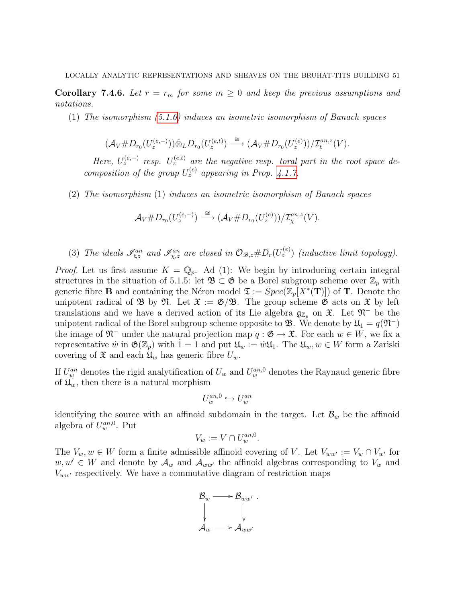**Corollary 7.4.6.** Let  $r = r_m$  for some  $m \geq 0$  and keep the previous assumptions and notations.

(1) The isomorphism  $(5.1.6)$  induces an isometric isomorphism of Banach spaces

$$
(\mathcal{A}_V \# D_{r_0}(U_z^{(e,-)})) \hat{\otimes}_L D_{r_0}(U_z^{(e,t)}) \stackrel{\cong}{\longrightarrow} (\mathcal{A}_V \# D_{r_0}(U_z^{(e)}))/\mathcal{I}_\mathfrak{t}^{an,z}(V).
$$

Here,  $U_z^{(e,-)}$  resp.  $U_z^{(e,t)}$  are the negative resp. toral part in the root space decomposition of the group  $U_z^{(e)}$  appearing in Prop. [4.1.7.](#page-0-0)

(2) The isomorphism (1) induces an isometric isomorphism of Banach spaces

$$
\mathcal{A}_V \# D_{r_0}(U_z^{(e,-)}) \stackrel{\cong}{\longrightarrow} (\mathcal{A}_V \# D_{r_0}(U_z^{(e)}))/\mathcal{I}_\chi^{an,z}(V).
$$

(3) The ideals  $\mathscr{I}_{\mathfrak{t},z}^{an}$  and  $\mathscr{I}_{\chi,z}^{an}$  are closed in  $\mathcal{O}_{\mathscr{B},z} \# D_r(U_z^{(e)})$  (inductive limit topology).

*Proof.* Let us first assume  $K = \mathbb{Q}_p$ . Ad (1): We begin by introducing certain integral structures in the situation of 5.1.5: let  $\mathfrak{B} \subset \mathfrak{G}$  be a Borel subgroup scheme over  $\mathbb{Z}_p$  with generic fibre **B** and containing the Néron model  $\mathfrak{T} := Spec(\mathbb{Z}_p[X^*(\mathbf{T})])$  of **T**. Denote the unipotent radical of B by  $\mathfrak{N}$ . Let  $\mathfrak{X} := \mathfrak{G}/\mathfrak{B}$ . The group scheme  $\mathfrak{G}$  acts on  $\mathfrak{X}$  by left translations and we have a derived action of its Lie algebra  $\mathfrak{g}_{\mathbb{Z}_p}$  on  $\mathfrak{X}$ . Let  $\mathfrak{N}^-$  be the unipotent radical of the Borel subgroup scheme opposite to **B**. We denote by  $\mathfrak{U}_1 = q(\mathfrak{N}^-)$ the image of  $\mathfrak{N}^-$  under the natural projection map  $q : \mathfrak{G} \to \mathfrak{X}$ . For each  $w \in W$ , we fix a representative  $\dot{w}$  in  $\mathfrak{G}(\mathbb{Z}_p)$  with  $1 = 1$  and put  $\mathfrak{U}_w := \dot{w}\mathfrak{U}_1$ . The  $\mathfrak{U}_w, w \in W$  form a Zariski covering of  $\mathfrak X$  and each  $\mathfrak U_w$  has generic fibre  $U_w$ .

If  $U_w^{an}$  denotes the rigid analytification of  $U_w$  and  $U_w^{an,0}$  denotes the Raynaud generic fibre of  $\mathfrak{U}_w$ , then there is a natural morphism

$$
U^{an,0}_w \hookrightarrow U^{an}_w
$$

identifying the source with an affinoid subdomain in the target. Let  $\mathcal{B}_w$  be the affinoid algebra of  $U_w^{an,0}$ . Put

$$
V_w := V \cap U_w^{an,0}.
$$

The  $V_w, w \in W$  form a finite admissible affinoid covering of V. Let  $V_{ww'} := V_w \cap V_{w'}$  for  $w, w' \in W$  and denote by  $\mathcal{A}_w$  and  $\mathcal{A}_{ww'}$  the affinoid algebras corresponding to  $V_w$  and  $V_{ww'}$  respectively. We have a commutative diagram of restriction maps

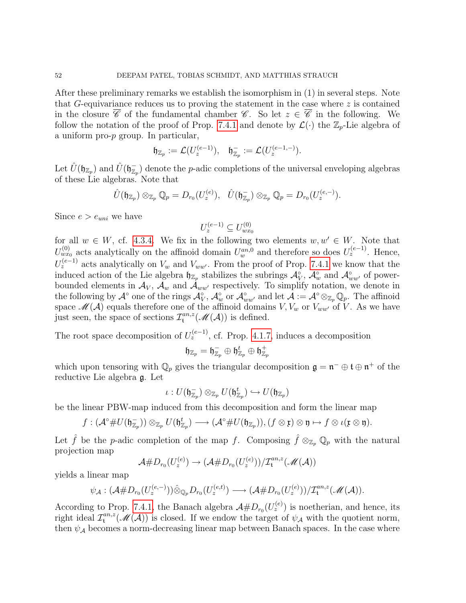After these preliminary remarks we establish the isomorphism in (1) in several steps. Note that G-equivariance reduces us to proving the statement in the case where  $z$  is contained in the closure  $\overline{\mathscr{C}}$  of the fundamental chamber  $\mathscr{C}$ . So let  $z \in \overline{\mathscr{C}}$  in the following. We follow the notation of the proof of Prop. [7.4.1](#page-46-0) and denote by  $\mathcal{L}(\cdot)$  the  $\mathbb{Z}_p$ -Lie algebra of a uniform pro-p group. In particular,

$$
\mathfrak{h}_{\mathbb{Z}_p}:=\mathcal{L}(U_z^{(e-1)}),\quad \mathfrak{h}_{\mathbb{Z}_p}^-:=\mathcal{L}(U_z^{(e-1,-)}).
$$

Let  $\hat{U}(\mathfrak{h}_{\mathbb{Z}_p})$  and  $\hat{U}(\mathfrak{h}_{\mathbb{Z}_p}^-)$  denote the p-adic completions of the universal enveloping algebras of these Lie algebras. Note that

$$
\hat{U}(\mathfrak{h}_{\mathbb{Z}_p})\otimes_{\mathbb{Z}_p}\mathbb{Q}_p=D_{r_0}(U_z^{(e)}),\quad \hat{U}(\mathfrak{h}_{\mathbb{Z}_p}^-)\otimes_{\mathbb{Z}_p}\mathbb{Q}_p=D_{r_0}(U_z^{(e,-)}).
$$

Since  $e > e_{uni}$  we have

$$
U_z^{(e-1)} \subseteq U_{wx_0}^{(0)}
$$

for all  $w \in W$ , cf. [4.3.4.](#page-21-0) We fix in the following two elements  $w, w' \in W$ . Note that  $U_{w x_0}^{(0)}$  acts analytically on the affinoid domain  $U_w^{an,0}$  and therefore so does  $U_z^{(e-1)}$ . Hence,  $U_z^{(e-1)}$  acts analytically on  $V_w$  and  $V_{ww'}$ . From the proof of Prop. [7.4.1](#page-46-0) we know that the induced action of the Lie algebra  $\natural_{\mathbb{Z}_p}$  stabilizes the subrings  $\mathcal{A}_V^{\circ}$ ,  $\mathcal{A}_w^{\circ}$  and  $\mathcal{A}_{ww'}^{\circ}$  of powerbounded elements in  $\mathcal{A}_V$ ,  $\mathcal{A}_w$  and  $\mathcal{A}_{ww'}$  respectively. To simplify notation, we denote in the following by  $\mathcal{A}^{\circ}$  one of the rings  $\mathcal{A}_{V}^{\circ}$ ,  $\mathcal{A}_{w}^{\circ}$  or  $\mathcal{A}_{ww'}^{\circ}$  and let  $\mathcal{A} := \mathcal{A}^{\circ} \otimes_{\mathbb{Z}_p} \mathbb{Q}_p$ . The affinoid space  $\mathscr{M}(\mathcal{A})$  equals therefore one of the affinoid domains  $V, V_w$  or  $V_{ww'}$  of  $V$ . As we have just seen, the space of sections  $\mathcal{I}_{t}^{an,z}$  $t^{an,z}(\mathcal{M}(\mathcal{A}))$  is defined.

The root space decomposition of  $U_z^{(e-1)}$ , cf. Prop. [4.1.7,](#page-0-0) induces a decomposition

$$
\mathfrak{h}_{\mathbb{Z}_p}=\mathfrak{h}_{\mathbb{Z}_p}^-\oplus \mathfrak{h}_{\mathbb{Z}_p}^t\oplus \mathfrak{h}_{\mathbb{Z}_p}^+
$$

which upon tensoring with  $\mathbb{Q}_p$  gives the triangular decomposition  $\mathfrak{g} = \mathfrak{n}^- \oplus \mathfrak{t} \oplus \mathfrak{n}^+$  of the reductive Lie algebra g. Let

$$
\iota:U(\mathfrak{h}_{\mathbb{Z}_p}^-)\otimes_{\mathbb{Z}_p}U(\mathfrak{h}_{\mathbb{Z}_p}^t)\hookrightarrow U(\mathfrak{h}_{\mathbb{Z}_p})
$$

be the linear PBW-map induced from this decomposition and form the linear map

$$
f:(\mathcal{A}^{\circ}\#U(\mathfrak{h}_{\mathbb{Z}_p}^{-}))\otimes_{\mathbb{Z}_p}U(\mathfrak{h}_{\mathbb{Z}_p}^t)\longrightarrow (\mathcal{A}^{\circ}\#U(\mathfrak{h}_{\mathbb{Z}_p})),(f\otimes\mathfrak{x})\otimes\mathfrak{y}\mapsto f\otimes\iota(\mathfrak{x}\otimes\mathfrak{y}).
$$

Let  $\hat{f}$  be the p-adic completion of the map f. Composing  $\hat{f} \otimes_{\mathbb{Z}_p} \mathbb{Q}_p$  with the natural projection map

$$
\mathcal{A} \# D_{r_0}(U_z^{(e)}) \to (\mathcal{A} \# D_{r_0}(U_z^{(e)}))/\mathcal{I}_{\mathfrak{t}}^{an,z}(\mathscr{M}(\mathcal{A}))
$$

yields a linear map

$$
\psi_{\mathcal{A}}: (\mathcal{A} \# D_{r_0}(U_z^{(e,-)})) \hat{\otimes}_{\mathbb{Q}_p} D_{r_0}(U_z^{(e,t)}) \longrightarrow (\mathcal{A} \# D_{r_0}(U_z^{(e)}))/\mathcal{I}_t^{an,z}(\mathcal{M}(\mathcal{A})).
$$

According to Prop. [7.4.1,](#page-46-0) the Banach algebra  $\mathcal{A} \# D_{r_0}(U_z^{(e)})$  is noetherian, and hence, its right ideal  $\mathcal{I}^{an,z}_{\mathfrak{t}}$  $\mathcal{U}_{\mathbf{t}}^{an,z}(\mathcal{M}(\mathcal{A}))$  is closed. If we endow the target of  $\psi_{\mathcal{A}}$  with the quotient norm, then  $\psi_A$  becomes a norm-decreasing linear map between Banach spaces. In the case where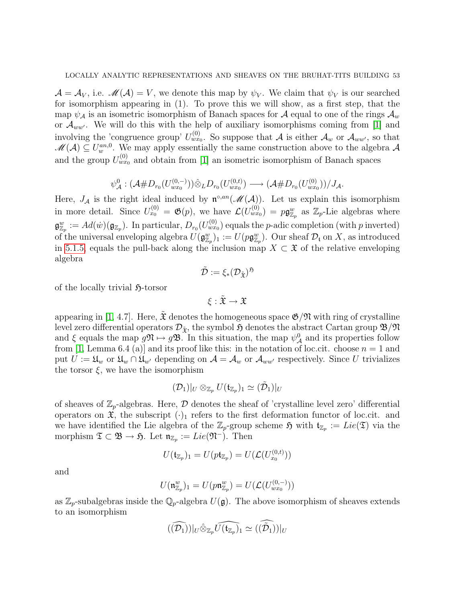$\mathcal{A} = \mathcal{A}_V$ , i.e.  $\mathcal{M}(\mathcal{A}) = V$ , we denote this map by  $\psi_V$ . We claim that  $\psi_V$  is our searched for isomorphism appearing in (1). To prove this we will show, as a first step, that the map  $\psi_{\mathcal{A}}$  is an isometric isomorphism of Banach spaces for  $\mathcal{A}$  equal to one of the rings  $\mathcal{A}_w$ or  $\mathcal{A}_{ww'}$ . We will do this with the help of auxiliary isomorphisms coming from [\[1\]](#page-76-1) and involving the 'congruence group'  $U_{wx_0}^{(0)}$ . So suppose that A is either  $\mathcal{A}_w$  or  $\mathcal{A}_{ww'}$ , so that  $\mathscr{M}(\mathcal{A}) \subseteq U_w^{an,0}$ . We may apply essentially the same construction above to the algebra  $\mathcal{A}$ and the group  $U_{wx_0}^{(0)}$  and obtain from [\[1\]](#page-76-1) an isometric isomorphism of Banach spaces

$$
\psi^0_{\mathcal{A}}: (\mathcal{A} \# D_{r_0}(U_{wx_0}^{(0,-)})) \hat{\otimes}_L D_{r_0}(U_{wx_0}^{(0,t)}) \longrightarrow (\mathcal{A} \# D_{r_0}(U_{wx_0}^{(0)}))/J_{\mathcal{A}}.
$$

Here,  $J_A$  is the right ideal induced by  $\mathfrak{n}^{\circ,an}(\mathcal{M}(A))$ . Let us explain this isomorphism in more detail. Since  $U_{x_0}^{(0)} = \mathfrak{G}(p)$ , we have  $\mathcal{L}(U_{wx_0}^{(0)}) = p\mathfrak{g}_{\mathbb{Z}_p}^w$  as  $\mathbb{Z}_p$ -Lie algebras where  $\mathfrak{g}^w_{\mathbb{Z}_p} := Ad(w)(\mathfrak{g}_{\mathbb{Z}_p}).$  In particular,  $D_{r_0}(U_{wx_0}^{(0)})$  equals the *p*-adic completion (with *p* inverted) of the universal enveloping algebra  $U(\mathfrak{g}_{\mathbb{Z}_p}^w)_1 := U(p\mathfrak{g}_{\mathbb{Z}_p}^w)$ . Our sheaf  $\mathcal{D}_\mathfrak{t}$  on X, as introduced in [5.1.5,](#page-24-1) equals the pull-back along the inclusion map  $X \subset \mathfrak{X}$  of the relative enveloping algebra

$$
\tilde{\mathcal{D}}:=\xi_*(\mathcal{D}_{\tilde{\mathfrak{X}}})^{\mathfrak{H}}
$$

of the locally trivial  $\mathfrak{H}\text{-torsor}$ 

$$
\xi:\tilde{\mathfrak{X}}\to\mathfrak{X}
$$

appearing in [\[1,](#page-76-1) 4.7]. Here,  $\mathfrak X$  denotes the homogeneous space  $\mathfrak G/\mathfrak N$  with ring of crystalline level zero differential operators  $\mathcal{D}_{\tilde{\mathbf{x}}}$ , the symbol  $\mathfrak{H}$  denotes the abstract Cartan group  $\mathfrak{B}/\mathfrak{N}$ and  $\xi$  equals the map  $g\mathfrak{N} \mapsto g\mathfrak{B}$ . In this situation, the map  $\psi^0_{\mathcal{A}}$  and its properties follow from [\[1,](#page-76-1) Lemma 6.4 (a)] and its proof like this: in the notation of loc.cit. choose  $n = 1$  and put  $U := \mathfrak{U}_w$  or  $\mathfrak{U}_w \cap \mathfrak{U}_{w'}$  depending on  $\mathcal{A} = \mathcal{A}_w$  or  $\mathcal{A}_{ww'}$  respectively. Since U trivializes the torsor  $\xi$ , we have the isomorphism

$$
(\mathcal{D}_1)|_U \otimes_{\mathbb{Z}_p} U(\mathfrak{t}_{\mathbb{Z}_p})_1 \simeq (\tilde{\mathcal{D}}_1)|_U
$$

of sheaves of  $\mathbb{Z}_p$ -algebras. Here,  $\mathcal D$  denotes the sheaf of 'crystalline level zero' differential operators on  $\mathfrak{X}$ , the subscript  $(\cdot)_1$  refers to the first deformation functor of loc.cit. and we have identified the Lie algebra of the  $\mathbb{Z}_p$ -group scheme  $\mathfrak{H}$  with  $\mathfrak{t}_{\mathbb{Z}_p} := Lie(\mathfrak{T})$  via the morphism  $\mathfrak{T} \subset \mathfrak{B} \to \mathfrak{H}$ . Let  $\mathfrak{n}_{\mathbb{Z}_p} := Lie(\mathfrak{N}^-)$ . Then

$$
U(\mathfrak{t}_{\mathbb{Z}_p})_1 = U(pt_{\mathbb{Z}_p}) = U(\mathcal{L}(U_{x_0}^{(0,t)}))
$$

and

$$
U(\mathfrak{n}^w_{\mathbb{Z}_p})_1 = U(p\mathfrak{n}^w_{\mathbb{Z}_p}) = U(\mathcal{L}(U_{wx_0}^{(0,-)}))
$$

as  $\mathbb{Z}_p$ -subalgebras inside the  $\mathbb{Q}_p$ -algebra  $U(\mathfrak{g})$ . The above isomorphism of sheaves extends to an isomorphism

$$
(\widehat{(\mathcal{D}_1)})|_U \hat{\otimes}_{\mathbb{Z}_p} \widehat{U(\mathfrak{t}_{\mathbb{Z}_p})}_1 \simeq (\widehat{(\mathcal{D}_1)})|_U
$$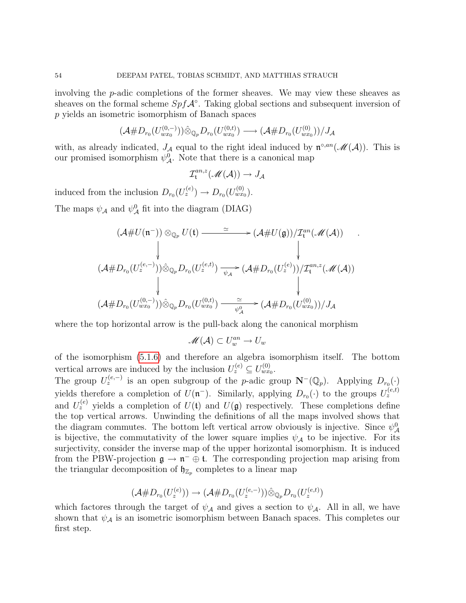involving the p-adic completions of the former sheaves. We may view these sheaves as sheaves on the formal scheme  $Spf\mathcal{A}^\circ$ . Taking global sections and subsequent inversion of p yields an isometric isomorphism of Banach spaces

$$
(\mathcal{A} \# D_{r_0}(U_{wx_0}^{(0,-)})) \hat{\otimes}_{\mathbb{Q}_p} D_{r_0}(U_{wx_0}^{(0,t)}) \longrightarrow (\mathcal{A} \# D_{r_0}(U_{wx_0}^{(0)}))/J_{\mathcal{A}}
$$

with, as already indicated,  $J_A$  equal to the right ideal induced by  $\mathfrak{n}^{\circ,an}(\mathcal{M}(A))$ . This is our promised isomorphism  $\psi^0_{\mathcal{A}}$ . Note that there is a canonical map

$$
\mathcal{I}^{an,z}_\mathfrak{t}(\mathscr{M}(\mathcal{A})) \to J_\mathcal{A}
$$

induced from the inclusion  $D_{r_0}(U_z^{(e)}) \to D_{r_0}(U_{wx_0}^{(0)})$ .

The maps  $\psi_{\mathcal{A}}$  and  $\psi_{\mathcal{A}}^{0}$  fit into the diagram (DIAG)

$$
(\mathcal{A} \# U(\mathfrak{n}^{-})) \otimes_{\mathbb{Q}_p} U(\mathfrak{t}) \xrightarrow{\simeq} (\mathcal{A} \# U(\mathfrak{g}))/\mathcal{I}_{\mathfrak{t}}^{an}(\mathcal{M}(\mathcal{A})) .
$$
  

$$
\downarrow \qquad \qquad \downarrow
$$
  

$$
(\mathcal{A} \# D_{r_0}(U_z^{(e,-)})) \hat{\otimes}_{\mathbb{Q}_p} D_{r_0}(U_z^{(e,t)}) \xrightarrow{\simeq} (\mathcal{A} \# D_{r_0}(U_z^{(e)}))/\mathcal{I}_{\mathfrak{t}}^{an,z}(\mathcal{M}(\mathcal{A}))
$$
  

$$
\downarrow \qquad \qquad \downarrow
$$
  

$$
(\mathcal{A} \# D_{r_0}(U_{wx_0}^{(0,-)})) \hat{\otimes}_{\mathbb{Q}_p} D_{r_0}(U_{wx_0}^{(0,t)}) \xrightarrow{\simeq} (\mathcal{A} \# D_{r_0}(U_{wx_0}^{(0)}))/J_{\mathcal{A}}
$$

where the top horizontal arrow is the pull-back along the canonical morphism

$$
\mathscr{M}(\mathcal{A}) \subset U_w^{an} \to U_w
$$

of the isomorphism [\(5.1.6\)](#page-24-0) and therefore an algebra isomorphism itself. The bottom vertical arrows are induced by the inclusion  $U_z^{(e)} \subseteq U_{wx_0}^{(0)}$ .

The group  $U_z^{(e,-)}$  is an open subgroup of the p-adic group  $\mathbf{N}^-(\mathbb{Q}_p)$ . Applying  $D_{r_0}(\cdot)$ yields therefore a completion of  $U(\mathfrak{n}^-)$ . Similarly, applying  $D_{r_0}(\cdot)$  to the groups  $U_z^{(e,t)}$ and  $U_z^{(e)}$  yields a completion of  $U(t)$  and  $U(g)$  respectively. These completions define the top vertical arrows. Unwinding the definitions of all the maps involved shows that the diagram commutes. The bottom left vertical arrow obviously is injective. Since  $\psi^0_{\mathcal{A}}$ is bijective, the commutativity of the lower square implies  $\psi_A$  to be injective. For its surjectivity, consider the inverse map of the upper horizontal isomorphism. It is induced from the PBW-projection  $\mathfrak{g} \to \mathfrak{n}^- \oplus \mathfrak{t}$ . The corresponding projection map arising from the triangular decomposition of  $\mathfrak{h}_{\mathbb{Z}_p}$  completes to a linear map

$$
(\mathcal{A} \# D_{r_0}(U_z^{(e)})) \to (\mathcal{A} \# D_{r_0}(U_z^{(e,-)})) \hat{\otimes}_{\mathbb{Q}_p} D_{r_0}(U_z^{(e,t)})
$$

which factores through the target of  $\psi_{\mathcal{A}}$  and gives a section to  $\psi_{\mathcal{A}}$ . All in all, we have shown that  $\psi_{\mathcal{A}}$  is an isometric isomorphism between Banach spaces. This completes our first step.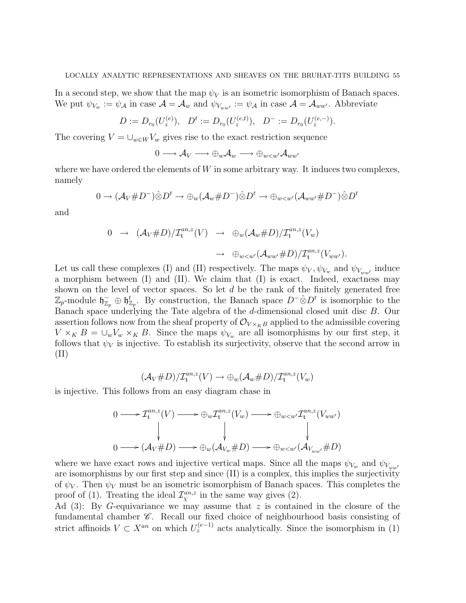In a second step, we show that the map  $\psi_V$  is an isometric isomorphism of Banach spaces. We put  $\psi_{V_w} := \psi_{\mathcal{A}}$  in case  $\mathcal{A} = \mathcal{A}_w$  and  $\psi_{V_{ww'}} := \psi_{\mathcal{A}}$  in case  $\mathcal{A} = \mathcal{A}_{ww'}$ . Abbreviate

$$
D := D_{r_0}(U_z^{(e)}), \quad D^t := D_{r_0}(U_z^{(e,t)}), \quad D^- := D_{r_0}(U_z^{(e,-)}).
$$

The covering  $V = \bigcup_{w \in W} V_w$  gives rise to the exact restriction sequence

$$
0 \longrightarrow \mathcal{A}_V \longrightarrow \oplus_w \mathcal{A}_w \longrightarrow \oplus_{w < w'} \mathcal{A}_{ww'}
$$

where we have ordered the elements of  $W$  in some arbitrary way. It induces two complexes, namely

$$
0 \to (\mathcal{A}_V \# D^-) \hat{\otimes} D^t \to \oplus_w (\mathcal{A}_w \# D^-) \hat{\otimes} D^t \to \oplus_{w < w'} (\mathcal{A}_{ww'} \# D^-) \hat{\otimes} D^t
$$

and

$$
0 \rightarrow (\mathcal{A}_V \# D)/\mathcal{I}_t^{an,z}(V) \rightarrow \oplus_w (\mathcal{A}_w \# D)/\mathcal{I}_t^{an,z}(V_w)
$$

$$
\rightarrow \oplus_{w < w'} (\mathcal{A}_{ww'} \# D)/\mathcal{I}_t^{an,z}(V_{ww'}).
$$

Let us call these complexes (I) and (II) respectively. The maps  $\psi_V, \psi_{V_w}$  and  $\psi_{V_{ww'}}$  induce a morphism between (I) and (II). We claim that (I) is exact. Indeed, exactness may shown on the level of vector spaces. So let  $d$  be the rank of the finitely generated free  $\mathbb{Z}_p$ -module  $\mathfrak{h}_{\mathbb{Z}_p}^-\oplus\mathfrak{h}_{\mathbb{Z}_p}^t$ . By construction, the Banach space  $D^-\hat{\otimes}D^t$  is isomorphic to the Banach space underlying the Tate algebra of the d-dimensional closed unit disc B. Our assertion follows now from the sheaf property of  $\mathcal{O}_{V\times_K B}$  applied to the admissible covering  $V \times_K B = \bigcup_w V_w \times_K B$ . Since the maps  $\psi_{V_w}$  are all isomorphisms by our first step, it follows that  $\psi_V$  is injective. To establish its surjectivity, observe that the second arrow in (II)

$$
(\mathcal{A}_V \# D)/\mathcal{I}^{an,z}_\mathfrak{t}(V) \to \bigoplus_w (\mathcal{A}_w \# D)/\mathcal{I}^{an,z}_\mathfrak{t}(V_w)
$$

is injective. This follows from an easy diagram chase in

$$
0 \longrightarrow \mathcal{I}_{t}^{an,z}(V) \longrightarrow \bigoplus_{w} \mathcal{I}_{t}^{an,z}(V_{w}) \longrightarrow \bigoplus_{w < w'} \mathcal{I}_{t}^{an,z}(V_{ww'})
$$
  
\n
$$
\downarrow \qquad \qquad \downarrow \qquad \qquad \downarrow
$$
  
\n
$$
0 \longrightarrow (\mathcal{A}_{V} \# D) \longrightarrow \bigoplus_{w} (\mathcal{A}_{V_{w}} \# D) \longrightarrow \bigoplus_{w < w'} (\mathcal{A}_{V_{ww'}} \# D)
$$

where we have exact rows and injective vertical maps. Since all the maps  $\psi_{V_w}$  and  $\psi_{V_{ww}}$ are isomorphisms by our first step and since (II) is a complex, this implies the surjectivity of  $\psi_V$ . Then  $\psi_V$  must be an isometric isomorphism of Banach spaces. This completes the proof of (1). Treating the ideal  $\mathcal{I}_{\chi}^{an,z}$  in the same way gives (2).

Ad  $(3)$ : By G-equivariance we may assume that z is contained in the closure of the fundamental chamber  $\mathscr C$ . Recall our fixed choice of neighbourhood basis consisting of strict affinoids  $V \subset X^{an}$  on which  $U_z^{(e-1)}$  acts analytically. Since the isomorphism in (1)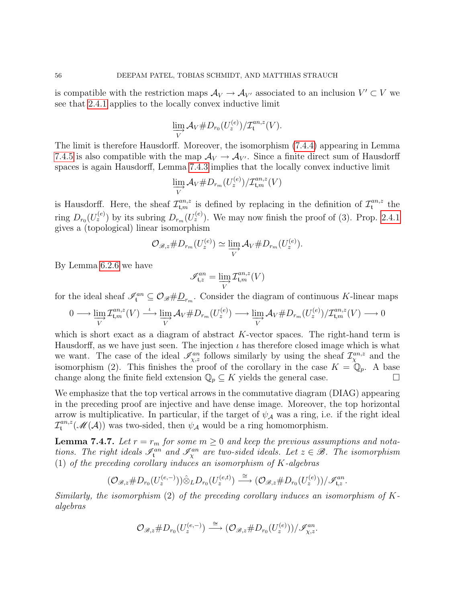is compatible with the restriction maps  $\mathcal{A}_V \to \mathcal{A}_{V'}$  associated to an inclusion  $V' \subset V$  we see that [2.4.1](#page-12-0) applies to the locally convex inductive limit

$$
\varinjlim_{V} \mathcal{A}_{V} \# D_{r_{0}}(U_{z}^{(e)}) / \mathcal{I}_{\mathfrak{t}}^{an,z}(V).
$$

The limit is therefore Hausdorff. Moreover, the isomorphism [\(7.4.4\)](#page-48-1) appearing in Lemma [7.4.5](#page-48-3) is also compatible with the map  $A_V \rightarrow A_{V'}$ . Since a finite direct sum of Hausdorff spaces is again Hausdorff, Lemma [7.4.3](#page-48-2) implies that the locally convex inductive limit

$$
\varinjlim_{V} \mathcal{A}_{V} \# D_{r_{m}}(U_{z}^{(e)}) / \mathcal{I}_{\mathfrak{t},m}^{an,z}(V)
$$

is Hausdorff. Here, the sheaf  $\mathcal{I}_{t,m}^{an,z}$  is defined by replacing in the definition of  $\mathcal{I}_{t}^{an,z}$  $\int_{\mathfrak{t}}^{an,z}$  the ring  $D_{r_0}(U_z^{(e)})$  by its subring  $D_{r_m}(U_z^{(e)})$ . We may now finish the proof of (3). Prop. [2.4.1](#page-12-0) gives a (topological) linear isomorphism

$$
\mathcal{O}_{\mathscr{B},z} \# D_{r_m}(U_z^{(e)}) \simeq \varinjlim_V \mathcal{A}_V \# D_{r_m}(U_z^{(e)}).
$$

By Lemma [6.2.6](#page-29-0) we have

$$
\mathscr{I}_{\mathfrak{t},z}^{an}=\varinjlim_{V}\mathcal{I}_{\mathfrak{t},m}^{an,z}(V)
$$

for the ideal sheaf  $\mathscr{I}_{\mathfrak{t}}^{an} \subseteq \mathcal{O}_{\mathscr{B}} \# \underline{D}_{r_m}$ . Consider the diagram of continuous K-linear maps

$$
0 \longrightarrow \varinjlim_{V} \mathcal{I}^{an,z}_{\mathfrak{t},m}(V) \longrightarrow \varinjlim_{V} \mathcal{A}_{V} \# D_{r_{m}}(U_z^{(e)}) \longrightarrow \varinjlim_{V} \mathcal{A}_{V} \# D_{r_{m}}(U_z^{(e)}) / \mathcal{I}^{an,z}_{\mathfrak{t},m}(V) \longrightarrow 0
$$

which is short exact as a diagram of abstract K-vector spaces. The right-hand term is Hausdorff, as we have just seen. The injection  $\iota$  has therefore closed image which is what we want. The case of the ideal  $\mathscr{I}_{\chi,z}^{an}$  follows similarly by using the sheaf  $\mathcal{I}_{\chi}^{an,z}$  and the isomorphism (2). This finishes the proof of the corollary in the case  $K = \mathbb{Q}_p$ . A base change along the finite field extension  $\mathbb{Q}_p \subseteq K$  yields the general case.

We emphasize that the top vertical arrows in the commutative diagram (DIAG) appearing in the preceding proof are injective and have dense image. Moreover, the top horizontal arrow is multiplicative. In particular, if the target of  $\psi_{\mathcal{A}}$  was a ring, i.e. if the right ideal  ${\cal I}_{\mathfrak t}^{an,z}$  $t^{an,z}(\mathcal{M}(\mathcal{A}))$  was two-sided, then  $\psi_{\mathcal{A}}$  would be a ring homomorphism.

<span id="page-55-0"></span>**Lemma 7.4.7.** Let  $r = r_m$  for some  $m \geq 0$  and keep the previous assumptions and notations. The right ideals  $\mathscr{I}_{\mathfrak{t}}^{an}$  and  $\mathscr{I}_{\chi}^{an}$  are two-sided ideals. Let  $z \in \mathscr{B}$ . The isomorphism (1) of the preceding corollary induces an isomorphism of  $K$ -algebras

$$
(\mathcal{O}_{\mathscr{B},z} \# D_{r_0}(U_z^{(e,-)})) \hat{\otimes}_L D_{r_0}(U_z^{(e,t)}) \stackrel{\cong}{\longrightarrow} (\mathcal{O}_{\mathscr{B},z} \# D_{r_0}(U_z^{(e)}))/\mathscr{I}_{t,z}^{an}.
$$

Similarly, the isomorphism (2) of the preceding corollary induces an isomorphism of  $K$ algebras

$$
\mathcal{O}_{\mathscr{B},z} \# D_{r_0}(U_z^{(e,-)}) \stackrel{\cong}{\longrightarrow} (\mathcal{O}_{\mathscr{B},z} \# D_{r_0}(U_z^{(e)}))/\mathscr{I}_{\chi,z}^{an}.
$$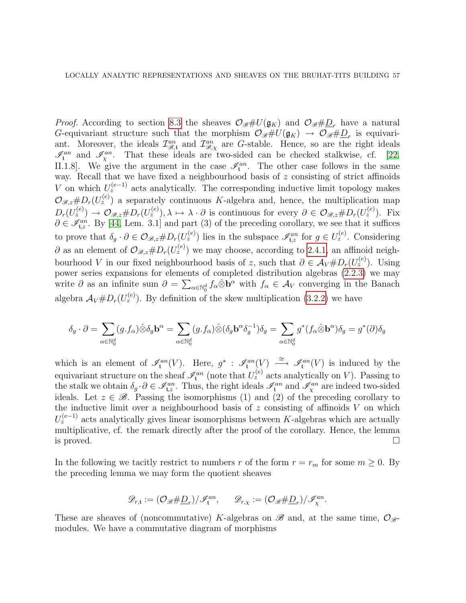*Proof.* According to section [8.3](#page-61-0) the sheaves  $\mathcal{O}_{\mathscr{B}}\#U(\mathfrak{g}_K)$  and  $\mathcal{O}_{\mathscr{B}}\#\underline{D}_r$  have a natural G-equivariant structure such that the morphism  $\mathcal{O}_{\mathscr{B}}\#U(\mathfrak{g}_K) \to \mathcal{O}_{\mathscr{B}}\#D_r$  is equivariant. Moreover, the ideals  $\mathcal{I}_{\mathcal{B},\chi}^{an}$  and  $\mathcal{I}_{\mathcal{B},\chi}^{an}$  are G-stable. Hence, so are the right ideals  $\mathscr{I}_{\mathfrak{t}}^{an}$  and  $\mathscr{I}_{\chi}^{an}$ . That these ideals are two-sided can be checked stalkwise, cf. [\[22,](#page-77-1) II.1.8. We give the argument in the case  $\mathcal{I}_{t}^{an}$ . The other case follows in the same way. Recall that we have fixed a neighbourhood basis of z consisting of strict affinoids V on which  $U_z^{(e-1)}$  acts analytically. The corresponding inductive limit topology makes  $\mathcal{O}_{\mathscr{B},z} \# D_r(U_z^{(e)})$  a separately continuous K-algebra and, hence, the multiplication map  $D_r(U_z^{(e)}) \to \mathcal{O}_{\mathscr{B},z} \# D_r(U_z^{(e)}), \lambda \mapsto \lambda \cdot \partial$  is continuous for every  $\partial \in \mathcal{O}_{\mathscr{B},z} \# D_r(U_z^{(e)})$ . Fix  $\partial \in \mathcal{I}_{t,z}^{an}$ . By [\[44,](#page-78-1) Lem. 3.1] and part (3) of the preceding corollary, we see that it suffices to prove that  $\delta_g \cdot \partial \in \mathcal{O}_{\mathscr{B},z} \# D_r(U_z^{(e)})$  lies in the subspace  $\mathscr{I}_{\mathfrak{t},z}^{an}$  for  $g \in U_z^{(e)}$ . Considering  $\partial$  as an element of  $\mathcal{O}_{\mathscr{B},z} \# D_r(U_z^{(e)})$  we may choose, according to [2.4.1,](#page-12-0) an affinoid neighbourhood V in our fixed neighbourhood basis of z, such that  $\partial \in \mathcal{A}_V \# D_r(U_z^{(e)})$ . Using power series expansions for elements of completed distribution algebras [\(2.2.3\)](#page-10-0) we may write  $\partial$  as an infinite sum  $\partial = \sum_{\alpha \in \mathbb{N}_0^d} f_\alpha \hat{\otimes} \mathbf{b}^\alpha$  with  $f_\alpha \in \mathcal{A}_V$  converging in the Banach algebra  $A_V \# D_r(U_z^{(e)})$ . By definition of the skew multiplication [\(3.2.2\)](#page-14-0) we have

$$
\delta_g \cdot \partial = \sum_{\alpha \in \mathbb{N}_0^d} (g.f_\alpha) \hat{\otimes} \delta_g \mathbf{b}^\alpha = \sum_{\alpha \in \mathbb{N}_0^d} (g.f_\alpha) \hat{\otimes} (\delta_g \mathbf{b}^\alpha \delta_g^{-1}) \delta_g = \sum_{\alpha \in \mathbb{N}_0^d} g^*(f_\alpha \hat{\otimes} \mathbf{b}^\alpha) \delta_g = g^*(\partial) \delta_g
$$

which is an element of  $\mathcal{I}_{\mathfrak{t}}^{an}(V)$ . Here,  $g^*$ :  $\mathcal{I}_{\mathfrak{t}}^{an}(V) \longrightarrow \mathcal{I}_{\mathfrak{t}}^{an}(V)$  is induced by the equivariant structure on the sheaf  $\mathscr{I}_{\mathfrak{t}}^{an}$  (note that  $U_z^{(e)}$  acts analytically on V). Passing to the stalk we obtain  $\delta_g \cdot \partial \in \mathscr{I}_{\mathfrak{t},z}^{an}$ . Thus, the right ideals  $\mathscr{I}_{\mathfrak{t}}^{an}$  and  $\mathscr{I}_{\chi}^{an}$  are indeed two-sided ideals. Let  $z \in \mathcal{B}$ . Passing the isomorphisms (1) and (2) of the preceding corollary to the inductive limit over a neighbourhood basis of  $z$  consisting of affinoids  $V$  on which  $U_z^{(e-1)}$  acts analytically gives linear isomorphisms between K-algebras which are actually multiplicative, cf. the remark directly after the proof of the corollary. Hence, the lemma is proved.  $\Box$ 

In the following we tacitly restrict to numbers r of the form  $r = r_m$  for some  $m \geq 0$ . By the preceding lemma we may form the quotient sheaves

$$
\mathscr{D}_{r,\mathfrak{t}}:=(\mathcal{O}_{\mathscr{B}}\#\underline{D}_r)/\mathscr{I}_{\mathfrak{t}}^{an},\qquad \mathscr{D}_{r,\chi}:=(\mathcal{O}_{\mathscr{B}}\#\underline{D}_r)/\mathscr{I}_{\chi}^{an}
$$

.

These are sheaves of (noncommutative) K-algebras on  $\mathscr{B}$  and, at the same time,  $\mathcal{O}_{\mathscr{B}}$ modules. We have a commutative diagram of morphisms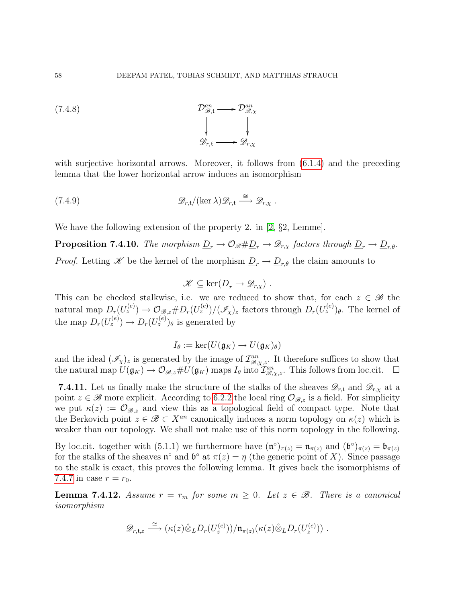<span id="page-57-1"></span>(7.4.8) 
$$
\mathcal{D}_{\mathcal{B},t}^{an} \longrightarrow \mathcal{D}_{\mathcal{B},\chi}^{an}
$$
\n
$$
\downarrow \qquad \qquad \downarrow
$$
\n
$$
\mathcal{D}_{r,t}^{an} \longrightarrow \mathcal{D}_{r,\chi}^{an}
$$

with surjective horizontal arrows. Moreover, it follows from  $(6.1.4)$  and the preceding lemma that the lower horizontal arrow induces an isomorphism

(7.4.9) 
$$
\mathscr{D}_{r,t}/(\ker \lambda)\mathscr{D}_{r,t} \stackrel{\cong}{\longrightarrow} \mathscr{D}_{r,\chi}.
$$

We have the following extension of the property 2. in [\[2,](#page-76-2) §2, Lemme].

**Proposition 7.4.10.** The morphism  $\underline{D}_r \to \mathcal{O}_{\mathcal{B}} \sharp \underline{D}_r \to \mathcal{D}_{r,x}$  factors through  $\underline{D}_r \to \underline{D}_{r,\theta}$ . *Proof.* Letting X be the kernel of the morphism  $\underline{D}_r \to \underline{D}_{r,\theta}$  the claim amounts to

$$
\mathscr{K} \subseteq \ker(\underline{D}_r \to \mathscr{D}_{r,\chi}) \ .
$$

This can be checked stalkwise, i.e. we are reduced to show that, for each  $z \in \mathscr{B}$  the natural map  $D_r(U_z^{(e)}) \to \mathcal{O}_{\mathscr{B},z} \# D_r(U_z^{(e)})/(\mathscr{I}_{\chi})_z$  factors through  $D_r(U_z^{(e)})_\theta$ . The kernel of the map  $D_r(U_z^{(e)}) \to D_r(U_z^{(e)})_\theta$  is generated by

$$
I_{\theta} := \ker(U(\mathfrak{g}_K) \to U(\mathfrak{g}_K)_{\theta})
$$

and the ideal  $(\mathscr{I}_{\chi})_z$  is generated by the image of  $\mathcal{I}_{\mathscr{B},\chi,z}^{an}$ . It therefore suffices to show that the natural map  $U(\mathfrak{g}_K) \to \mathcal{O}_{\mathscr{B},z} \# U(\mathfrak{g}_K)$  maps  $I_\theta$  into  $\mathcal{I}_{\mathscr{B},\chi,z}^{an}$ . This follows from loc.cit.  $\Box$ 

**7.4.11.** Let us finally make the structure of the stalks of the sheaves  $\mathscr{D}_{r,t}$  and  $\mathscr{D}_{r,x}$  at a point  $z \in \mathscr{B}$  more explicit. According to [6.2.2](#page-27-1) the local ring  $\mathcal{O}_{\mathscr{B},z}$  is a field. For simplicity we put  $\kappa(z) := \mathcal{O}_{\mathscr{B},z}$  and view this as a topological field of compact type. Note that the Berkovich point  $z \in \mathscr{B} \subset X^{an}$  canonically induces a norm topology on  $\kappa(z)$  which is weaker than our topology. We shall not make use of this norm topology in the following.

By loc.cit. together with (5.1.1) we furthermore have  $(\mathfrak{n}^{\circ})_{\pi(z)} = \mathfrak{n}_{\pi(z)}$  and  $(\mathfrak{b}^{\circ})_{\pi(z)} = \mathfrak{b}_{\pi(z)}$ for the stalks of the sheaves  $\mathfrak{n}^{\circ}$  and  $\mathfrak{b}^{\circ}$  at  $\pi(z) = \eta$  (the generic point of X). Since passage to the stalk is exact, this proves the following lemma. It gives back the isomorphisms of [7.4.7](#page-55-0) in case  $r = r_0$ .

<span id="page-57-0"></span>**Lemma 7.4.12.** Assume  $r = r_m$  for some  $m \geq 0$ . Let  $z \in \mathcal{B}$ . There is a canonical isomorphism

$$
\mathscr{D}_{r,\mathfrak{t},z} \stackrel{\cong}{\longrightarrow} (\kappa(z)\hat{\otimes}_L D_r(U_z^{(e)}))/\mathfrak{n}_{\pi(z)}(\kappa(z)\hat{\otimes}_L D_r(U_z^{(e)}))\ .
$$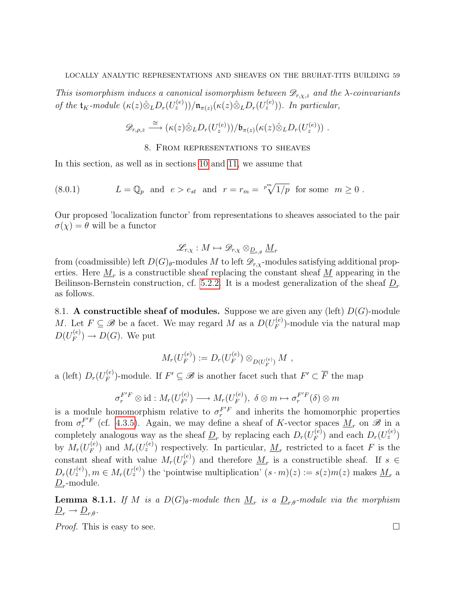This isomorphism induces a canonical isomorphism between  $\mathscr{D}_{r,x,z}$  and the  $\lambda$ -coinvariants of the  $\mathfrak{t}_K$ -module  $(\kappa(z)\hat{\otimes}_L D_r(U_z^{(e)}))/\mathfrak{n}_{\pi(z)}(\kappa(z)\hat{\otimes}_L D_r(U_z^{(e)})).$  In particular,

$$
\mathscr{D}_{r,\rho,z}\overset{\cong}{\longrightarrow} (\kappa(z)\hat{\otimes}_L D_r(U_z^{(e)}))/\mathfrak{b}_{\pi(z)}(\kappa(z)\hat{\otimes}_L D_r(U_z^{(e)}))\ .
$$

#### <span id="page-58-0"></span>8. From representations to sheaves

In this section, as well as in sections [10](#page-67-0) and [11,](#page-69-0) we assume that

(8.0.1) 
$$
L = \mathbb{Q}_p \text{ and } e > e_{st} \text{ and } r = r_m = \sqrt[p^m]{1/p} \text{ for some } m \ge 0.
$$

Our proposed 'localization functor' from representations to sheaves associated to the pair  $\sigma(\chi) = \theta$  will be a functor

$$
\mathscr{L}_{r,\chi}:M\mapsto \mathscr{D}_{r,\chi}\otimes_{\underline{D}_{r,\theta}}\underline{M}_r
$$

from (coadmissible) left  $D(G)_{\theta}$ -modules M to left  $\mathscr{D}_{r,\chi}$ -modules satisfying additional properties. Here  $\underline{M}_r$  is a constructible sheaf replacing the constant sheaf  $\underline{M}$  appearing in the Beilinson-Bernstein construction, cf. [5.2.2.](#page-25-0) It is a modest generalization of the sheaf  $D_r$ as follows.

8.1. A constructible sheaf of modules. Suppose we are given any (left)  $D(G)$ -module M. Let  $F \subseteq \mathscr{B}$  be a facet. We may regard M as a  $D(U_F^{(e)})$  $F_F^{(e)}$ -module via the natural map  $D(U_F^{(e)}$  $P_F^{(e)}$   $\to D(G)$ . We put

$$
M_r(U_F^{(e)}) := D_r(U_F^{(e)}) \otimes_{D(U_F^{(e)})} M ,
$$

a (left)  $D_r(U_F^{(e)})$  $F_F^{(e)}$ -module. If  $F' \subseteq \mathscr{B}$  is another facet such that  $F' \subset \overline{F}$  the map

$$
\sigma_r^{F'F} \otimes \mathrm{id}: M_r(U_{F'}^{(e)}) \longrightarrow M_r(U_F^{(e)}), \ \delta \otimes m \mapsto \sigma_r^{F'F}(\delta) \otimes m
$$

is a module homomorphism relative to  $\sigma_r^{F/F}$  and inherits the homomorphic properties from  $\sigma_r^{F/F}$  (cf. [4.3.5\)](#page-21-1). Again, we may define a sheaf of K-vector spaces  $\underline{M}_r$  on  $\mathscr{B}$  in a completely analogous way as the sheaf  $D_r$  by replacing each  $D_r(U_F^{(e)})$  $(E_F^{(e)})$  and each  $D_r(U_z^{(e)})$ by  $M_r(U_F^{(e)})$  $F_F^{(e)}$ ) and  $M_r(U_z^{(e)})$  respectively. In particular,  $\underline{M}_r$  restricted to a facet F is the constant sheaf with value  $M_r(U_F^{(e)})$  $\binom{e}{F}$  and therefore  $\underline{M}_r$  is a constructible sheaf. If  $s \in$  $D_r(U_z^{(e)}), m \in M_r(U_z^{(e)})$  the 'pointwise multiplication'  $(s \cdot m)(z) := s(z)m(z)$  makes  $\underline{M}_r$  a  $\underline{D}_r$ -module.

**Lemma 8.1.1.** If M is a  $D(G)_{\theta}$ -module then  $\underline{M}_r$  is a  $\underline{D}_{r,\theta}$ -module via the morphism  $\underline{D}_r \rightarrow \underline{D}_{r,\theta}.$ 

*Proof.* This is easy to see.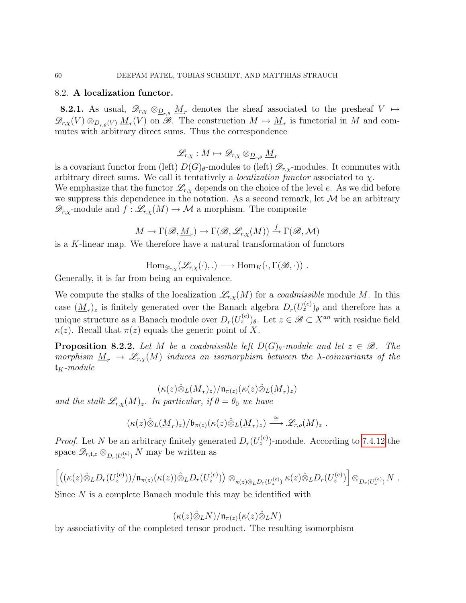#### 8.2. A localization functor.

**8.2.1.** As usual,  $\mathscr{D}_{r,x} \otimes_{\mathscr{D}_{r,\theta}} M_r$  denotes the sheaf associated to the presheaf  $V \mapsto$  $\mathscr{D}_{r,X}(V) \otimes_{\mathcal{D}_{r,\theta}(V)} \underline{M}_r(V)$  on  $\mathscr{B}$ . The construction  $M \mapsto \underline{M}_r$  is functorial in M and commutes with arbitrary direct sums. Thus the correspondence

$$
\mathscr{L}_{r,\chi}:M\mapsto \mathscr{D}_{r,\chi}\otimes_{\underline{D}_{r,\theta}}\underline{M}_r
$$

is a covariant functor from (left)  $D(G)_{\theta}$ -modules to (left)  $\mathscr{D}_{r,\chi}$ -modules. It commutes with arbitrary direct sums. We call it tentatively a *localization functor* associated to  $\chi$ . We emphasize that the functor  $\mathcal{L}_{r,x}$  depends on the choice of the level e. As we did before we suppress this dependence in the notation. As a second remark, let  $M$  be an arbitrary  $\mathscr{D}_{r,x}$ -module and  $f : \mathscr{L}_{r,x}(M) \to \mathcal{M}$  a morphism. The composite

$$
M \to \Gamma(\mathscr{B},\underline{M}_r) \to \Gamma(\mathscr{B},\mathscr{L}_{r,\chi}(M)) \stackrel{f}{\to} \Gamma(\mathscr{B},\mathcal{M})
$$

is a K-linear map. We therefore have a natural transformation of functors

$$
\mathrm{Hom}_{\mathscr{D}_{r,\chi}}(\mathscr{L}_{r,\chi}(\cdot),\cdot) \longrightarrow \mathrm{Hom}_K(\cdot,\Gamma(\mathscr{B},\cdot)) .
$$

Generally, it is far from being an equivalence.

We compute the stalks of the localization  $\mathcal{L}_{r,x}(M)$  for a *coadmissible* module M. In this case  $(\underline{M}_r)_z$  is finitely generated over the Banach algebra  $D_r(U_z^{(e)})_\theta$  and therefore has a unique structure as a Banach module over  $D_r(U_z^{(e)})_\theta$ . Let  $z \in \mathscr{B} \subset X^{an}$  with residue field  $\kappa(z)$ . Recall that  $\pi(z)$  equals the generic point of X.

<span id="page-59-0"></span>**Proposition 8.2.2.** Let M be a coadmissible left  $D(G)_{\theta}$ -module and let  $z \in \mathcal{B}$ . The morphism  $\underline{M}_r \to \mathscr{L}_{r,\chi}(M)$  induces an isomorphism between the  $\lambda$ -coinvariants of the  $\mathfrak{t}_K$ -module

$$
(\kappa(z)\hat{\otimes}_L(\underline{M}_r)_z)/\mathfrak{n}_{\pi(z)}(\kappa(z)\hat{\otimes}_L(\underline{M}_r)_z)
$$

and the stalk  $\mathscr{L}_{r,x}(M)_z$ . In particular, if  $\theta = \theta_0$  we have

$$
(\kappa(z)\hat{\otimes}_L(\underline{M}_r)_z)/\mathfrak{b}_{\pi(z)}(\kappa(z)\hat{\otimes}_L(\underline{M}_r)_z)\stackrel{\cong}{\longrightarrow}\mathscr{L}_{r,\rho}(M)_z.
$$

*Proof.* Let N be an arbitrary finitely generated  $D_r(U_z^{(e)})$ -module. According to [7.4.12](#page-57-0) the space  $\mathscr{D}_{r,t,z} \otimes_{D_r(U_z^{(e)})} N$  may be written as

$$
\left[ \left( (\kappa(z) \hat{\otimes}_L D_r(U_z^{(e)})) / \mathfrak{n}_{\pi(z)}(\kappa(z)) \hat{\otimes}_L D_r(U_z^{(e)}) \right) \otimes_{\kappa(z) \hat{\otimes}_L D_r(U_z^{(e)})} \kappa(z) \hat{\otimes}_L D_r(U_z^{(e)}) \right] \otimes_{D_r(U_z^{(e)})} N \; .
$$

Since N is a complete Banach module this may be identified with

$$
(\kappa(z)\hat{\otimes}_LN)/\mathfrak{n}_{\pi(z)}(\kappa(z)\hat{\otimes}_LN)
$$

by associativity of the completed tensor product. The resulting isomorphism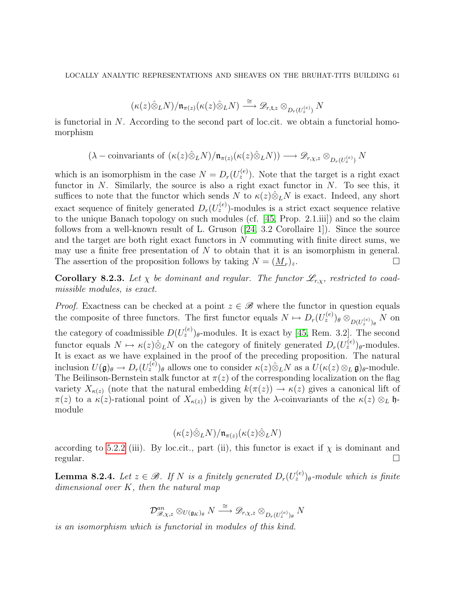$$
(\kappa(z)\hat{\otimes}_L N)/\mathfrak{n}_{\pi(z)}(\kappa(z)\hat{\otimes}_L N)\overset{\cong}{\longrightarrow}\mathscr{D}_{r,\mathfrak{t},z}\otimes_{D_r(U_z^{(e)})} N
$$

is functorial in  $N$ . According to the second part of loc.cit. we obtain a functorial homomorphism

$$
(\lambda - \text{coinvariants of } (\kappa(z)\hat{\otimes}_L N)/\mathfrak{n}_{\pi(z)}(\kappa(z)\hat{\otimes}_L N)) \longrightarrow \mathscr{D}_{r,\chi,z} \otimes_{D_r(U_z^{(e)})} N
$$

which is an isomorphism in the case  $N = D_r(U_z^{(e)})$ . Note that the target is a right exact functor in  $N$ . Similarly, the source is also a right exact functor in  $N$ . To see this, it suffices to note that the functor which sends N to  $\kappa(z)\hat{\otimes}_LN$  is exact. Indeed, any short exact sequence of finitely generated  $D_r(U_z^{(e)})$ -modules is a strict exact sequence relative to the unique Banach topology on such modules (cf. [\[45,](#page-78-2) Prop. 2.1.iii]) and so the claim followsfrom a well-known result of L. Gruson  $(24, 3.2 \text{ Corollaire 1})$ . Since the source and the target are both right exact functors in N commuting with finite direct sums, we may use a finite free presentation of  $N$  to obtain that it is an isomorphism in general. The assertion of the proposition follows by taking  $N = (\underline{M}_r)_z$ .  $\big)_{z}.$ 

**Corollary 8.2.3.** Let  $\chi$  be dominant and regular. The functor  $\mathscr{L}_{r,\chi}$ , restricted to coadmissible modules, is exact.

*Proof.* Exactness can be checked at a point  $z \in \mathcal{B}$  where the functor in question equals the composite of three functors. The first functor equals  $N \mapsto D_r(U_z^{(e)})_\theta \otimes_{D(U_z^{(e)})_\theta} N$  on the category of coadmissible  $D(U_z^{(e)})_{\theta}$ -modules. It is exact by [\[45,](#page-78-2) Rem. 3.2]. The second functor equals  $N \mapsto \kappa(z) \hat{\otimes}_L N$  on the category of finitely generated  $D_r(U_z^{(e)})_\theta$ -modules. It is exact as we have explained in the proof of the preceding proposition. The natural inclusion  $U(\mathfrak{g})_{\theta} \to D_r(U_z^{(e)})_{\theta}$  allows one to consider  $\kappa(z) \hat{\otimes}_L N$  as a  $U(\kappa(z) \otimes_L \mathfrak{g})_{\theta}$ -module. The Beilinson-Bernstein stalk functor at  $\pi(z)$  of the corresponding localization on the flag variety  $X_{\kappa(z)}$  (note that the natural embedding  $k(\pi(z)) \to \kappa(z)$  gives a canonical lift of  $\pi(z)$  to a  $\kappa(z)$ -rational point of  $X_{\kappa(z)}$  is given by the λ-coinvariants of the  $\kappa(z) \otimes_L \mathfrak{h}$ module

$$
(\kappa(z)\hat{\otimes}_LN)/\mathfrak{n}_{\pi(z)}(\kappa(z)\hat{\otimes}_LN)
$$

according to [5.2.2](#page-25-0) (iii). By loc.cit., part (ii), this functor is exact if  $\chi$  is dominant and  $\Box$ regular.

<span id="page-60-0"></span>**Lemma 8.2.4.** Let  $z \in \mathcal{B}$ . If N is a finitely generated  $D_r(U_z^{(e)})_\theta$ -module which is finite dimensional over K, then the natural map

$$
\mathcal{D}^{an}_{\mathscr{B}, \chi, z}\otimes_{U(\mathfrak{g}_K)_{\theta}} N \stackrel{\cong}{\longrightarrow} \mathscr{D}_{r, \chi, z}\otimes_{D_r(U^{(e)}_z)_{\theta}} N
$$

is an isomorphism which is functorial in modules of this kind.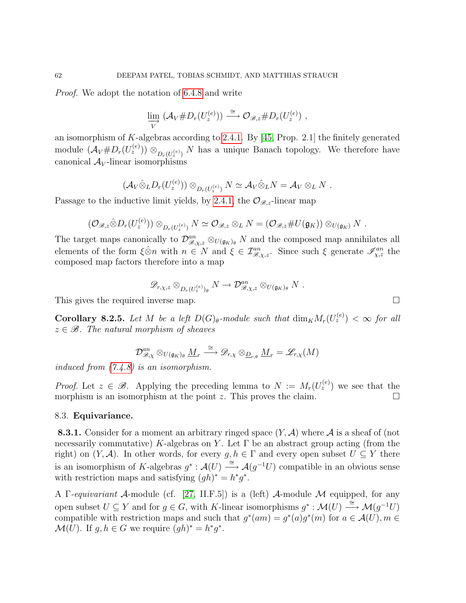Proof. We adopt the notation of [6.4.8](#page-34-1) and write

$$
\varinjlim_{V} (\mathcal{A}_{V} \# D_{r}(U_{z}^{(e)})) \stackrel{\cong}{\longrightarrow} \mathcal{O}_{\mathscr{B},z} \# D_{r}(U_{z}^{(e)}) ,
$$

an isomorphism of K-algebras according to [2.4.1.](#page-12-0) By [\[45,](#page-78-2) Prop. 2.1] the finitely generated module  $(\mathcal{A}_V \# D_r(U_z^{(e)})) \otimes_{D_r(U_z^{(e)})} N$  has a unique Banach topology. We therefore have canonical  $A_V$ -linear isomorphisms

$$
(\mathcal{A}_V \hat{\otimes}_L D_r(U_z^{(e)})) \otimes_{D_r(U_z^{(e)})} N \simeq \mathcal{A}_V \hat{\otimes}_L N = \mathcal{A}_V \otimes_L N.
$$

Passage to the inductive limit yields, by [2.4.1,](#page-12-0) the  $\mathcal{O}_{\mathscr{B},z}$ -linear map

$$
(\mathcal{O}_{\mathscr{B},z}\hat{\otimes}D_r(U_z^{(e)}))\otimes_{D_r(U_z^{(e)})}N\simeq \mathcal{O}_{\mathscr{B},z}\otimes_L N=(\mathcal{O}_{\mathscr{B},z}\#U(\mathfrak{g}_K))\otimes_{U(\mathfrak{g}_K)}N.
$$

The target maps canonically to  $\mathcal{D}_{\mathscr{B},\chi,z}^{an} \otimes_{U(\mathfrak{g}_K)_{\theta}} N$  and the composed map annihilates all elements of the form  $\xi \otimes n$  with  $n \in N$  and  $\xi \in \mathcal{I}_{\mathcal{B},\chi,z}^{an}$ . Since such  $\xi$  generate  $\mathcal{I}_{\chi,z}^{an}$  the composed map factors therefore into a map

$$
\mathscr{D}_{r,\chi,z}\otimes_{D_r(U_z^{(e)})_\theta}N\to \mathcal{D}_{\mathscr{B},\chi,z}^{an}\otimes_{U(\mathfrak{g}_K)_\theta}N\ .
$$

This gives the required inverse map.

<span id="page-61-1"></span>**Corollary 8.2.5.** Let M be a left  $D(G)_{\theta}$ -module such that  $\dim_K M_r(U_z^{(e)}) < \infty$  for all  $z \in \mathscr{B}$ . The natural morphism of sheaves

$$
\mathcal{D}^{an}_{\mathscr{B}, \chi} \otimes_{U(\mathfrak{g}_K)_{\theta}} \underline{M}_r \stackrel{\cong}{\longrightarrow} \mathscr{D}_{r, \chi} \otimes_{\underline{D}_{r, \theta}} \underline{M}_r = \mathscr{L}_{r, \chi}(M)
$$

induced from [\(7.4.8\)](#page-57-1) is an isomorphism.

*Proof.* Let  $z \in \mathcal{B}$ . Applying the preceding lemma to  $N := M_r(U_z^{(e)})$  we see that the morphism is an isomorphism at the point z. This proves the claim.  $\square$ 

### <span id="page-61-0"></span>8.3. Equivariance.

**8.3.1.** Consider for a moment an arbitrary ringed space  $(Y, A)$  where A is a sheaf of (not necessarily commutative) K-algebras on Y. Let  $\Gamma$  be an abstract group acting (from the right) on  $(Y, \mathcal{A})$ . In other words, for every  $g, h \in \Gamma$  and every open subset  $U \subseteq Y$  there is an isomorphism of K-algebras  $g^*: \mathcal{A}(U) \stackrel{\cong}{\longrightarrow} \mathcal{A}(g^{-1}U)$  compatible in an obvious sense with restriction maps and satisfying  $(gh)^* = h^*g^*$ .

A Γ-equivariant A-module (cf. [\[27,](#page-77-6) II.F.5]) is a (left) A-module M equipped, for any open subset  $U \subseteq Y$  and for  $g \in G$ , with K-linear isomorphisms  $g^* : \mathcal{M}(U) \stackrel{\cong}{\longrightarrow} \mathcal{M}(g^{-1}U)$ compatible with restriction maps and such that  $g^*(am) = g^*(a)g^*(m)$  for  $a \in \mathcal{A}(U), m \in \mathcal{A}(U)$  $\mathcal{M}(U)$ . If  $g, h \in G$  we require  $(gh)^* = h^*g^*$ .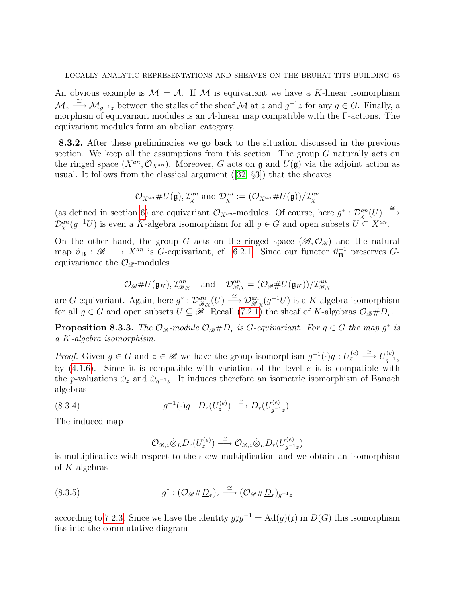An obvious example is  $\mathcal{M} = \mathcal{A}$ . If M is equivariant we have a K-linear isomorphism  $\mathcal{M}_z \stackrel{\cong}{\longrightarrow} \mathcal{M}_{g^{-1}z}$  between the stalks of the sheaf  $\mathcal M$  at z and  $g^{-1}z$  for any  $g \in G$ . Finally, a morphism of equivariant modules is an A-linear map compatible with the Γ-actions. The equivariant modules form an abelian category.

<span id="page-62-2"></span>8.3.2. After these preliminaries we go back to the situation discussed in the previous section. We keep all the assumptions from this section. The group  $G$  naturally acts on the ringed space  $(X^{an}, \mathcal{O}_{X^{an}})$ . Moreover, G acts on  $\mathfrak g$  and  $U(\mathfrak g)$  via the adjoint action as usual. It follows from the classical argument([\[32,](#page-77-7) §3]) that the sheaves

$$
\mathcal{O}_{X^{an}}\#U(\mathfrak{g}), \mathcal{I}_{\chi}^{an} \text{ and } \mathcal{D}_{\chi}^{an} := (\mathcal{O}_{X^{an}}\#U(\mathfrak{g}))/\mathcal{I}_{\chi}^{an}
$$

(as defined in section [6\)](#page-25-1) are equivariant  $\mathcal{O}_{X^{an}}$ -modules. Of course, here  $g^*: \mathcal{D}_{X}^{an}(U) \stackrel{\cong}{\longrightarrow}$  $\mathcal{D}_{\chi}^{an}(g^{-1}U)$  is even a K-algebra isomorphism for all  $g \in G$  and open subsets  $U \subseteq X^{an}$ .

On the other hand, the group G acts on the ringed space  $(\mathscr{B},\mathcal{O}_{\mathscr{B}})$  and the natural map  $\vartheta_{\mathbf{B}} : \mathscr{B} \longrightarrow X^{an}$  is G-equivariant, cf. [6.2.1.](#page-27-2) Since our functor  $\vartheta_{\mathbf{B}}^{-1}$  preserves Gequivariance the  $\mathcal{O}_{\mathscr{B}}$ -modules

$$
\mathcal{O}_{\mathscr{B}}\#U(\mathfrak{g}_K), \mathcal{I}_{\mathscr{B},\chi}^{an} \quad \text{and} \quad \mathcal{D}_{\mathscr{B},\chi}^{an} = (\mathcal{O}_{\mathscr{B}}\#U(\mathfrak{g}_K))/\mathcal{I}_{\mathscr{B},\chi}^{an}
$$

are G-equivariant. Again, here  $g^*: \mathcal{D}_{\mathscr{B},\chi}^{an}(U) \stackrel{\cong}{\longrightarrow} \mathcal{D}_{\mathscr{B},\chi}^{an}(g^{-1}U)$  is a K-algebra isomorphism for all  $g \in G$  and open subsets  $U \subseteq \mathcal{B}$ . Recall [\(7.2.1\)](#page-40-0) the sheaf of K-algebras  $\mathcal{O}_{\mathcal{B}}\#\underline{D}_r$ .

**Proposition 8.3.3.** The  $\mathcal{O}_{\mathscr{B}}$ -module  $\mathcal{O}_{\mathscr{B}}\#\underline{D}_r$  is G-equivariant. For  $g \in G$  the map  $g^*$  is a K-algebra isomorphism.

*Proof.* Given  $g \in G$  and  $z \in \mathcal{B}$  we have the group isomorphism  $g^{-1}(\cdot)g: U_z^{(e)} \stackrel{\cong}{\longrightarrow} U_{g^{-1}}^{(e)}$  $g^{-1}z$ by  $(4.1.6)$ . Since it is compatible with variation of the level e it is compatible with the p-valuations  $\mathring{\omega}_z$  and  $\mathring{\omega}_{g^{-1}z}$ . It induces therefore an isometric isomorphism of Banach algebras

(8.3.4) 
$$
g^{-1}(\cdot)g:D_r(U_z^{(e)})\stackrel{\cong}{\longrightarrow}D_r(U_{g^{-1}z}^{(e)}).
$$

The induced map

<span id="page-62-1"></span><span id="page-62-0"></span>
$$
\mathcal{O}_{\mathscr{B},z}\hat{\otimes}_L D_r(U_z^{(e)}) \stackrel{\cong}{\longrightarrow} \mathcal{O}_{\mathscr{B},z}\hat{\otimes}_L D_r(U_{g^{-1}z}^{(e)})
$$

is multiplicative with respect to the skew multiplication and we obtain an isomorphism of K-algebras

(8.3.5) 
$$
g^*: (\mathcal{O}_{\mathscr{B}} \# \underline{D}_r)_z \stackrel{\cong}{\longrightarrow} (\mathcal{O}_{\mathscr{B}} \# \underline{D}_r)_{g^{-1}z}
$$

according to [7.2.3.](#page-42-0) Since we have the identity  $g\mathfrak{x}g^{-1} = \mathrm{Ad}(g)(\mathfrak{x})$  in  $D(G)$  this isomorphism fits into the commutative diagram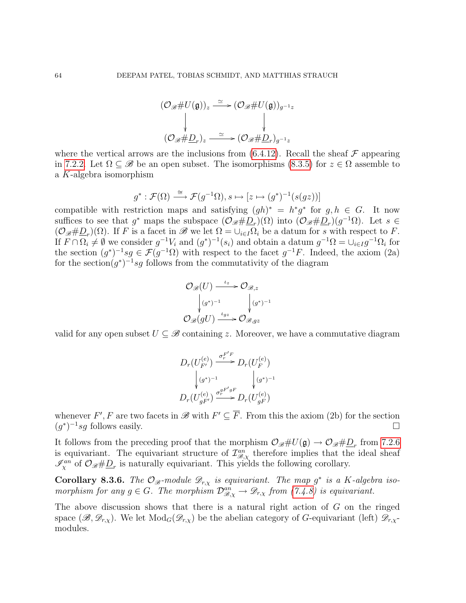$$
(\mathcal{O}_{\mathscr{B}} \# U(\mathfrak{g}))_z \xrightarrow{\simeq} (\mathcal{O}_{\mathscr{B}} \# U(\mathfrak{g}))_{g^{-1}z}
$$
  

$$
\downarrow \qquad \qquad \downarrow
$$
  

$$
(\mathcal{O}_{\mathscr{B}} \# \underline{D}_r)_z \xrightarrow{\simeq} (\mathcal{O}_{\mathscr{B}} \# \underline{D}_r)_{g^{-1}z}
$$

where the vertical arrows are the inclusions from  $(6.4.12)$ . Recall the sheaf  $\mathcal F$  appearing in [7.2.2.](#page-41-0) Let  $\Omega \subset \mathscr{B}$  be an open subset. The isomorphisms [\(8.3.5\)](#page-62-0) for  $z \in \Omega$  assemble to a K-algebra isomorphism

$$
g^*: \mathcal{F}(\Omega) \xrightarrow{\cong} \mathcal{F}(g^{-1}\Omega), s \mapsto [z \mapsto (g^*)^{-1}(s(gz))]
$$

compatible with restriction maps and satisfying  $(gh)^* = h^*g^*$  for  $g, h \in G$ . It now suffices to see that  $g^*$  maps the subspace  $(\mathcal{O}_{\mathscr{B}}\# \underline{D}_r)(\Omega)$  into  $(\mathcal{O}_{\mathscr{B}}\# \underline{D}_r)(g^{-1}\Omega)$ . Let  $s \in$  $(\mathcal{O}_{\mathscr{B}}\#\underline{D}_r)(\Omega)$ . If F is a facet in  $\mathscr{B}$  we let  $\Omega=\cup_{i\in I}\Omega_i$  be a datum for s with respect to F. If  $F \cap \Omega_i \neq \emptyset$  we consider  $g^{-1}V_i$  and  $(g^*)^{-1}(s_i)$  and obtain a datum  $g^{-1}\Omega = \bigcup_{i \in I} g^{-1}\Omega_i$  for the section  $(g^*)^{-1}sg \in \mathcal{F}(g^{-1}\Omega)$  with respect to the facet  $g^{-1}F$ . Indeed, the axiom (2a) for the section $(g^*)^{-1}sg$  follows from the commutativity of the diagram

$$
\mathcal{O}_{\mathscr{B}}(U) \xrightarrow{\iota_z} \mathcal{O}_{\mathscr{B},z}
$$

$$
\downarrow (g^*)^{-1} \qquad \qquad \downarrow (g^*)^{-1}
$$

$$
\mathcal{O}_{\mathscr{B}}(gU) \xrightarrow{\iota_{gz}} \mathcal{O}_{\mathscr{B},gz}
$$

valid for any open subset  $U \subseteq \mathscr{B}$  containing z. Moreover, we have a commutative diagram

$$
D_r(U_{F'}^{(e)}) \xrightarrow{\sigma_r^{F'F}} D_r(U_F^{(e)})
$$
  

$$
\downarrow (g^*)^{-1} \qquad \qquad \downarrow (g^*)^{-1}
$$
  

$$
D_r(U_{gF'}^{(e)}) \xrightarrow{\sigma_r^{gF'gF}} D_r(U_{gF}^{(e)})
$$

whenever F', F are two facets in  $\mathscr{B}$  with  $F' \subseteq \overline{F}$ . From this the axiom (2b) for the section  $(g^*)^{-1}sg$  follows easily.

It follows from the preceding proof that the morphism  $\mathcal{O}_{\mathscr{B}}\#U(\mathfrak{g})\to \mathcal{O}_{\mathscr{B}}\#\underline{D}_r$  from [7.2.6](#page-44-0) is equivariant. The equivariant structure of  $\mathcal{I}_{\mathcal{B},\chi}^{an}$  therefore implies that the ideal sheaf  $\mathscr{I}_{\chi}^{an}$  of  $\mathcal{O}_{\mathscr{B}}\#\underline{D}_r$  is naturally equivariant. This yields the following corollary.

**Corollary 8.3.6.** The  $\mathcal{O}_{\mathscr{B}}$ -module  $\mathscr{D}_{r,\chi}$  is equivariant. The map  $g^*$  is a K-algebra isomorphism for any  $g \in G$ . The morphism  $\mathcal{D}_{\mathcal{B},\chi}^{an} \to \mathcal{D}_{r,\chi}$  from [\(7.4.8\)](#page-57-1) is equivariant.

The above discussion shows that there is a natural right action of  $G$  on the ringed space  $(\mathscr{B}, \mathscr{D}_{r,\chi})$ . We let  $Mod_G(\mathscr{D}_{r,\chi})$  be the abelian category of G-equivariant (left)  $\mathscr{D}_{r,\chi}$ modules.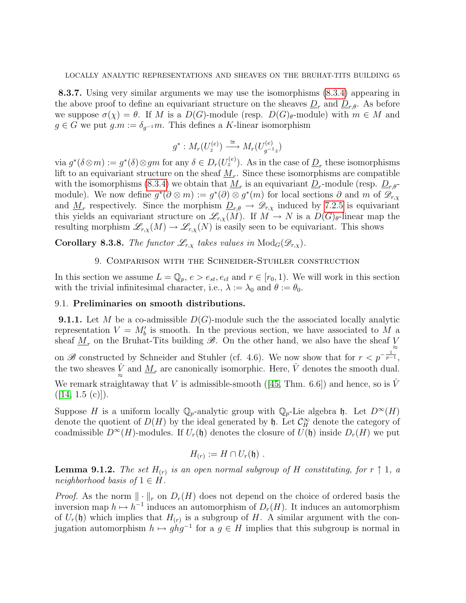8.3.7. Using very similar arguments we may use the isomorphisms [\(8.3.4\)](#page-62-1) appearing in the above proof to define an equivariant structure on the sheaves  $\underline{D}_r$  and  $\underline{D}_{r,\theta}$ . As before we suppose  $\sigma(\chi) = \theta$ . If M is a  $D(G)$ -module (resp.  $D(G)_{\theta}$ -module) with  $m \in M$  and  $g \in G$  we put  $g.m := \delta_{q^{-1}}m$ . This defines a K-linear isomorphism

$$
g^*: M_r(U_z^{(e)}) \xrightarrow{\cong} M_r(U_{g^{-1}z}^{(e)})
$$

via  $g^*(\delta \otimes m) := g^*(\delta) \otimes gm$  for any  $\delta \in D_r(U_z^{(e)})$ . As in the case of  $\underline{D}_r$  these isomorphisms lift to an equivariant structure on the sheaf  $\underline{M}_r$ . Since these isomorphisms are compatible with the isomorphisms [\(8.3.4\)](#page-62-1) we obtain that  $\underline{M}_r$  is an equivariant  $\underline{D}_r$ -module (resp.  $\underline{D}_{r,\theta}$ module). We now define  $g^*(\partial \otimes m) := g^*(\partial) \otimes g^*(m)$  for local sections  $\partial$  and  $m$  of  $\mathscr{D}_{r,\chi}$ and  $\underline{M}_r$  respectively. Since the morphism  $\underline{D}_{r,\theta} \to \mathscr{D}_{r,\chi}$  induced by [7.2.5](#page-44-1) is equivariant this yields an equivariant structure on  $\mathscr{L}_{r,x}(M)$ . If  $M \to N$  is a  $D(G)_{\theta}$ -linear map the resulting morphism  $\mathscr{L}_{r,\chi}(M) \to \mathscr{L}_{r,\chi}(N)$  is easily seen to be equivariant. This shows

**Corollary 8.3.8.** The functor  $\mathscr{L}_{r,x}$  takes values in  $\text{Mod}_G(\mathscr{D}_{r,x})$ .

## 9. Comparison with the Schneider-Stuhler construction

In this section we assume  $L = \mathbb{Q}_p$ ,  $e > e_{st}$ ,  $e_{cl}$  and  $r \in [r_0, 1)$ . We will work in this section with the trivial infinitesimal character, i.e.,  $\lambda := \lambda_0$  and  $\theta := \theta_0$ .

### 9.1. Preliminaries on smooth distributions.

**9.1.1.** Let M be a co-admissible  $D(G)$ -module such the the associated locally analytic representation  $V = M'_b$  is smooth. In the previous section, we have associated to M a sheaf  $\underline{M}_r$  on the Bruhat-Tits building  $\mathscr{B}$ . On the other hand, we also have the sheaf  $\underset{\approx}{\vee}$ on B constructed by Schneider and Stuhler (cf. 4.6). We now show that for  $r < p^{-\frac{1}{p-1}}$ , the two sheaves  $\check{V}$  and  $\underline{M}_r$  are canonically isomorphic. Here,  $\check{V}$  denotes the smooth dual. Weremark straightaway that V is admissible-smooth ([\[45,](#page-78-2) Thm. 6.6]) and hence, so is  $\check{V}$  $(|14, 1.5 (c)|).$ 

Suppose H is a uniform locally  $\mathbb{Q}_p$ -analytic group with  $\mathbb{Q}_p$ -Lie algebra h. Let  $D^{\infty}(H)$ denote the quotient of  $D(H)$  by the ideal generated by  $\mathfrak{h}$ . Let  $\mathcal{C}^{\infty}_H$  denote the category of coadmissible  $D^{\infty}(H)$ -modules. If  $U_r(\mathfrak{h})$  denotes the closure of  $U(\mathfrak{h})$  inside  $D_r(H)$  we put

$$
H_{(r)} := H \cap U_r(\mathfrak{h}) \ .
$$

**Lemma 9.1.2.** The set  $H_{(r)}$  is an open normal subgroup of H constituting, for  $r \uparrow 1$ , a neighborhood basis of  $1 \in H$ .

*Proof.* As the norm  $\|\cdot\|_r$  on  $D_r(H)$  does not depend on the choice of ordered basis the inversion map  $h \mapsto h^{-1}$  induces an automorphism of  $D_r(H)$ . It induces an automorphism of  $U_r(\mathfrak{h})$  which implies that  $H_{(r)}$  is a subgroup of H. A similar argument with the conjugation automorphism  $h \mapsto ghg^{-1}$  for a  $g \in H$  implies that this subgroup is normal in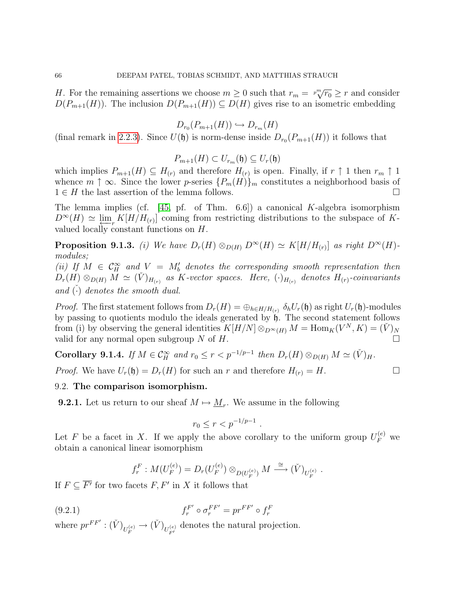H. For the remaining assertions we choose  $m \geq 0$  such that  $r_m = \sqrt[p_m]{r_0} \geq r$  and consider  $D(P_{m+1}(H))$ . The inclusion  $D(P_{m+1}(H)) \subseteq D(H)$  gives rise to an isometric embedding

$$
D_{r_0}(P_{m+1}(H)) \hookrightarrow D_{r_m}(H)
$$

(final remark in [2.2.3\)](#page-10-0). Since  $U(\mathfrak{h})$  is norm-dense inside  $D_{r_0}(P_{m+1}(H))$  it follows that

$$
P_{m+1}(H) \subset U_{r_m}(\mathfrak{h}) \subseteq U_r(\mathfrak{h})
$$

which implies  $P_{m+1}(H) \subseteq H_{(r)}$  and therefore  $H_{(r)}$  is open. Finally, if  $r \uparrow 1$  then  $r_m \uparrow 1$ whence  $m \uparrow \infty$ . Since the lower p-series  $\{P_m(H)\}_m$  constitutes a neighborhood basis of  $1 \in H$  the last assertion of the lemma follows.

The lemma implies (cf.  $[45, \text{pf. of Thm. } 6.6]$ ) a canonical K-algebra isomorphism  $D^{\infty}(H) \simeq \lim_{N \to \infty} K[H/H_{(r)}]$  coming from restricting distributions to the subspace of Kvalued locally constant functions on H.

<span id="page-65-1"></span>**Proposition 9.1.3.** (i) We have  $D_r(H) \otimes_{D(H)} D^{\infty}(H) \simeq K[H/H_{(r)}]$  as right  $D^{\infty}(H)$ modules;

(ii) If  $M \in \mathcal{C}^{\infty}_H$  and  $V = M'_b$  denotes the corresponding smooth representation then  $D_r(H) \otimes_{D(H)} \widetilde{M} \simeq (\check{V})_{H_{(r)}}$  as K-vector spaces. Here,  $(\cdot)_{H_{(r)}}$  denotes  $H_{(r)}$ -coinvariants and  $\overline{(\cdot)}$  denotes the smooth dual.

*Proof.* The first statement follows from  $D_r(H) = \bigoplus_{h \in H/H_{(r)}} \delta_h U_r(\mathfrak{h})$  as right  $U_r(\mathfrak{h})$ -modules by passing to quotients modulo the ideals generated by  $\uparrow$ . The second statement follows from (i) by observing the general identities  $K[H/N] \otimes_{D^\infty(H)} M = \text{Hom}_K(V^N, K) = (V)_N$ valid for any normal open subgroup N of H.

Corollary 9.1.4. If  $M \in \mathcal{C}_H^{\infty}$  and  $r_0 \leq r < p^{-1/p-1}$  then  $D_r(H) \otimes_{D(H)} M \simeq (\check{V})_H$ .

*Proof.* We have  $U_r(\mathfrak{h}) = D_r(H)$  for such an r and therefore  $H_{(r)} = H$ .

## 9.2. The comparison isomorphism.

**9.2.1.** Let us return to our sheaf  $M \mapsto \underline{M}_r$ . We assume in the following

$$
r_0 \le r < p^{-1/p-1} \, .
$$

Let F be a facet in X. If we apply the above corollary to the uniform group  $U_F^{(e)}$  we obtain a canonical linear isomorphism

<span id="page-65-0"></span>
$$
f_r^F: M(U_F^{(e)}) = D_r(U_F^{(e)}) \otimes_{D(U_F^{(e)})} M \stackrel{\cong}{\longrightarrow} (\check{V})_{U_F^{(e)}}.
$$

If  $F \subseteq \overline{F'}$  for two facets  $F, F'$  in X it follows that

(9.2.1) 
$$
f_r^{F'} \circ \sigma_r^{FF'} = pr^{FF'} \circ f_r^F
$$

where  $pr^{FF'} : (\check{V})_{U_F^{(e)}} \to (\check{V})_{U_{F'}^{(e)}}$  denotes the natural projection.

$$
\Box
$$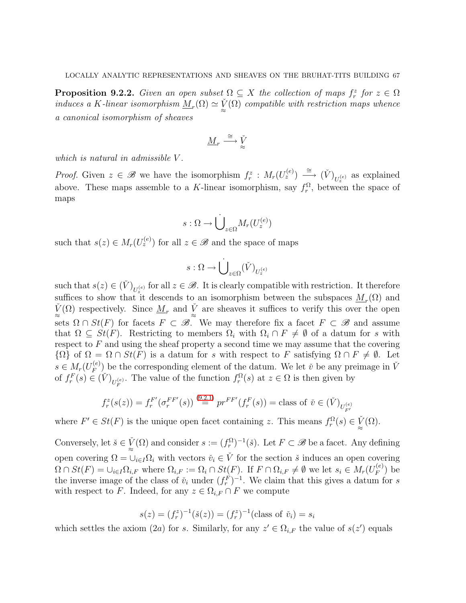<span id="page-66-0"></span>**Proposition 9.2.2.** Given an open subset  $\Omega \subseteq X$  the collection of maps  $f_r^z$  for  $z \in \Omega$ induces a K-linear isomorphism  $\underline{M}_r(\Omega) \simeq \check{V}(\Omega)$  compatible with restriction maps whence a canonical isomorphism of sheaves

$$
\underline{M}_r \stackrel{\cong}{\longrightarrow} \check{V}_\approx
$$

which is natural in admissible V.

*Proof.* Given  $z \in \mathscr{B}$  we have the isomorphism  $f_r^z : M_r(U_z^{(e)}) \longrightarrow (\check{V})_{U_z^{(e)}}$  as explained above. These maps assemble to a K-linear isomorphism, say  $f_r^{\Omega}$ , between the space of maps

$$
s:\Omega\to \dot{\bigcup}_{z\in \Omega} M_r(U_z^{(e)})
$$

such that  $s(z) \in M_r(U_z^{(e)})$  for all  $z \in \mathscr{B}$  and the space of maps

$$
s:\Omega\to \dot{\bigcup}_{z\in\Omega}(\check{V})_{U^{(e)}_z}
$$

such that  $s(z) \in (\check{V})_{U_z^{(e)}}$  for all  $z \in \mathscr{B}$ . It is clearly compatible with restriction. It therefore suffices to show that it descends to an isomorphism between the subspaces  $M_r(\Omega)$  and  $\check{V}(\Omega)$  respectively. Since  $\underline{M}_r$  and  $\check{V}$  are sheaves it suffices to verify this over the open sets  $\Omega \cap St(F)$  for facets  $F \subset \mathscr{B}$ . We may therefore fix a facet  $F \subset \mathscr{B}$  and assume that  $\Omega \subseteq \dot{St}(F)$ . Restricting to members  $\Omega_i$  with  $\Omega_i \cap F \neq \emptyset$  of a datum for s with respect to  $F$  and using the sheaf property a second time we may assume that the covering  ${\Omega}$  of  $\Omega = \Omega \cap St(F)$  is a datum for s with respect to F satisfying  $\Omega \cap F \neq \emptyset$ . Let  $s \in M_r(U_F^{(e)}$  $F_F^{(e)}$  be the corresponding element of the datum. We let  $\check{v}$  be any preimage in  $\check{V}$ of  $f_r^F(s) \in (\check{V})_{U_F^{(e)}}$ . The value of the function  $f_r^{\Omega}(s)$  at  $z \in \Omega$  is then given by

$$
f_r^z(s(z)) = f_r^{F'}(\sigma_r^{FF'}(s)) \stackrel{(9.2.1)}{=} pr^{FF'}(f_r^F(s)) = \text{class of } \check{v} \in (\check{V})_{U_{F'}^{(e)}}
$$

where  $F' \in St(F)$  is the unique open facet containing z. This means  $f_r^{\Omega}(s) \in \check{V}(\Omega)$ .

Conversely, let  $\check{s} \in \check{V}(\Omega)$  and consider  $s := (f_r^{\Omega})^{-1}(\check{s})$ . Let  $F \subset \mathscr{B}$  be a facet. Any defining open covering  $\Omega = \cup_{i \in I} \Omega_i$  with vectors  $\check{v}_i \in \check{V}$  for the section  $\check{s}$  induces an open covering  $\Omega \cap St(F) = \cup_{i \in I} \Omega_{i,F}$  where  $\Omega_{i,F} := \Omega_i \cap St(F)$ . If  $F \cap \Omega_{i,F} \neq \emptyset$  we let  $s_i \in M_r(U_F^{(e)})$  $\binom{e}{F}$  be the inverse image of the class of  $\check{v}_i$  under  $(f_r^F)^{-1}$ . We claim that this gives a datum for s with respect to F. Indeed, for any  $z \in \Omega_{i,F} \cap F$  we compute

$$
s(z) = (f_r^z)^{-1}(\check{s}(z)) = (f_r^z)^{-1}(\text{class of } \check{v}_i) = s_i
$$

which settles the axiom (2*a*) for *s*. Similarly, for any  $z' \in \Omega_{i,F}$  the value of  $s(z')$  equals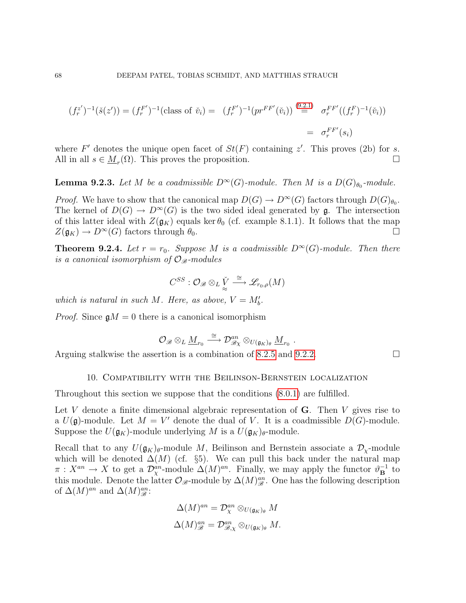$$
(f_r^{z'})^{-1}(\check{s}(z')) = (f_r^{F'})^{-1}(\text{class of } \check{v}_i) = (f_r^{F'})^{-1}(pr^{FF'}(\check{v}_i)) \stackrel{(9.2.1)}{=} \sigma_r^{FF'}((f_r^{F})^{-1}(\check{v}_i))
$$
  
=  $\sigma_r^{FF'}(s_i)$ 

where F' denotes the unique open facet of  $St(F)$  containing z'. This proves (2b) for s. All in all  $s \in \underline{M}_r(\Omega)$ . This proves the proposition.

**Lemma 9.2.3.** Let M be a coadmissible  $D^{\infty}(G)$ -module. Then M is a  $D(G)_{\theta_0}$ -module.

*Proof.* We have to show that the canonical map  $D(G) \to D^{\infty}(G)$  factors through  $D(G)_{\theta_0}$ . The kernel of  $D(G) \to D^{\infty}(G)$  is the two sided ideal generated by g. The intersection of this latter ideal with  $Z(\mathfrak{g}_K)$  equals ker  $\theta_0$  (cf. example 8.1.1). It follows that the map  $Z(\mathfrak{g}_K) \to D^{\infty}(G)$  factors through  $\theta_0$ .

**Theorem 9.2.4.** Let  $r = r_0$ . Suppose M is a coadmissible  $D^{\infty}(G)$ -module. Then there is a canonical isomorphism of  $\mathcal{O}_{\mathscr{B}}$ -modules

$$
C^{SS} : \mathcal{O}_{\mathscr{B}} \otimes_L \check{\underline{V}} \stackrel{\cong}{\longrightarrow} \mathscr{L}_{r_0,\rho}(M)
$$

which is natural in such M. Here, as above,  $V = M'_b$ .

*Proof.* Since  $\mathfrak{g}M = 0$  there is a canonical isomorphism

$$
\mathcal{O}_{\mathscr{B}}\otimes_L \underline{M}_{r_0}\stackrel{\cong}{\longrightarrow} \mathcal{D}^{an}_{\mathscr{B}\chi}\otimes_{U(\mathfrak{g}_K)_{\theta}} \underline{M}_{r_0}\ .
$$

Arguing stalkwise the assertion is a combination of [8.2.5](#page-61-1) and [9.2.2.](#page-66-0)  $\Box$ 

### 10. Compatibility with the Beilinson-Bernstein localization

<span id="page-67-0"></span>Throughout this section we suppose that the conditions [\(8.0.1\)](#page-58-0) are fulfilled.

Let V denote a finite dimensional algebraic representation of  $\bf{G}$ . Then V gives rise to a  $U(\mathfrak{g})$ -module. Let  $M = V'$  denote the dual of V. It is a coadmissible  $D(G)$ -module. Suppose the  $U(\mathfrak{g}_K)$ -module underlying M is a  $U(\mathfrak{g}_K)_{\theta}$ -module.

Recall that to any  $U(\mathfrak{g}_K)_{\theta}$ -module M, Beilinson and Bernstein associate a  $\mathcal{D}_Y$ -module which will be denoted  $\Delta(M)$  (cf. §5). We can pull this back under the natural map  $\pi: X^{an} \to X$  to get a  $\mathcal{D}_{\chi}^{an}$ -module  $\Delta(M)^{an}$ . Finally, we may apply the functor  $\vartheta_{\mathbf{B}}^{-1}$  to this module. Denote the latter  $\mathcal{O}_{\mathscr{B}}$ -module by  $\Delta(M)^{an}_{\mathscr{B}}$ . One has the following description of  $\Delta(M)^{an}$  and  $\Delta(M)^{an}_{\mathscr{B}}$ :

$$
\Delta(M)^{an} = \mathcal{D}_{\chi}^{an} \otimes_{U(\mathfrak{g}_K)_{\theta}} M
$$

$$
\Delta(M)^{an}_{\mathscr{B}} = \mathcal{D}^{an}_{\mathscr{B},\chi} \otimes_{U(\mathfrak{g}_K)_{\theta}} M.
$$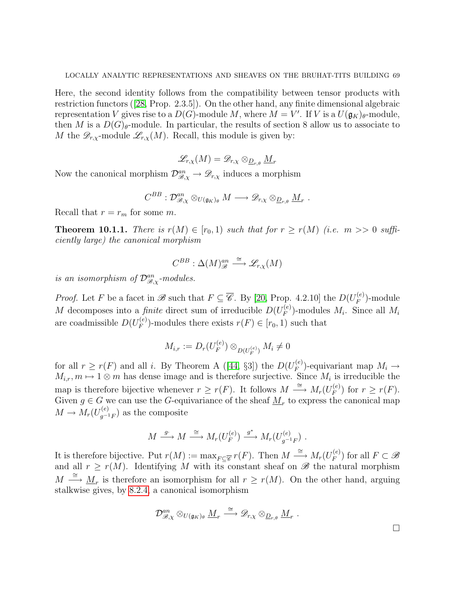Here, the second identity follows from the compatibility between tensor products with restriction functors ([\[28,](#page-77-9) Prop. 2.3.5]). On the other hand, any finite dimensional algebraic representation V gives rise to a  $D(G)$ -module M, where  $M = V'$ . If V is a  $U(\mathfrak{g}_{K})_{\theta}$ -module, then M is a  $D(G)_{\theta}$ -module. In particular, the results of section 8 allow us to associate to M the  $\mathscr{D}_{r,x}$ -module  $\mathscr{L}_{r,x}(M)$ . Recall, this module is given by:

$$
\mathscr{L}_{r,\chi}(M)=\mathscr{D}_{r,\chi}\otimes_{\underline{D}_{r,\theta}}\underline{M}_r
$$

Now the canonical morphism  $\mathcal{D}_{\mathcal{B},\chi}^{an} \to \mathcal{D}_{r,\chi}$  induces a morphism

$$
C^{BB} : \mathcal{D}^{an}_{\mathscr{B}, \chi} \otimes_{U(\mathfrak{g}_K)_{\theta}} M \longrightarrow \mathscr{D}_{r,\chi} \otimes_{\underline{D}_{r,\theta}} \underline{M}_r \; .
$$

Recall that  $r = r_m$  for some m.

**Theorem 10.1.1.** There is  $r(M) \in [r_0, 1)$  such that for  $r \ge r(M)$  (i.e.  $m >> 0$  sufficiently large) the canonical morphism

$$
C^{BB} : \Delta(M)_{\mathscr{B}}^{an} \stackrel{\cong}{\longrightarrow} \mathscr{L}_{r,\chi}(M)
$$

is an isomorphism of  $\mathcal{D}_{\mathcal{B},\chi}^{an}$ -modules.

*Proof.* Let F be a facet in B such that  $F \subseteq \overline{\mathscr{C}}$ . By [\[20,](#page-77-0) Prop. 4.2.10] the  $D(U_F^{(e)})$  $\binom{e}{F}$ -module M decomposes into a *finite* direct sum of irreducible  $D(U_F^{(e)})$  $_{F}^{\left( e\right) }$ -modules  $M_{i}$ . Since all  $M_{i}$ are coadmissible  $D(U_F^{(e)})$  $F_F^{(e)}$ -modules there exists  $r(F) \in [r_0, 1)$  such that

$$
M_{i,r} := D_r(U_F^{(e)}) \otimes_{D(U_F^{(e)})} M_i \neq 0
$$

forall  $r \ge r(F)$  and all i. By Theorem A ([\[44,](#page-78-1) §3]) the  $D(U_F^{(e)})$  $F_F^{(e)}$ -equivariant map  $M_i \rightarrow$  $M_{i,r}, m \mapsto 1 \otimes m$  has dense image and is therefore surjective. Since  $M_i$  is irreducible the map is therefore bijective whenever  $r \ge r(F)$ . It follows  $M \stackrel{\cong}{\longrightarrow} M_r(U_F^{(e)})$  $f_F^{(e)}$  for  $r \geq r(F)$ . Given  $g \in G$  we can use the G-equivariance of the sheaf  $\underline{M}_r$  to express the canonical map  $M \to M_r(U_{q^{-1}}^{(e)}$  $\binom{e}{g^{-1}F}$  as the composite

$$
M \xrightarrow{g} M \xrightarrow{\cong} M_r(U_F^{(e)}) \xrightarrow{g^*} M_r(U_{g^{-1}F}^{(e)}) .
$$

It is therefore bijective. Put  $r(M) := \max_{F \subseteq \overline{\mathscr{C}}} r(F)$ . Then  $M \stackrel{\cong}{\longrightarrow} M_r(U_F^{(e)})$  $(F_F^{(e)})$  for all  $F \subset \mathscr{B}$ and all  $r \ge r(M)$ . Identifying M with its constant sheaf on  $\mathscr{B}$  the natural morphism  $M \stackrel{\cong}{\longrightarrow} \underline{M}_r$  is therefore an isomorphism for all  $r \ge r(M)$ . On the other hand, arguing stalkwise gives, by [8.2.4,](#page-60-0) a canonical isomorphism

$$
\mathcal{D}_{\mathscr{B},\chi}^{an}\otimes_{U(\mathfrak{g}_K)_{\theta}}\underline{M}_r\stackrel{\cong}{\longrightarrow} \mathscr{D}_{r,\chi}\otimes_{\underline{D}_{r,\theta}}\underline{M}_r\ .
$$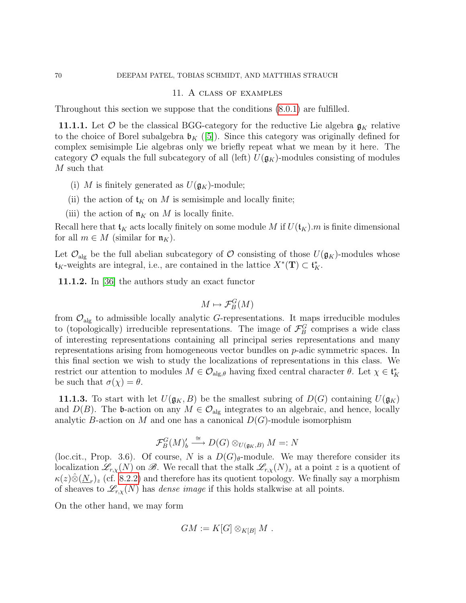#### 70 DEEPAM PATEL, TOBIAS SCHMIDT, AND MATTHIAS STRAUCH

#### 11. A class of examples

Throughout this section we suppose that the conditions [\(8.0.1\)](#page-58-0) are fulfilled.

11.1.1. Let  $\mathcal O$  be the classical BGG-category for the reductive Lie algebra  $\mathfrak{g}_K$  relative to the choice of Borel subalgebra  $\mathfrak{b}_K$  ([\[5\]](#page-76-3)). Since this category was originally defined for complex semisimple Lie algebras only we briefly repeat what we mean by it here. The category O equals the full subcategory of all (left)  $U(\mathfrak{g}_K)$ -modules consisting of modules M such that

- (i) M is finitely generated as  $U(\mathfrak{g}_K)$ -module;
- (ii) the action of  $\mathfrak{t}_K$  on M is semisimple and locally finite;
- (iii) the action of  $\mathfrak{n}_K$  on M is locally finite.

Recall here that  $\mathfrak{t}_K$  acts locally finitely on some module M if  $U(\mathfrak{t}_K)$ . m is finite dimensional for all  $m \in M$  (similar for  $\mathfrak{n}_K$ ).

Let  $\mathcal{O}_{\text{alg}}$  be the full abelian subcategory of  $\mathcal O$  consisting of those  $U(\mathfrak{g}_K)$ -modules whose  $\mathfrak{t}_K$ -weights are integral, i.e., are contained in the lattice  $X^*(\mathbf{T}) \subset \mathfrak{t}_K^*$ .

11.1.2. In [\[36\]](#page-77-10) the authors study an exact functor

$$
M \mapsto \mathcal{F}_B^G(M)
$$

from  $\mathcal{O}_{\text{alg}}$  to admissible locally analytic G-representations. It maps irreducible modules to (topologically) irreducible representations. The image of  $\mathcal{F}_{B}^{G}$  comprises a wide class of interesting representations containing all principal series representations and many representations arising from homogeneous vector bundles on p-adic symmetric spaces. In this final section we wish to study the localizations of representations in this class. We restrict our attention to modules  $M \in \mathcal{O}_{\mathrm{alg},\theta}$  having fixed central character  $\theta$ . Let  $\chi \in \mathfrak{t}_K^*$ be such that  $\sigma(\chi) = \theta$ .

**11.1.3.** To start with let  $U(\mathfrak{g}_K, B)$  be the smallest subring of  $D(G)$  containing  $U(\mathfrak{g}_K)$ and  $D(B)$ . The b-action on any  $M \in \mathcal{O}_{\text{alg}}$  integrates to an algebraic, and hence, locally analytic B-action on M and one has a canonical  $D(G)$ -module isomorphism

$$
\mathcal{F}_B^G(M)'_b \xrightarrow{\cong} D(G) \otimes_{U(\mathfrak{g}_K,B)} M =: N
$$

(loc.cit., Prop. 3.6). Of course, N is a  $D(G)_{\theta}$ -module. We may therefore consider its localization  $\mathscr{L}_{r,\chi}(N)$  on  $\mathscr{B}$ . We recall that the stalk  $\mathscr{L}_{r,\chi}(N)_z$  at a point z is a quotient of  $\kappa(z)\hat{\otimes}(\underline{N}_r)_z$  (cf. [8.2.2\)](#page-59-0) and therefore has its quotient topology. We finally say a morphism of sheaves to  $\mathscr{L}_{r,x}(N)$  has *dense image* if this holds stalkwise at all points.

On the other hand, we may form

$$
GM := K[G] \otimes_{K[B]} M .
$$

<span id="page-69-0"></span>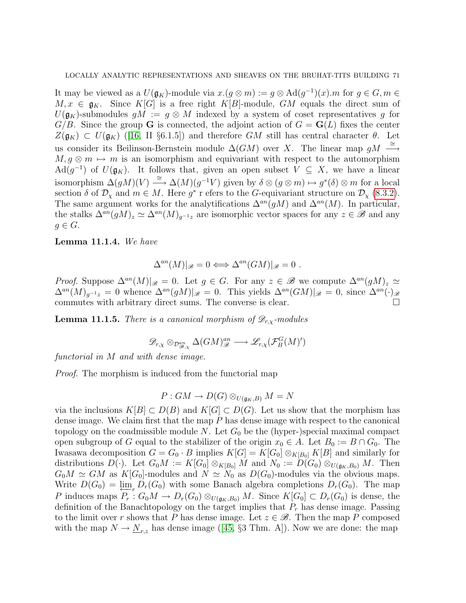It may be viewed as a  $U(\mathfrak{g}_K)$ -module via  $x.(g \otimes m) := g \otimes \text{Ad}(g^{-1})(x)$ . *m* for  $g \in G, m \in$  $M, x \in \mathfrak{g}_K$ . Since  $K[G]$  is a free right  $K[B]$ -module,  $GM$  equals the direct sum of  $U(\mathfrak{g}_K)$ -submodules  $gM := g \otimes M$  indexed by a system of coset representatives g for  $G/B$ . Since the group G is connected, the adjoint action of  $G = G(L)$  fixes the center  $Z(\mathfrak{g}_{K}) \subset U(\mathfrak{g}_{K})$  $Z(\mathfrak{g}_{K}) \subset U(\mathfrak{g}_{K})$  $Z(\mathfrak{g}_{K}) \subset U(\mathfrak{g}_{K})$  ([\[16,](#page-77-11) II §6.1.5]) and therefore GM still has central character  $\theta$ . Let us consider its Beilinson-Bernstein module  $\Delta(GM)$  over X. The linear map  $gM \stackrel{\cong}{\longrightarrow}$  $M, g \otimes m \mapsto m$  is an isomorphism and equivariant with respect to the automorphism Ad( $g^{-1}$ ) of  $U(\mathfrak{g}_K)$ . It follows that, given an open subset  $V \subseteq X$ , we have a linear isomorphism  $\Delta(gM)(V) \stackrel{\cong}{\longrightarrow} \Delta(M)(g^{-1}V)$  given by  $\delta \otimes (g \otimes m) \mapsto g^*(\delta) \otimes m$  for a local section  $\delta$  of  $\mathcal{D}_{\chi}$  and  $m \in M$ . Here  $g^*$  r efers to the G-equivariant structure on  $\mathcal{D}_{\chi}$  [\(8.3.2\)](#page-62-2). The same argument works for the analytifications  $\Delta^{an}(gM)$  and  $\Delta^{an}(M)$ . In particular, the stalks  $\Delta^{an}(gM)_z \simeq \Delta^{an}(M)_{g^{-1}z}$  are isomorphic vector spaces for any  $z \in \mathscr{B}$  and any  $g \in G$ .

Lemma 11.1.4. We have

$$
\Delta^{an}(M)|_{\mathscr{B}}=0 \Longleftrightarrow \Delta^{an}(GM)|_{\mathscr{B}}=0.
$$

*Proof.* Suppose  $\Delta^{an}(M)|_{\mathscr{B}} = 0$ . Let  $g \in G$ . For any  $z \in \mathscr{B}$  we compute  $\Delta^{an}(gM)_z \simeq$  $\Delta^{an}(M)_{q^{-1}z} = 0$  whence  $\Delta^{an}(gM)|_{\mathscr{B}} = 0$ . This yields  $\Delta^{an}(GM)|_{\mathscr{B}} = 0$ , since  $\Delta^{an}(\cdot)_{\mathscr{B}}$ commutes with arbitrary direct sums. The converse is clear.  $\Box$ 

**Lemma 11.1.5.** There is a canonical morphism of  $\mathscr{D}_{r,x}$ -modules

$$
\mathscr{D}_{r,\chi} \otimes_{\mathcal{D}^{an}_{\mathscr{B},\chi}} \Delta(GM)^{an}_{\mathscr{B}} \longrightarrow \mathscr{L}_{r,\chi}(\mathcal{F}^G_B(M)')
$$

functorial in M and with dense image.

Proof. The morphism is induced from the functorial map

$$
P: GM \to D(G) \otimes_{U(\mathfrak{g}_K,B)} M = N
$$

via the inclusions  $K[B] \subset D(B)$  and  $K[G] \subset D(G)$ . Let us show that the morphism has dense image. We claim first that the map P has dense image with respect to the canonical topology on the coadmissible module N. Let  $G_0$  be the (hyper-)special maximal compact open subgroup of G equal to the stabilizer of the origin  $x_0 \in A$ . Let  $B_0 := B \cap G_0$ . The Iwasawa decomposition  $G = G_0 \cdot B$  implies  $K[G] = K[G_0] \otimes_{K[B_0]} K[B]$  and similarly for distributions  $D(\cdot)$ . Let  $G_0M := K[G_0] \otimes_{K[B_0]} M$  and  $N_0 := D(G_0) \otimes_{U(\mathfrak{g}_K,B_0)} M$ . Then  $G_0M \simeq GM$  as  $K[G_0]$ -modules and  $N \simeq N_0$  as  $D(G_0)$ -modules via the obvious maps. Write  $D(G_0) = \varprojlim_{n} D_r(G_0)$  with some Banach algebra completions  $D_r(G_0)$ . The map P induces maps  $P_r: G_0M \to D_r(G_0) \otimes_{U(\mathfrak{g}_K,B_0)} M$ . Since  $K[G_0] \subset D_r(G_0)$  is dense, the definition of the Banachtopology on the target implies that  $P_r$  has dense image. Passing to the limit over r shows that P has dense image. Let  $z \in \mathcal{B}$ . Then the map P composed withthe map  $N \to N_{r,z}$  has dense image ([\[45,](#page-78-2) §3 Thm. A]). Now we are done: the map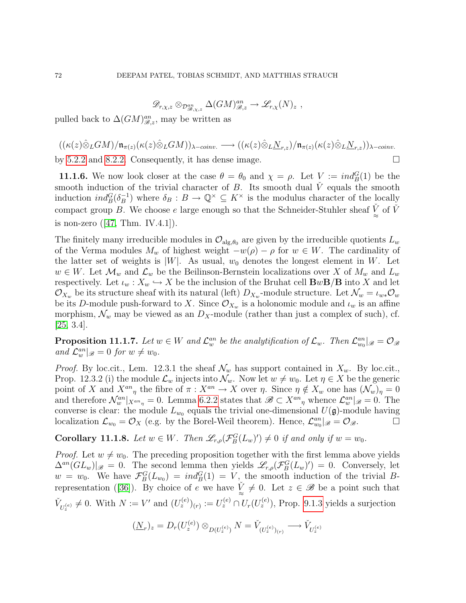$$
\mathscr{D}_{r,\chi,z}\otimes_{\mathcal{D}^{an}_{\mathscr{B},\chi,z}}\Delta(GM)^{an}_{\mathscr{B},z}\to\mathscr{L}_{r,\chi}(N)_{z}\ ,
$$

pulled back to  $\Delta(GM)_{\mathscr{B},z}^{an}$ , may be written as

 $((\kappa(z)\hat{\otimes}_L GM)/\mathfrak{n}_{\pi(z)}(\kappa(z)\hat{\otimes}_L GM))_{\lambda-coniv.}\longrightarrow ((\kappa(z)\hat{\otimes}_L N_{r,z})/\mathfrak{n}_{\pi(z)}(\kappa(z)\hat{\otimes}_L N_{r,z}))_{\lambda-coniv.}$ 

by [5.2.2](#page-25-0) and [8.2.2.](#page-59-0) Consequently, it has dense image.  $\Box$ 

**11.1.6.** We now look closer at the case  $\theta = \theta_0$  and  $\chi = \rho$ . Let  $V := \text{ind}_{B}^{G}(1)$  be the smooth induction of the trivial character of  $B$ . Its smooth dual  $\dot{V}$  equals the smooth induction  $ind_B^G(\delta_B^{-1})$  $\mathcal{B}^{-1}_{B}$ ) where  $\delta_B: B \to \mathbb{Q}^\times \subseteq K^\times$  is the modulus character of the locally compact group B. We choose e large enough so that the Schneider-Stuhler sheaf  $\check{V}$  of  $\check{V}$ isnon-zero  $([47, Thm. IV.4.1]).$  $([47, Thm. IV.4.1]).$  $([47, Thm. IV.4.1]).$ 

The finitely many irreducible modules in  $\mathcal{O}_{\text{alg},\theta_0}$  are given by the irreducible quotients  $L_w$ of the Verma modules  $M_w$  of highest weight  $-w(\rho) - \rho$  for  $w \in W$ . The cardinality of the latter set of weights is  $|W|$ . As usual,  $w_0$  denotes the longest element in W. Let  $w \in W$ . Let  $\mathcal{M}_w$  and  $\mathcal{L}_w$  be the Beilinson-Bernstein localizations over X of  $M_w$  and  $L_w$ respectively. Let  $\iota_w : X_w \hookrightarrow X$  be the inclusion of the Bruhat cell  ${\bf B}w{\bf B}/{\bf B}$  into X and let  $\mathcal{O}_{X_w}$  be its structure sheaf with its natural (left)  $D_{X_w}$ -module structure. Let  $\mathcal{N}_w = \iota_{w*} \mathcal{O}_w$ be its D-module push-forward to X. Since  $\mathcal{O}_{X_w}$  is a holonomic module and  $\iota_w$  is an affine morphism,  $\mathcal{N}_w$  may be viewed as an  $D_X$ -module (rather than just a complex of such), cf.  $[25, 3.4]$  $[25, 3.4]$ .

**Proposition 11.1.7.** Let  $w \in W$  and  $\mathcal{L}_w^{an}$  be the analytification of  $\mathcal{L}_w$ . Then  $\mathcal{L}_{w_0}^{an}|_{\mathscr{B}} = \mathcal{O}_{\mathscr{B}}$ and  $\mathcal{L}^{an}_w|_{\mathscr{B}} = 0$  for  $w \neq w_0$ .

*Proof.* By loc.cit., Lem. 12.3.1 the sheaf  $\mathcal{N}_w$  has support contained in  $X_w$ . By loc.cit., Prop. 12.3.2 (i) the module  $\mathcal{L}_w$  injects into  $\mathcal{N}_w$ . Now let  $w \neq w_0$ . Let  $\eta \in X$  be the generic point of X and  $X^{an}_{\eta}$  the fibre of  $\pi : X^{an} \to X$  over  $\eta$ . Since  $\eta \notin X_w$  one has  $(\mathcal{N}_w)_{\eta} = 0$ and therefore  $\mathcal{N}_w^{an}|_{X^{an}\eta} = 0$ . Lemma [6.2.2](#page-27-1) states that  $\mathscr{B} \subset X^{an}\eta$  whence  $\mathcal{L}_w^{an}|_{\mathscr{B}} = 0$ . The converse is clear: the module  $L_{w_0}$  equals the trivial one-dimensional  $U(\mathfrak{g})$ -module having localization  $\mathcal{L}_{w_0} = \mathcal{O}_X$  (e.g. by the Borel-Weil theorem). Hence,  $\mathcal{L}_{w_0}^{an}|_{\mathscr{B}} = \mathcal{O}_{\mathscr{B}}$ .

**Corollary 11.1.8.** Let  $w \in W$ . Then  $\mathscr{L}_{r,\rho}(\mathcal{F}_{B}^{G}(L_{w})') \neq 0$  if and only if  $w = w_0$ .

*Proof.* Let  $w \neq w_0$ . The preceding proposition together with the first lemma above yields  $\Delta^{an}(GL_w)|_{\mathscr{B}} = 0$ . The second lemma then yields  $\mathscr{L}_{r,\rho}(\mathcal{F}_{B}^{G}(L_w)^{\prime}) = 0$ . Conversely, let  $w = w_0$ . We have  $\mathcal{F}_{B}^{G}(L_{w_0}) = ind_{B}^{G}(1) = V$ , the smooth induction of the trivial B-representation([\[36\]](#page-77-10)). By choice of e we have  $\check{V} \neq 0$ . Let  $z \in \mathscr{B}$  be a point such that  $\tilde{V}_{U_z^{(e)}} \neq 0$ . With  $N := V'$  and  $(U_z^{(e)})_{(r)} := U_z^{(e)} \cap U_r(U_z^{(e)})$ , Prop. [9.1.3](#page-65-1) yields a surjection

$$
(\underline{N}_r)_z = D_r(U_z^{(e)}) \otimes_{D(U_z^{(e)})} N = \check{V}_{(U_z^{(e)})_{(r)}} \longrightarrow \check{V}_{U_z^{(e)}}
$$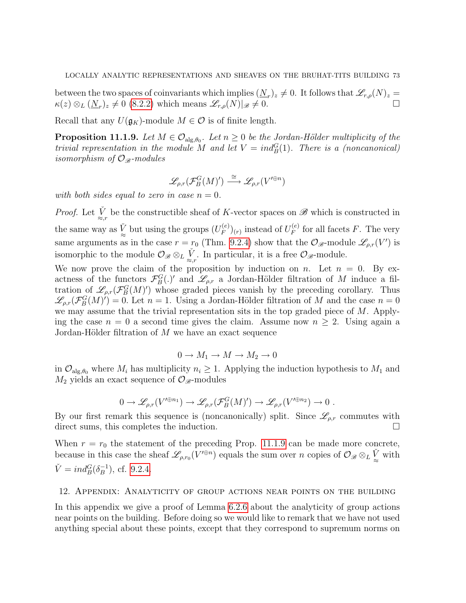between the two spaces of coinvariants which implies  $(\underline{N}_r)_z \neq 0$ . It follows that  $\mathscr{L}_{r,\rho}(N)_z =$  $\kappa(z) \otimes_L (\underline{N}_r)_z \neq 0$  [\(8.2.2\)](#page-59-0) which means  $\mathscr{L}_{r,\rho}(N)|_{\mathscr{B}} \neq 0$ .

Recall that any  $U(\mathfrak{g}_K)$ -module  $M \in \mathcal{O}$  is of finite length.

<span id="page-72-0"></span>**Proposition 11.1.9.** Let  $M \in \mathcal{O}_{\text{alg},\theta_0}$ . Let  $n \geq 0$  be the Jordan-Hölder multiplicity of the trivial representation in the module M and let  $V = ind_B^G(1)$ . There is a (noncanonical) isomorphism of  $\mathcal{O}_{\mathcal{B}}$ -modules

$$
\mathscr{L}_{\rho,r}(\mathcal{F}_B^G(M)') \stackrel{\cong}{\longrightarrow} \mathscr{L}_{\rho,r}(V'^{\oplus n})
$$

with both sides equal to zero in case  $n = 0$ .

*Proof.* Let  $\check{V}_{\approx,r}$  be the constructible sheaf of K-vector spaces on  $\mathscr{B}$  which is constructed in the same way as  $\check{V}_{\approx}$  but using the groups  $(U_F^{(e)}$  $\binom{(e)}{F}_{r}$  instead of  $U_F^{(e)}$  $\int_F^{(e)}$  for all facets F. The very same arguments as in the case  $r = r_0$  (Thm. [9.2.4\)](#page-67-0) show that the  $\mathcal{O}_{\mathscr{B}}$ -module  $\mathscr{L}_{\rho,r}(V')$  is isomorphic to the module  $\mathcal{O}_{\mathscr{B}} \otimes_L \check{\mathcal{L}}$ . In particular, it is a free  $\mathcal{O}_{\mathscr{B}}$ -module.

We now prove the claim of the proposition by induction on n. Let  $n = 0$ . By exactness of the functors  $\mathcal{F}_{B}^{G}(.)'$  and  $\mathcal{L}_{\rho,r}$  a Jordan-Hölder filtration of M induce a filtration of  $\mathscr{L}_{\rho,r}(\mathcal{F}_{B}^{G}(M)')$  whose graded pieces vanish by the preceding corollary. Thus  $\mathscr{L}_{\rho,r}(\mathcal{F}_{B}^{G}(M))=0.$  Let  $n=1$ . Using a Jordan-Hölder filtration of M and the case  $n=0$ we may assume that the trivial representation sits in the top graded piece of  $M$ . Applying the case  $n = 0$  a second time gives the claim. Assume now  $n \geq 2$ . Using again a Jordan-Hölder filtration of  $M$  we have an exact sequence

$$
0 \to M_1 \to M \to M_2 \to 0
$$

in  $\mathcal{O}_{\mathrm{alg},\theta_0}$  where  $M_i$  has multiplicity  $n_i \geq 1$ . Applying the induction hypothesis to  $M_1$  and  $M_2$  yields an exact sequence of  $\mathcal{O}_{\mathscr{B}}$ -modules

$$
0 \to \mathscr{L}_{\rho,r}(V'^{\oplus n_1}) \to \mathscr{L}_{\rho,r}(\mathcal{F}_B^G(M)') \to \mathscr{L}_{\rho,r}(V'^{\oplus n_2}) \to 0.
$$

By our first remark this sequence is (noncanonically) split. Since  $\mathscr{L}_{\rho,r}$  commutes with direct sums, this completes the induction.

When  $r = r_0$  the statement of the preceding Prop. [11.1.9](#page-72-0) can be made more concrete, because in this case the sheaf  $\mathscr{L}_{\rho,r_0}(V'^{\oplus n})$  equals the sum over n copies of  $\mathcal{O}_{\mathscr{B}}\otimes_L \check{V}$  with  $\check{V} = ind_B^G(\delta_B^{-1})$  $\binom{-1}{B}$ , cf. [9.2.4.](#page-67-0)

## 12. Appendix: Analyticity of group actions near points on the building

In this appendix we give a proof of Lemma [6.2.6](#page-29-0) about the analyticity of group actions near points on the building. Before doing so we would like to remark that we have not used anything special about these points, except that they correspond to supremum norms on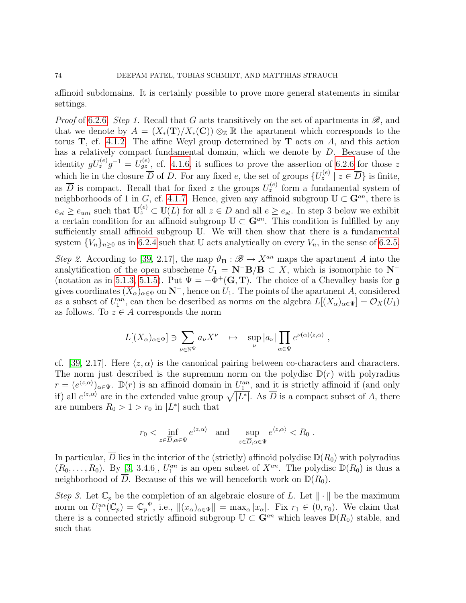affinoid subdomains. It is certainly possible to prove more general statements in similar settings.

*Proof* of [6.2.6.](#page-29-0) Step 1. Recall that G acts transitively on the set of apartments in  $\mathscr{B}$ , and that we denote by  $A = (X_*(\mathbf{T})/X_*(\mathbf{C})) \otimes_{\mathbb{Z}} \mathbb{R}$  the apartment which corresponds to the torus  $\mathbf{T}$ , cf. [4.1.2.](#page-15-0) The affine Weyl group determined by  $\mathbf{T}$  acts on A, and this action has a relatively compact fundamental domain, which we denote by D. Because of the identity  $gU_z^{(e)}g^{-1} = U_{gz}^{(e)}$ , cf. [4.1.6,](#page-17-0) it suffices to prove the assertion of [6.2.6](#page-29-0) for those z which lie in the closure  $\overline{D}$  of D. For any fixed e, the set of groups  $\{U_z^{(e)} \mid z \in \overline{D}\}\$ is finite, as  $\overline{D}$  is compact. Recall that for fixed z the groups  $U_z^{(e)}$  form a fundamental system of neighborhoods of 1 in G, cf. [4.1.7.](#page-0-0) Hence, given any affinoid subgroup  $\mathbb{U} \subset \mathbb{G}^{an}$ , there is  $e_{st} \ge e_{uni}$  such that  $\mathbb{U}_z^{(e)} \subset \mathbb{U}(L)$  for all  $z \in \overline{D}$  and all  $e \ge e_{st}$ . In step 3 below we exhibit a certain condition for an affinoid subgroup  $\mathbb{U} \subset \mathbf{G}^{an}$ . This condition is fulfilled by any sufficiently small affinoid subgroup U. We will then show that there is a fundamental system  ${V_n}_{n\geq 0}$  as in [6.2.4](#page-28-0) such that U acts analytically on every  $V_n$ , in the sense of [6.2.5.](#page-29-1)

Step 2. According to [\[39,](#page-78-0) 2.17], the map  $\vartheta_{\mathbf{B}} : \mathscr{B} \to X^{an}$  maps the apartment A into the analytification of the open subscheme  $U_1 = \mathbf{N}^-\mathbf{B}/\mathbf{B} \subset X$ , which is isomorphic to  $\mathbf{N}^-$ (notation as in [5.1.3,](#page-23-0) [5.1.5\)](#page-24-0). Put  $\Psi = -\Phi^+(\mathbf{G}, \mathbf{T})$ . The choice of a Chevalley basis for g gives coordinates  $(X_{\alpha})_{\alpha\in\Psi}$  on  $\mathbb{N}^-$ , hence on  $U_1$ . The points of the apartment A, considered as a subset of  $U_1^{an}$ , can then be described as norms on the algebra  $L[(X_\alpha)_{\alpha\in\Psi}] = \mathcal{O}_X(U_1)$ as follows. To  $z \in A$  corresponds the norm

$$
L[(X_{\alpha})_{\alpha \in \Psi}] \ni \sum_{\nu \in \mathbb{N}^{\Psi}} a_{\nu} X^{\nu} \quad \mapsto \quad \sup_{\nu} |a_{\nu}| \prod_{\alpha \in \Psi} e^{\nu(\alpha)(z,\alpha)}
$$

,

cf. [\[39,](#page-78-0) 2.17]. Here  $\langle z, \alpha \rangle$  is the canonical pairing between co-characters and characters. The norm just described is the supremum norm on the polydisc  $\mathbb{D}(r)$  with polyradius  $r = (e^{\langle z, \alpha \rangle})_{\alpha \in \Psi}$ .  $\mathbb{D}(r)$  is an affinoid domain in  $U_1^{an}$ , and it is strictly affinoid if (and only if) all  $e^{\langle z,\alpha \rangle}$  are in the extended value group  $\sqrt{|L^*|}$ . As  $\overline{D}$  is a compact subset of A, there are numbers  $R_0 > 1 > r_0$  in  $|L^*|$  such that

$$
r_0 < \inf_{z \in \overline{D}, \alpha \in \Psi} e^{\langle z, \alpha \rangle}
$$
 and  $\sup_{z \in \overline{D}, \alpha \in \Psi} e^{\langle z, \alpha \rangle} < R_0$ .

In particular,  $\overline{D}$  lies in the interior of the (strictly) affinoid polydisc  $\mathbb{D}(R_0)$  with polyradius  $(R_0,\ldots,R_0)$ . By [\[3,](#page-76-0) 3.4.6],  $U_1^{an}$  is an open subset of  $X^{an}$ . The polydisc  $\mathbb{D}(R_0)$  is thus a neighborhood of  $\overline{D}$ . Because of this we will henceforth work on  $\mathbb{D}(R_0)$ .

Step 3. Let  $\mathbb{C}_p$  be the completion of an algebraic closure of L. Let  $\|\cdot\|$  be the maximum norm on  $U_1^{an}(\mathbb{C}_p) = \mathbb{C}_p^{\Psi}$ , i.e.,  $\|(x_{\alpha})_{\alpha \in \Psi}\| = \max_{\alpha} |x_{\alpha}|$ . Fix  $r_1 \in (0, r_0)$ . We claim that there is a connected strictly affinoid subgroup  $\mathbb{U} \subset \mathbf{G}^{an}$  which leaves  $\mathbb{D}(R_0)$  stable, and such that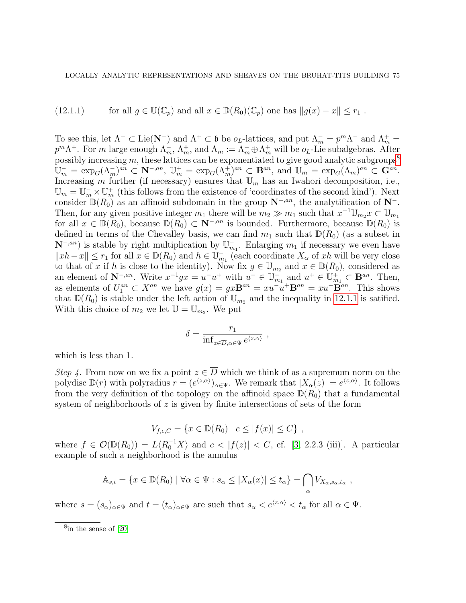<span id="page-74-1"></span>(12.1.1) for all 
$$
g \in \mathbb{U}(\mathbb{C}_p)
$$
 and all  $x \in \mathbb{D}(R_0)(\mathbb{C}_p)$  one has  $||g(x) - x|| \le r_1$ .

To see this, let  $\Lambda^- \subset \text{Lie}(\mathbf{N}^-)$  and  $\Lambda^+ \subset \mathfrak{b}$  be  $o_L$ -lattices, and put  $\Lambda_m^- = p^m \Lambda^-$  and  $\Lambda_m^+ =$  $p^m\Lambda^+$ . For m large enough  $\Lambda_m^-$ ,  $\Lambda_m^+$ , and  $\Lambda_m := \Lambda_m^- \oplus \Lambda_m^+$  will be  $o_L$ -Lie subalgebras. After possibly increasing  $m$ , these lattices can be exponentiated to give good analytic subgroups<sup>[8](#page-74-0)</sup>  $\mathbb{U}_m^- = \exp_G(\Lambda_m^-)^{an} \subset \mathbb{N}^{-,an}, \mathbb{U}_m^+ = \exp_G(\Lambda_m^+)^{an} \subset \mathbf{B}^{an}, \text{ and } \mathbb{U}_m^- = \exp_G(\Lambda_m)^{an} \subset \mathbf{G}^{an}.$ Increasing m further (if necessary) ensures that  $\mathbb{U}_m$  has an Iwahori decomposition, i.e.,  $\mathbb{U}_m = \mathbb{U}_m^- \times \mathbb{U}_m^+$  (this follows from the existence of 'coordinates of the second kind'). Next consider  $\mathbb{D}(R_0)$  as an affinoid subdomain in the group  $\mathbb{N}^{-,an}$ , the analytification of  $\mathbb{N}^-$ . Then, for any given positive integer  $m_1$  there will be  $m_2 \gg m_1$  such that  $x^{-1} \mathbb{U}_{m_2} x \subset \mathbb{U}_{m_1}$ for all  $x \in \mathbb{D}(R_0)$ , because  $\mathbb{D}(R_0) \subset \mathbb{N}^{-,an}$  is bounded. Furthermore, because  $\mathbb{D}(R_0)$  is defined in terms of the Chevalley basis, we can find  $m_1$  such that  $\mathbb{D}(R_0)$  (as a subset in  $\mathbf{N}^{-,an}$ ) is stable by right multiplication by  $\mathbb{U}_{m_1}^-$ . Enlarging  $m_1$  if necessary we even have  $||xh - x||$  ≤  $r_1$  for all  $x \in \mathbb{D}(R_0)$  and  $h \in \mathbb{U}_{m_1}^-$  (each coordinate  $X_\alpha$  of  $xh$  will be very close to that of x if h is close to the identity). Now fix  $g \in \mathbb{U}_{m_2}$  and  $x \in \mathbb{D}(R_0)$ , considered as an element of  $\mathbf{N}^{-,an}$ . Write  $x^{-1}gx = u^{-}u^{+}$  with  $u^{-} \in \mathbb{U}_{m_1}^{-}$  and  $u^{+} \in \mathbb{U}_{m_1}^{+} \subset \mathbf{B}^{an}$ . Then, as elements of  $U_1^{an} \subset X^{an}$  we have  $g(x) = gx\mathbf{B}^{an} = xu^{-}u^{+}\mathbf{B}^{an} = xu^{-}\mathbf{B}^{an}$ . This shows that  $\mathbb{D}(R_0)$  is stable under the left action of  $\mathbb{U}_{m_2}$  and the inequality in [12.1.1](#page-74-1) is satified. With this choice of  $m_2$  we let  $\mathbb{U} = \mathbb{U}_{m_2}$ . We put

$$
\delta = \frac{r_1}{\inf_{z \in \overline{D}, \alpha \in \Psi} e^{\langle z, \alpha \rangle}},
$$

which is less than 1.

Step 4. From now on we fix a point  $z \in \overline{D}$  which we think of as a supremum norm on the polydisc  $\mathbb{D}(r)$  with polyradius  $r = (e^{\langle z, \alpha \rangle})_{\alpha \in \Psi}$ . We remark that  $|X_{\alpha}(z)| = e^{\langle z, \alpha \rangle}$ . It follows from the very definition of the topology on the affinoid space  $\mathbb{D}(R_0)$  that a fundamental system of neighborhoods of  $z$  is given by finite intersections of sets of the form

$$
V_{f,c,C} = \{ x \in \mathbb{D}(R_0) \mid c \le |f(x)| \le C \},
$$

where  $f \in \mathcal{O}(\mathbb{D}(R_0)) = L\langle R_0^{-1}X\rangle$  and  $c < |f(z)| < C$ , cf. [\[3,](#page-76-0) 2.2.3 (iii)]. A particular example of such a neighborhood is the annulus

$$
\mathbb{A}_{s,t} = \{ x \in \mathbb{D}(R_0) \mid \forall \alpha \in \Psi : s_\alpha \le |X_\alpha(x)| \le t_\alpha \} = \bigcap_{\alpha} V_{X_\alpha,s_\alpha,t_\alpha} ,
$$

where  $s = (s_\alpha)_{\alpha \in \Psi}$  and  $t = (t_\alpha)_{\alpha \in \Psi}$  are such that  $s_\alpha < e^{ \langle z, \alpha \rangle} < t_\alpha$  for all  $\alpha \in \Psi$ .

<span id="page-74-0"></span><sup>8</sup> in the sense of [\[20\]](#page-77-0)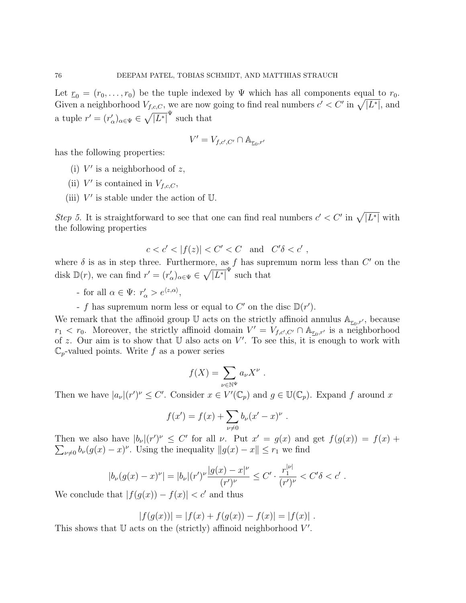Let  $r_0 = (r_0, \ldots, r_0)$  be the tuple indexed by Ψ which has all components equal to  $r_0$ . Given a neighborhood  $V_{f,c,C}$ , we are now going to find real numbers  $c' < C'$  in  $\sqrt{|L^*|}$ , and a tuple  $r' = (r'_{\alpha})_{\alpha \in \Psi} \in \sqrt{|L^*|}^{\Psi}$  such that

$$
V'=V_{f,c',C'}\cap \mathbb{A}_{\underline{r}_0,r'}
$$

has the following properties:

- (i)  $V'$  is a neighborhood of z,
- (ii)  $V'$  is contained in  $V_{f,c,C}$ ,
- (iii)  $V'$  is stable under the action of  $\mathbb U$ .

Step 5. It is straightforward to see that one can find real numbers  $c' < C'$  in  $\sqrt{|L^*|}$  with the following properties

$$
c < c' < |f(z)| < C' < C \quad \text{and} \quad C' \delta < c'
$$

,

where  $\delta$  is as in step three. Furthermore, as f has supremum norm less than  $C'$  on the disk  $\mathbb{D}(r)$ , we can find  $r' = (r'_{\alpha})_{\alpha \in \Psi} \in \sqrt{|L^*|}^{\Psi}$  such that

- for all  $\alpha \in \Psi$ :  $r'_{\alpha} > e^{\langle z, \alpha \rangle}$ ,
- f has supremum norm less or equal to  $C'$  on the disc  $\mathbb{D}(r')$ .

We remark that the affinoid group  $\mathbb U$  acts on the strictly affinoid annulus  $\mathbb A_{\underline{r}_0,r'}$ , because  $r_1 < r_0$ . Moreover, the strictly affinoid domain  $V' = V_{f,c',C'} \cap \mathbb{A}_{r_0,r'}$  is a neighborhood of z. Our aim is to show that  $\mathbb U$  also acts on  $V'$ . To see this, it is enough to work with  $\mathbb{C}_p$ -valued points. Write f as a power series

$$
f(X) = \sum_{\nu \in \mathbb{N}^{\Psi}} a_{\nu} X^{\nu} .
$$

Then we have  $|a_{\nu}|(r')^{\nu} \leq C'$ . Consider  $x \in V'(\mathbb{C}_p)$  and  $g \in \mathbb{U}(\mathbb{C}_p)$ . Expand f around x

$$
f(x') = f(x) + \sum_{\nu \neq 0} b_{\nu} (x' - x)^{\nu} .
$$

Then we also have  $|b_{\nu}|(r')^{\nu} \leq C'$  for all  $\nu$ . Put  $x' = g(x)$  and get  $f(g(x)) = f(x) +$  $\sum_{\nu\neq 0} b_{\nu}(g(x)-x)^{\nu}$ . Using the inequality  $||g(x)-x|| \leq r_1$  we find

$$
|b_{\nu}(g(x)-x)^{\nu}| = |b_{\nu}|(r')^{\nu}\frac{|g(x)-x|^{\nu}}{(r')^{\nu}} \leq C' \cdot \frac{r_1^{|\nu|}}{(r')^{\nu}} < C' \delta < c'.
$$

We conclude that  $|f(g(x)) - f(x)| < c'$  and thus

$$
|f(g(x))| = |f(x) + f(g(x)) - f(x)| = |f(x)|.
$$

This shows that  $U$  acts on the (strictly) affinoid neighborhood  $V'$ .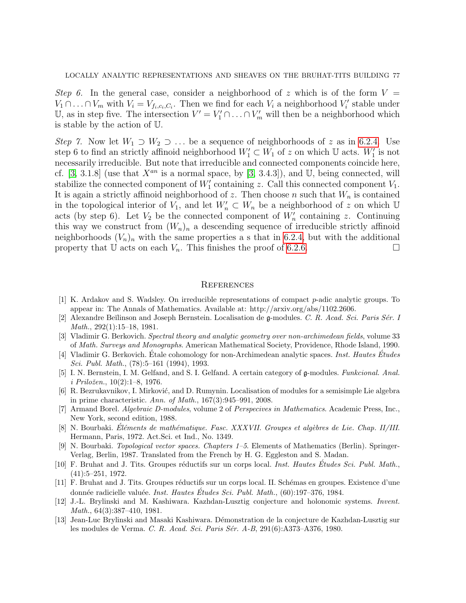Step 6. In the general case, consider a neighborhood of z which is of the form  $V =$  $V_1 \cap \ldots \cap V_m$  with  $V_i = V_{f_i,c_i,C_i}$ . Then we find for each  $V_i$  a neighborhood  $V'_i$  stable under U, as in step five. The intersection  $V' = V'_1 \cap ... \cap V'_m$  will then be a neighborhood which is stable by the action of U.

Step 7. Now let  $W_1 \supset W_2 \supset \dots$  be a sequence of neighborhoods of z as in [6.2.4.](#page-28-0) Use step 6 to find an strictly affinoid neighborhood  $W'_1 \subset W_1$  of z on which  $\mathbb U$  acts.  $W'_1$  is not necessarily irreducible. But note that irreducible and connected components coincide here, cf. [\[3,](#page-76-0) 3.1.8] (use that  $X^{an}$  is a normal space, by [3, 3.4.3]), and U, being connected, will stabilize the connected component of  $W'_1$  containing z. Call this connected component  $V_1$ . It is again a strictly affinoid neighborhood of z. Then choose n such that  $W_n$  is contained in the topological interior of  $V_1$ , and let  $W'_n \subset W_n$  be a neighborhood of z on which U acts (by step 6). Let  $V_2$  be the connected component of  $W'_n$  containing z. Continuing this way we construct from  $(W_n)_n$  a descending sequence of irreducible strictly affinoid neighborhoods  $(V_n)_n$  with the same properties a s that in [6.2.4,](#page-28-0) but with the additional property that U acts on each  $V_n$ . This finishes the proof of [6.2.6.](#page-29-0)

## **REFERENCES**

- [1] K. Ardakov and S. Wadsley. On irreducible representations of compact p-adic analytic groups. To appear in: The Annals of Mathematics. Available at: http://arxiv.org/abs/1102.2606.
- [2] Alexandre Beĭlinson and Joseph Bernstein. Localisation de g-modules. C. R. Acad. Sci. Paris Sér. I Math., 292(1):15–18, 1981.
- <span id="page-76-0"></span>[3] Vladimir G. Berkovich. Spectral theory and analytic geometry over non-archimedean fields, volume 33 of Math. Surveys and Monographs. American Mathematical Society, Providence, Rhode Island, 1990.
- [4] Vladimir G. Berkovich. Étale cohomology for non-Archimedean analytic spaces. *Inst. Hautes Études* Sci. Publ. Math., (78):5–161 (1994), 1993.
- [5] I. N. Bernstein, I. M. Gelfand, and S. I. Gelfand. A certain category of g-modules. Funkcional. Anal.  $i \ Priložen., 10(2):1–8, 1976.$
- [6] R. Bezrukavnikov, I. Mirković, and D. Rumynin. Localisation of modules for a semisimple Lie algebra in prime characteristic. Ann. of Math., 167(3):945–991, 2008.
- [7] Armand Borel. Algebraic D-modules, volume 2 of Perspecives in Mathematics. Academic Press, Inc., New York, second edition, 1988.
- [8] N. Bourbaki. Éléments de mathématique. Fasc. XXXVII. Groupes et algèbres de Lie. Chap. II/III. Hermann, Paris, 1972. Act.Sci. et Ind., No. 1349.
- [9] N. Bourbaki. Topological vector spaces. Chapters 1–5. Elements of Mathematics (Berlin). Springer-Verlag, Berlin, 1987. Translated from the French by H. G. Eggleston and S. Madan.
- [10] F. Bruhat and J. Tits. Groupes réductifs sur un corps local. Inst. Hautes Études Sci. Publ. Math., (41):5–251, 1972.
- [11] F. Bruhat and J. Tits. Groupes réductifs sur un corps local. II. Schémas en groupes. Existence d'une donnée radicielle valuée. *Inst. Hautes Études Sci. Publ. Math.*,  $(60):197-376, 1984$ .
- [12] J.-L. Brylinski and M. Kashiwara. Kazhdan-Lusztig conjecture and holonomic systems. Invent. Math., 64(3):387–410, 1981.
- [13] Jean-Luc Brylinski and Masaki Kashiwara. D´emonstration de la conjecture de Kazhdan-Lusztig sur les modules de Verma. C. R. Acad. Sci. Paris Sér. A-B, 291(6):A373-A376, 1980.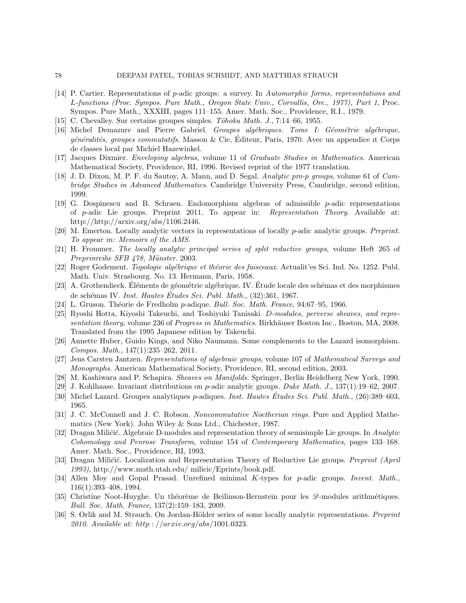- [14] P. Cartier. Representations of p-adic groups: a survey. In Automorphic forms, representations and L-functions (Proc. Sympos. Pure Math., Oregon State Univ., Corvallis, Ore., 1977), Part 1, Proc. Sympos. Pure Math., XXXIII, pages 111–155. Amer. Math. Soc., Providence, R.I., 1979.
- [15] C. Chevalley. Sur certains groupes simples. Tôhoku Math. J., 7:14–66, 1955.
- [16] Michel Demazure and Pierre Gabriel. Groupes algébriques. Tome I: Géométrie algébrique,  $g\acute{e}n\acute{e}rali$ tés, groupes commutatifs. Masson & Cie, Editeur, Paris, 1970. Avec un appendice it Corps de classes local par Michiel Hazewinkel.
- [17] Jacques Dixmier. Enveloping algebras, volume 11 of Graduate Studies in Mathematics. American Mathematical Society, Providence, RI, 1996. Revised reprint of the 1977 translation.
- [18] J. D. Dixon, M. P. F. du Sautoy, A. Mann, and D. Segal. Analytic pro-p groups, volume 61 of Cambridge Studies in Advanced Mathematics. Cambridge University Press, Cambridge, second edition, 1999.
- [19] G. Dospinescu and B. Schraen. Endomorphism algebras of admissible p-adic representations of p-adic Lie groups. Preprint 2011. To appear in: Representation Theory. Available at: http://http://arxiv.org/abs/1106.2446.
- <span id="page-77-0"></span>[20] M. Emerton. Locally analytic vectors in representations of locally p-adic analytic groups. Preprint. To appear in: Memoirs of the AMS.
- [21] H. Frommer. The locally analytic principal series of split reductive groups, volume Heft 265 of Preprinreihe SFB 478, Münster. 2003.
- [22] Roger Godement. *Topologie algébrique et théorie des faisceaux.* Actualit'es Sci. Ind. No. 1252. Publ. Math. Univ. Strasbourg. No. 13. Hermann, Paris, 1958.
- [23] A. Grothendieck. Eléments de géométrie algébrique. IV. Etude locale des schémas et des morphismes de schémas IV. Inst. Hautes Études Sci. Publ. Math.,  $(32):361, 1967$ .
- [24] L. Gruson. Théorie de Fredholm  $p$ -adique. Bull. Soc. Math. France, 94:67–95, 1966.
- [25] Ryoshi Hotta, Kiyoshi Takeuchi, and Toshiyuki Tanisaki. D-modules, perverse sheaves, and representation theory, volume 236 of Progress in Mathematics. Birkhäuser Boston Inc., Boston, MA, 2008. Translated from the 1995 Japanese edition by Takeuchi.
- [26] Annette Huber, Guido Kings, and Niko Naumann. Some complements to the Lazard isomorphism. Compos. Math., 147(1):235–262, 2011.
- [27] Jens Carsten Jantzen. Representations of algebraic groups, volume 107 of Mathematical Surveys and Monographs. American Mathematical Society, Providence, RI, second edition, 2003.
- [28] M. Kashiwara and P. Schapira. Sheaves on Manifolds. Springer, Berlin Heidelberg New York, 1990.
- [29] J. Kohlhaase. Invariant distributions on p-adic analytic groups. Duke Math. J., 137(1):19–62, 2007.
- [30] Michel Lazard. Groupes analytiques p-adiques. Inst. Hautes Etudes Sci. Publ. Math.,  $(26):389-603$ , 1965.
- [31] J. C. McConnell and J. C. Robson. Noncommutative Noetherian rings. Pure and Applied Mathematics (New York). John Wiley & Sons Ltd., Chichester, 1987.
- [32] Dragan Miličić. Algebraic D-modules and representation theory of semisimple Lie groups. In Analytic Cohomology and Penrose Transform, volume 154 of Contemporary Mathematics, pages 133–168. Amer. Math. Soc., Providence, RI, 1993.
- [33] Dragan Miličić. Localization and Representation Theory of Reductive Lie groups. Preprint (April 1993), http://www.math.utah.edu/ milicic/Eprints/book.pdf.
- [34] Allen Moy and Gopal Prasad. Unrefined minimal K-types for p-adic groups. Invent. Math., 116(1):393–408, 1994.
- [35] Christine Noot-Huyghe. Un théorème de Beilinson-Bernstein pour les  $\mathscr{D}$ -modules arithmétiques. Bull. Soc. Math. France, 137(2):159–183, 2009.
- [36] S. Orlik and M. Strauch. On Jordan-Hölder series of some locally analytic representations. Preprint 2010. Available at: http://arxiv.org/abs/1001.0323.